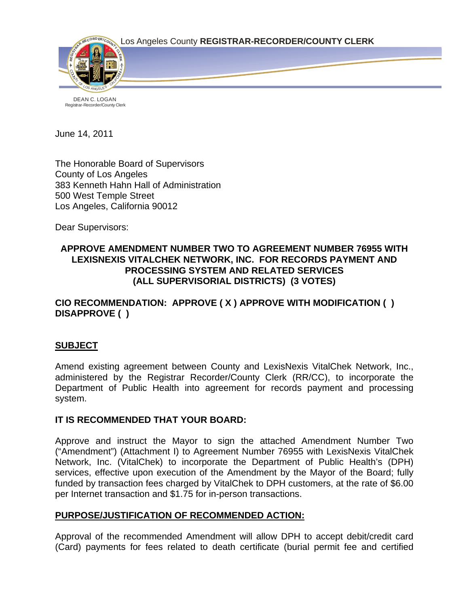Los Angeles County **REGISTRAR-RECORDER/COUNTY CLERK**



Registrar-Recorder/County Clerk

June 14, 2011

The Honorable Board of Supervisors County of Los Angeles 383 Kenneth Hahn Hall of Administration 500 West Temple Street Los Angeles, California 90012

Dear Supervisors:

# **APPROVE AMENDMENT NUMBER TWO TO AGREEMENT NUMBER 76955 WITH LEXISNEXIS VITALCHEK NETWORK, INC. FOR RECORDS PAYMENT AND PROCESSING SYSTEM AND RELATED SERVICES (ALL SUPERVISORIAL DISTRICTS) (3 VOTES)**

# **CIO RECOMMENDATION: APPROVE ( X ) APPROVE WITH MODIFICATION ( ) DISAPPROVE ( )**

# **SUBJECT**

Amend existing agreement between County and LexisNexis VitalChek Network, Inc., administered by the Registrar Recorder/County Clerk (RR/CC), to incorporate the Department of Public Health into agreement for records payment and processing system.

## **IT IS RECOMMENDED THAT YOUR BOARD:**

Approve and instruct the Mayor to sign the attached Amendment Number Two ("Amendment") (Attachment I) to Agreement Number 76955 with LexisNexis VitalChek Network, Inc. (VitalChek) to incorporate the Department of Public Health's (DPH) services, effective upon execution of the Amendment by the Mayor of the Board; fully funded by transaction fees charged by VitalChek to DPH customers, at the rate of \$6.00 per Internet transaction and \$1.75 for in-person transactions.

# **PURPOSE/JUSTIFICATION OF RECOMMENDED ACTION:**

Approval of the recommended Amendment will allow DPH to accept debit/credit card (Card) payments for fees related to death certificate (burial permit fee and certified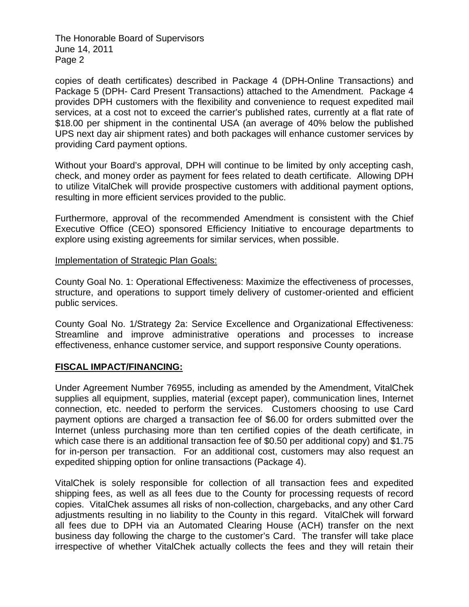The Honorable Board of Supervisors June 14, 2011 Page 2

copies of death certificates) described in Package 4 (DPH-Online Transactions) and Package 5 (DPH- Card Present Transactions) attached to the Amendment. Package 4 provides DPH customers with the flexibility and convenience to request expedited mail services, at a cost not to exceed the carrier's published rates, currently at a flat rate of \$18.00 per shipment in the continental USA (an average of 40% below the published UPS next day air shipment rates) and both packages will enhance customer services by providing Card payment options.

Without your Board's approval, DPH will continue to be limited by only accepting cash, check, and money order as payment for fees related to death certificate. Allowing DPH to utilize VitalChek will provide prospective customers with additional payment options, resulting in more efficient services provided to the public.

Furthermore, approval of the recommended Amendment is consistent with the Chief Executive Office (CEO) sponsored Efficiency Initiative to encourage departments to explore using existing agreements for similar services, when possible.

## Implementation of Strategic Plan Goals:

County Goal No. 1: Operational Effectiveness: Maximize the effectiveness of processes, structure, and operations to support timely delivery of customer-oriented and efficient public services.

County Goal No. 1/Strategy 2a: Service Excellence and Organizational Effectiveness: Streamline and improve administrative operations and processes to increase effectiveness, enhance customer service, and support responsive County operations.

# **FISCAL IMPACT/FINANCING:**

Under Agreement Number 76955, including as amended by the Amendment, VitalChek supplies all equipment, supplies, material (except paper), communication lines, Internet connection, etc. needed to perform the services. Customers choosing to use Card payment options are charged a transaction fee of \$6.00 for orders submitted over the Internet (unless purchasing more than ten certified copies of the death certificate, in which case there is an additional transaction fee of \$0.50 per additional copy) and \$1.75 for in-person per transaction. For an additional cost, customers may also request an expedited shipping option for online transactions (Package 4).

VitalChek is solely responsible for collection of all transaction fees and expedited shipping fees, as well as all fees due to the County for processing requests of record copies. VitalChek assumes all risks of non-collection, chargebacks, and any other Card adjustments resulting in no liability to the County in this regard. VitalChek will forward all fees due to DPH via an Automated Clearing House (ACH) transfer on the next business day following the charge to the customer's Card. The transfer will take place irrespective of whether VitalChek actually collects the fees and they will retain their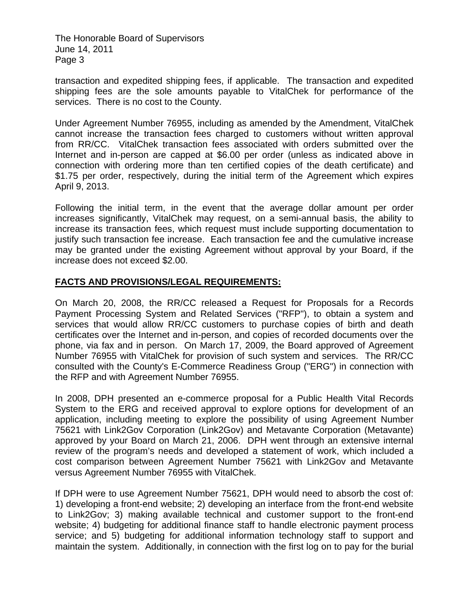The Honorable Board of Supervisors June 14, 2011 Page 3

transaction and expedited shipping fees, if applicable. The transaction and expedited shipping fees are the sole amounts payable to VitalChek for performance of the services. There is no cost to the County.

Under Agreement Number 76955, including as amended by the Amendment, VitalChek cannot increase the transaction fees charged to customers without written approval from RR/CC. VitalChek transaction fees associated with orders submitted over the Internet and in-person are capped at \$6.00 per order (unless as indicated above in connection with ordering more than ten certified copies of the death certificate) and \$1.75 per order, respectively, during the initial term of the Agreement which expires April 9, 2013.

Following the initial term, in the event that the average dollar amount per order increases significantly, VitalChek may request, on a semi-annual basis, the ability to increase its transaction fees, which request must include supporting documentation to justify such transaction fee increase. Each transaction fee and the cumulative increase may be granted under the existing Agreement without approval by your Board, if the increase does not exceed \$2.00.

# **FACTS AND PROVISIONS/LEGAL REQUIREMENTS:**

On March 20, 2008, the RR/CC released a Request for Proposals for a Records Payment Processing System and Related Services ("RFP"), to obtain a system and services that would allow RR/CC customers to purchase copies of birth and death certificates over the Internet and in-person, and copies of recorded documents over the phone, via fax and in person. On March 17, 2009, the Board approved of Agreement Number 76955 with VitalChek for provision of such system and services. The RR/CC consulted with the County's E-Commerce Readiness Group ("ERG") in connection with the RFP and with Agreement Number 76955.

In 2008, DPH presented an e-commerce proposal for a Public Health Vital Records System to the ERG and received approval to explore options for development of an application, including meeting to explore the possibility of using Agreement Number 75621 with Link2Gov Corporation (Link2Gov) and Metavante Corporation (Metavante) approved by your Board on March 21, 2006. DPH went through an extensive internal review of the program's needs and developed a statement of work, which included a cost comparison between Agreement Number 75621 with Link2Gov and Metavante versus Agreement Number 76955 with VitalChek.

If DPH were to use Agreement Number 75621, DPH would need to absorb the cost of: 1) developing a front-end website; 2) developing an interface from the front-end website to Link2Gov; 3) making available technical and customer support to the front-end website; 4) budgeting for additional finance staff to handle electronic payment process service; and 5) budgeting for additional information technology staff to support and maintain the system. Additionally, in connection with the first log on to pay for the burial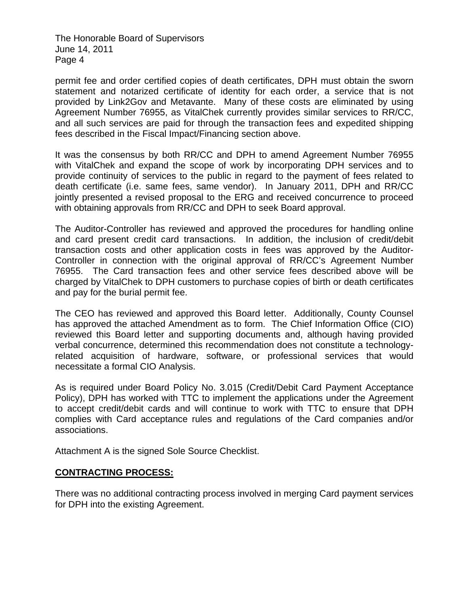The Honorable Board of Supervisors June 14, 2011 Page 4

permit fee and order certified copies of death certificates, DPH must obtain the sworn statement and notarized certificate of identity for each order, a service that is not provided by Link2Gov and Metavante. Many of these costs are eliminated by using Agreement Number 76955, as VitalChek currently provides similar services to RR/CC, and all such services are paid for through the transaction fees and expedited shipping fees described in the Fiscal Impact/Financing section above.

It was the consensus by both RR/CC and DPH to amend Agreement Number 76955 with VitalChek and expand the scope of work by incorporating DPH services and to provide continuity of services to the public in regard to the payment of fees related to death certificate (i.e. same fees, same vendor). In January 2011, DPH and RR/CC jointly presented a revised proposal to the ERG and received concurrence to proceed with obtaining approvals from RR/CC and DPH to seek Board approval.

The Auditor-Controller has reviewed and approved the procedures for handling online and card present credit card transactions. In addition, the inclusion of credit/debit transaction costs and other application costs in fees was approved by the Auditor-Controller in connection with the original approval of RR/CC's Agreement Number 76955. The Card transaction fees and other service fees described above will be charged by VitalChek to DPH customers to purchase copies of birth or death certificates and pay for the burial permit fee.

The CEO has reviewed and approved this Board letter. Additionally, County Counsel has approved the attached Amendment as to form. The Chief Information Office (CIO) reviewed this Board letter and supporting documents and, although having provided verbal concurrence, determined this recommendation does not constitute a technologyrelated acquisition of hardware, software, or professional services that would necessitate a formal CIO Analysis.

As is required under Board Policy No. 3.015 (Credit/Debit Card Payment Acceptance Policy), DPH has worked with TTC to implement the applications under the Agreement to accept credit/debit cards and will continue to work with TTC to ensure that DPH complies with Card acceptance rules and regulations of the Card companies and/or associations.

Attachment A is the signed Sole Source Checklist.

# **CONTRACTING PROCESS:**

There was no additional contracting process involved in merging Card payment services for DPH into the existing Agreement.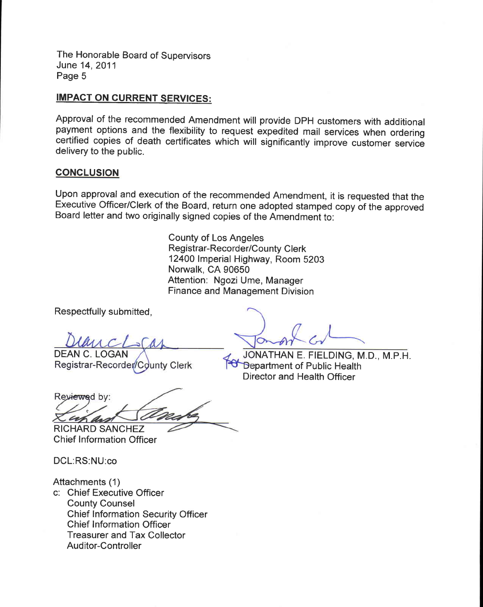The Honorable Board of Supervisors June 14, 2011 Page 5

# **IMPACT ON CURRENT SERVICES:**

Approval of the recommended Amendment will provide DPH customers with additional payment options and the flexibility to request expedited mail services when ordering certified copies of death certificates which will significantly improve customer service delivery to the public.

#### **CONCLUSION**

Upon approval and execution of the recommended Amendment, it is requested that the Executive Officer/Clerk of the Board, return one adopted stamped copy of the approved Board letter and two originally signed copies of the Amendment to:

> **County of Los Angeles Registrar-Recorder/County Clerk** 12400 Imperial Highway, Room 5203 Norwalk, CA 90650 Attention: Ngozi Ume, Manager **Finance and Management Division**

Respectfully submitted,

**DEAN C. LOGAN** Registrar-Recorder/County Clerk

JONATHAN E. FIELDING, M.D., M.P.H. **18** Department of Public Health Director and Health Officer

Reviewed by: uh an **RICHARD SANCHEZ** 

**Chief Information Officer** 

DCL:RS:NU:co

Attachments (1)

c: Chief Executive Officer **County Counsel Chief Information Security Officer Chief Information Officer Treasurer and Tax Collector Auditor-Controller**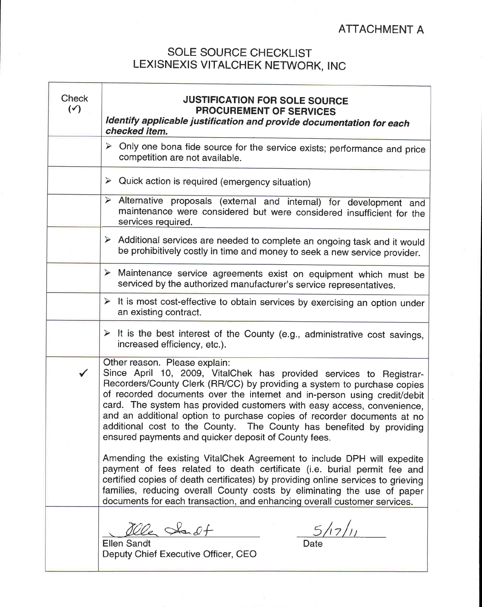# **SOLE SOURCE CHECKLIST** LEXISNEXIS VITALCHEK NETWORK, INC

| <b>Check</b><br>$(\checkmark)$ | <b>JUSTIFICATION FOR SOLE SOURCE</b><br>PROCUREMENT OF SERVICES<br>Identify applicable justification and provide documentation for each<br>checked item.                                                                                                                                                                                                                                                                                                                                                                                         |  |
|--------------------------------|--------------------------------------------------------------------------------------------------------------------------------------------------------------------------------------------------------------------------------------------------------------------------------------------------------------------------------------------------------------------------------------------------------------------------------------------------------------------------------------------------------------------------------------------------|--|
|                                | $\triangleright$ Only one bona fide source for the service exists; performance and price<br>competition are not available.                                                                                                                                                                                                                                                                                                                                                                                                                       |  |
|                                | Quick action is required (emergency situation)<br>➤                                                                                                                                                                                                                                                                                                                                                                                                                                                                                              |  |
|                                | > Alternative proposals (external and internal) for development and<br>maintenance were considered but were considered insufficient for the<br>services required.                                                                                                                                                                                                                                                                                                                                                                                |  |
|                                | > Additional services are needed to complete an ongoing task and it would<br>be prohibitively costly in time and money to seek a new service provider.                                                                                                                                                                                                                                                                                                                                                                                           |  |
|                                | $\blacktriangleright$<br>Maintenance service agreements exist on equipment which must be<br>serviced by the authorized manufacturer's service representatives.                                                                                                                                                                                                                                                                                                                                                                                   |  |
|                                | $\triangleright$ It is most cost-effective to obtain services by exercising an option under<br>an existing contract.                                                                                                                                                                                                                                                                                                                                                                                                                             |  |
|                                | $\triangleright$ It is the best interest of the County (e.g., administrative cost savings,<br>increased efficiency, etc.).                                                                                                                                                                                                                                                                                                                                                                                                                       |  |
| $\checkmark$                   | Other reason. Please explain:<br>Since April 10, 2009, VitalChek has provided services to Registrar-<br>Recorders/County Clerk (RR/CC) by providing a system to purchase copies<br>of recorded documents over the internet and in-person using credit/debit<br>card. The system has provided customers with easy access, convenience,<br>and an additional option to purchase copies of recorder documents at no<br>additional cost to the County. The County has benefited by providing<br>ensured payments and quicker deposit of County fees. |  |
|                                | Amending the existing VitalChek Agreement to include DPH will expedite<br>payment of fees related to death certificate (i.e. burial permit fee and<br>certified copies of death certificates) by providing online services to grieving<br>families, reducing overall County costs by eliminating the use of paper<br>documents for each transaction, and enhancing overall customer services.                                                                                                                                                    |  |
|                                | alle Sailt<br>$\frac{5}{7}/\sqrt{11}$<br><b>Ellen Sandt</b><br>Deputy Chief Executive Officer, CEO                                                                                                                                                                                                                                                                                                                                                                                                                                               |  |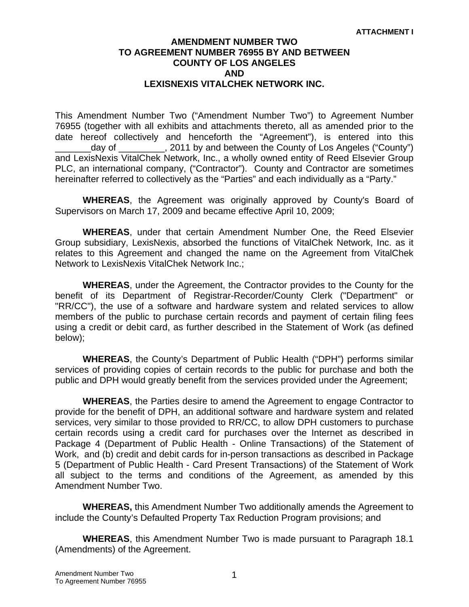# **AMENDMENT NUMBER TWO TO AGREEMENT NUMBER 76955 BY AND BETWEEN COUNTY OF LOS ANGELES AND LEXISNEXIS VITALCHEK NETWORK INC.**

This Amendment Number Two ("Amendment Number Two") to Agreement Number 76955 (together with all exhibits and attachments thereto, all as amended prior to the date hereof collectively and henceforth the "Agreement"), is entered into this \_\_\_\_\_\_\_day of \_\_\_\_\_\_\_\_\_, 2011 by and between the County of Los Angeles ("County") and LexisNexis VitalChek Network, Inc., a wholly owned entity of Reed Elsevier Group PLC, an international company, ("Contractor"). County and Contractor are sometimes hereinafter referred to collectively as the "Parties" and each individually as a "Party."

**WHEREAS**, the Agreement was originally approved by County's Board of Supervisors on March 17, 2009 and became effective April 10, 2009;

**WHEREAS**, under that certain Amendment Number One, the Reed Elsevier Group subsidiary, LexisNexis, absorbed the functions of VitalChek Network, Inc. as it relates to this Agreement and changed the name on the Agreement from VitalChek Network to LexisNexis VitalChek Network Inc.;

**WHEREAS**, under the Agreement, the Contractor provides to the County for the benefit of its Department of Registrar-Recorder/County Clerk ("Department" or "RR/CC"), the use of a software and hardware system and related services to allow members of the public to purchase certain records and payment of certain filing fees using a credit or debit card, as further described in the Statement of Work (as defined below);

**WHEREAS**, the County's Department of Public Health ("DPH") performs similar services of providing copies of certain records to the public for purchase and both the public and DPH would greatly benefit from the services provided under the Agreement;

**WHEREAS**, the Parties desire to amend the Agreement to engage Contractor to provide for the benefit of DPH, an additional software and hardware system and related services, very similar to those provided to RR/CC, to allow DPH customers to purchase certain records using a credit card for purchases over the Internet as described in Package 4 (Department of Public Health - Online Transactions) of the Statement of Work, and (b) credit and debit cards for in-person transactions as described in Package 5 (Department of Public Health - Card Present Transactions) of the Statement of Work all subject to the terms and conditions of the Agreement, as amended by this Amendment Number Two.

**WHEREAS,** this Amendment Number Two additionally amends the Agreement to include the County's Defaulted Property Tax Reduction Program provisions; and

**WHEREAS**, this Amendment Number Two is made pursuant to Paragraph 18.1 (Amendments) of the Agreement.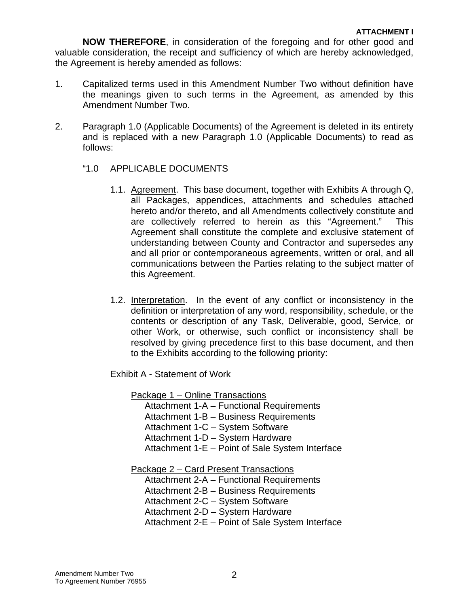**NOW THEREFORE**, in consideration of the foregoing and for other good and valuable consideration, the receipt and sufficiency of which are hereby acknowledged, the Agreement is hereby amended as follows:

- 1. Capitalized terms used in this Amendment Number Two without definition have the meanings given to such terms in the Agreement, as amended by this Amendment Number Two.
- 2. Paragraph 1.0 (Applicable Documents) of the Agreement is deleted in its entirety and is replaced with a new Paragraph 1.0 (Applicable Documents) to read as follows:
	- "1.0 APPLICABLE DOCUMENTS
		- 1.1. Agreement. This base document, together with Exhibits A through Q, all Packages, appendices, attachments and schedules attached hereto and/or thereto, and all Amendments collectively constitute and are collectively referred to herein as this "Agreement." This Agreement shall constitute the complete and exclusive statement of understanding between County and Contractor and supersedes any and all prior or contemporaneous agreements, written or oral, and all communications between the Parties relating to the subject matter of this Agreement.
		- 1.2. Interpretation. In the event of any conflict or inconsistency in the definition or interpretation of any word, responsibility, schedule, or the contents or description of any Task, Deliverable, good, Service, or other Work, or otherwise, such conflict or inconsistency shall be resolved by giving precedence first to this base document, and then to the Exhibits according to the following priority:

Exhibit A - Statement of Work

Package 1 – Online Transactions

Attachment 1-A – Functional Requirements Attachment 1-B – Business Requirements Attachment 1-C – System Software Attachment 1-D – System Hardware Attachment 1-E – Point of Sale System Interface

Package 2 – Card Present Transactions

Attachment 2-A – Functional Requirements Attachment 2-B – Business Requirements Attachment 2-C – System Software Attachment 2-D – System Hardware

Attachment 2-E – Point of Sale System Interface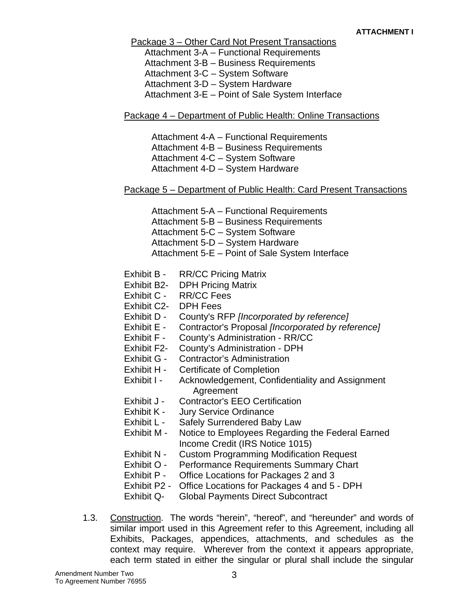Package 3 – Other Card Not Present Transactions

Attachment 3-A – Functional Requirements Attachment 3-B – Business Requirements Attachment 3-C – System Software Attachment 3-D – System Hardware Attachment 3-E – Point of Sale System Interface

# Package 4 – Department of Public Health: Online Transactions

Attachment 4-A – Functional Requirements Attachment 4-B – Business Requirements Attachment 4-C – System Software Attachment 4-D – System Hardware

# Package 5 – Department of Public Health: Card Present Transactions

Attachment 5-A – Functional Requirements Attachment 5-B – Business Requirements Attachment 5-C – System Software Attachment 5-D – System Hardware

Attachment 5-E – Point of Sale System Interface

- Exhibit B RR/CC Pricing Matrix
- Exhibit B2- DPH Pricing Matrix
- Exhibit C RR/CC Fees
- Exhibit C2- DPH Fees
- Exhibit D County's RFP *[Incorporated by reference]*
- Exhibit E Contractor's Proposal *[Incorporated by reference]*
- Exhibit F County's Administration RR/CC
- Exhibit F2- County's Administration DPH
- Exhibit G Contractor's Administration
- Exhibit H Certificate of Completion
- Exhibit I Acknowledgement, Confidentiality and Assignment **Agreement**
- Exhibit J Contractor's EEO Certification
- Exhibit K Jury Service Ordinance
- Exhibit L Safely Surrendered Baby Law
- Exhibit M Notice to Employees Regarding the Federal Earned Income Credit (IRS Notice 1015)
- Exhibit N Custom Programming Modification Request
- Exhibit O Performance Requirements Summary Chart
- Exhibit P Office Locations for Packages 2 and 3
- Exhibit P2 Office Locations for Packages 4 and 5 DPH
- Exhibit Q- Global Payments Direct Subcontract
- 1.3. Construction. The words "herein", "hereof", and "hereunder" and words of similar import used in this Agreement refer to this Agreement, including all Exhibits, Packages, appendices, attachments, and schedules as the context may require. Wherever from the context it appears appropriate, each term stated in either the singular or plural shall include the singular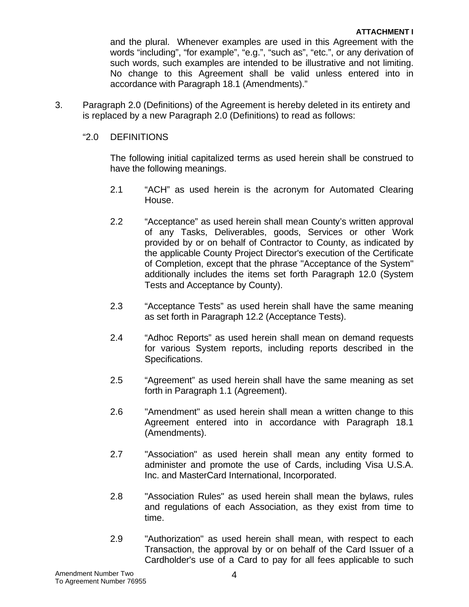and the plural. Whenever examples are used in this Agreement with the words "including", "for example", "e.g.", "such as", "etc.", or any derivation of such words, such examples are intended to be illustrative and not limiting. No change to this Agreement shall be valid unless entered into in accordance with Paragraph 18.1 (Amendments)."

3. Paragraph 2.0 (Definitions) of the Agreement is hereby deleted in its entirety and is replaced by a new Paragraph 2.0 (Definitions) to read as follows:

# "2.0 DEFINITIONS

The following initial capitalized terms as used herein shall be construed to have the following meanings.

- 2.1 "ACH" as used herein is the acronym for Automated Clearing House.
- 2.2 "Acceptance" as used herein shall mean County's written approval of any Tasks, Deliverables, goods, Services or other Work provided by or on behalf of Contractor to County, as indicated by the applicable County Project Director's execution of the Certificate of Completion, except that the phrase "Acceptance of the System" additionally includes the items set forth Paragraph 12.0 (System Tests and Acceptance by County).
- 2.3 "Acceptance Tests" as used herein shall have the same meaning as set forth in Paragraph 12.2 (Acceptance Tests).
- 2.4 "Adhoc Reports" as used herein shall mean on demand requests for various System reports, including reports described in the Specifications.
- 2.5 "Agreement" as used herein shall have the same meaning as set forth in Paragraph 1.1 (Agreement).
- 2.6 "Amendment" as used herein shall mean a written change to this Agreement entered into in accordance with Paragraph 18.1 (Amendments).
- 2.7 "Association" as used herein shall mean any entity formed to administer and promote the use of Cards, including Visa U.S.A. Inc. and MasterCard International, Incorporated.
- 2.8 "Association Rules" as used herein shall mean the bylaws, rules and regulations of each Association, as they exist from time to time.
- 2.9 "Authorization" as used herein shall mean, with respect to each Transaction, the approval by or on behalf of the Card Issuer of a Cardholder's use of a Card to pay for all fees applicable to such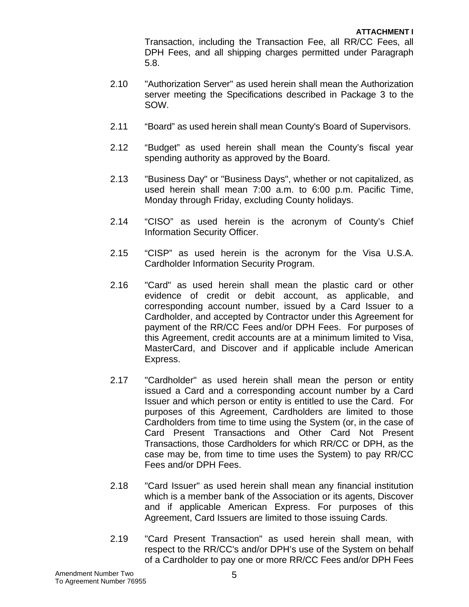Transaction, including the Transaction Fee, all RR/CC Fees, all DPH Fees, and all shipping charges permitted under Paragraph 5.8.

- 2.10 "Authorization Server" as used herein shall mean the Authorization server meeting the Specifications described in Package 3 to the SOW.
- 2.11 "Board" as used herein shall mean County's Board of Supervisors.
- 2.12 "Budget" as used herein shall mean the County's fiscal year spending authority as approved by the Board.
- 2.13 "Business Day" or "Business Days", whether or not capitalized, as used herein shall mean 7:00 a.m. to 6:00 p.m. Pacific Time, Monday through Friday, excluding County holidays.
- 2.14 "CISO" as used herein is the acronym of County's Chief Information Security Officer.
- 2.15 "CISP" as used herein is the acronym for the Visa U.S.A. Cardholder Information Security Program.
- 2.16 "Card" as used herein shall mean the plastic card or other evidence of credit or debit account, as applicable, and corresponding account number, issued by a Card Issuer to a Cardholder, and accepted by Contractor under this Agreement for payment of the RR/CC Fees and/or DPH Fees. For purposes of this Agreement, credit accounts are at a minimum limited to Visa, MasterCard, and Discover and if applicable include American Express.
- 2.17 "Cardholder" as used herein shall mean the person or entity issued a Card and a corresponding account number by a Card Issuer and which person or entity is entitled to use the Card. For purposes of this Agreement, Cardholders are limited to those Cardholders from time to time using the System (or, in the case of Card Present Transactions and Other Card Not Present Transactions, those Cardholders for which RR/CC or DPH, as the case may be, from time to time uses the System) to pay RR/CC Fees and/or DPH Fees.
- 2.18 "Card Issuer" as used herein shall mean any financial institution which is a member bank of the Association or its agents, Discover and if applicable American Express. For purposes of this Agreement, Card Issuers are limited to those issuing Cards.
- 2.19 "Card Present Transaction" as used herein shall mean, with respect to the RR/CC's and/or DPH's use of the System on behalf of a Cardholder to pay one or more RR/CC Fees and/or DPH Fees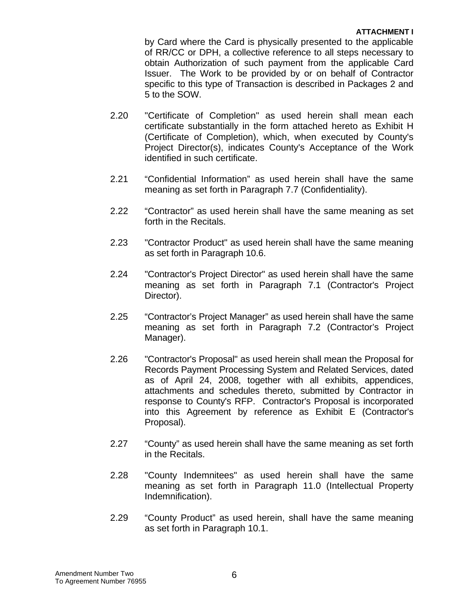by Card where the Card is physically presented to the applicable of RR/CC or DPH, a collective reference to all steps necessary to obtain Authorization of such payment from the applicable Card Issuer. The Work to be provided by or on behalf of Contractor specific to this type of Transaction is described in Packages 2 and 5 to the SOW.

- 2.20 "Certificate of Completion" as used herein shall mean each certificate substantially in the form attached hereto as Exhibit H (Certificate of Completion), which, when executed by County's Project Director(s), indicates County's Acceptance of the Work identified in such certificate.
- 2.21 "Confidential Information" as used herein shall have the same meaning as set forth in Paragraph 7.7 (Confidentiality).
- 2.22 "Contractor" as used herein shall have the same meaning as set forth in the Recitals.
- 2.23 "Contractor Product" as used herein shall have the same meaning as set forth in Paragraph 10.6.
- 2.24 "Contractor's Project Director" as used herein shall have the same meaning as set forth in Paragraph 7.1 (Contractor's Project Director).
- 2.25 "Contractor's Project Manager" as used herein shall have the same meaning as set forth in Paragraph 7.2 (Contractor's Project Manager).
- 2.26 "Contractor's Proposal" as used herein shall mean the Proposal for Records Payment Processing System and Related Services, dated as of April 24, 2008, together with all exhibits, appendices, attachments and schedules thereto, submitted by Contractor in response to County's RFP. Contractor's Proposal is incorporated into this Agreement by reference as Exhibit E (Contractor's Proposal).
- 2.27 "County" as used herein shall have the same meaning as set forth in the Recitals.
- 2.28 "County Indemnitees" as used herein shall have the same meaning as set forth in Paragraph 11.0 (Intellectual Property Indemnification).
- 2.29 "County Product" as used herein, shall have the same meaning as set forth in Paragraph 10.1.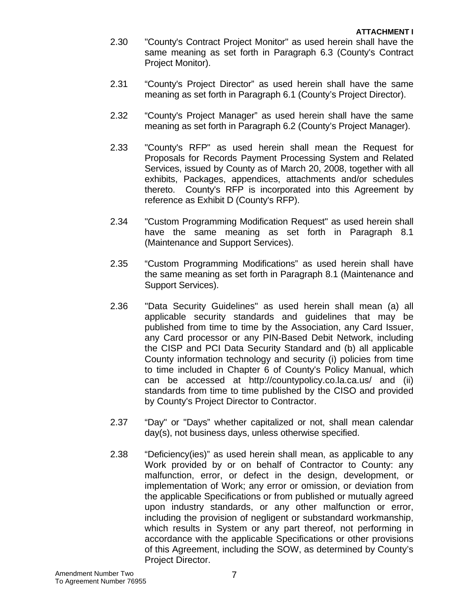- 2.30 "County's Contract Project Monitor" as used herein shall have the same meaning as set forth in Paragraph 6.3 (County's Contract Project Monitor).
- 2.31 "County's Project Director" as used herein shall have the same meaning as set forth in Paragraph 6.1 (County's Project Director).
- 2.32 "County's Project Manager" as used herein shall have the same meaning as set forth in Paragraph 6.2 (County's Project Manager).
- 2.33 "County's RFP" as used herein shall mean the Request for Proposals for Records Payment Processing System and Related Services, issued by County as of March 20, 2008, together with all exhibits, Packages, appendices, attachments and/or schedules thereto. County's RFP is incorporated into this Agreement by reference as Exhibit D (County's RFP).
- 2.34 "Custom Programming Modification Request" as used herein shall have the same meaning as set forth in Paragraph 8.1 (Maintenance and Support Services).
- 2.35 "Custom Programming Modifications" as used herein shall have the same meaning as set forth in Paragraph 8.1 (Maintenance and Support Services).
- 2.36 "Data Security Guidelines" as used herein shall mean (a) all applicable security standards and guidelines that may be published from time to time by the Association, any Card Issuer, any Card processor or any PIN-Based Debit Network, including the CISP and PCI Data Security Standard and (b) all applicable County information technology and security (i) policies from time to time included in Chapter 6 of County's Policy Manual, which can be accessed at http://countypolicy.co.la.ca.us/ and (ii) standards from time to time published by the CISO and provided by County's Project Director to Contractor.
- 2.37 "Day" or "Days" whether capitalized or not, shall mean calendar day(s), not business days, unless otherwise specified.
- 2.38 "Deficiency(ies)" as used herein shall mean, as applicable to any Work provided by or on behalf of Contractor to County: any malfunction, error, or defect in the design, development, or implementation of Work; any error or omission, or deviation from the applicable Specifications or from published or mutually agreed upon industry standards, or any other malfunction or error, including the provision of negligent or substandard workmanship, which results in System or any part thereof, not performing in accordance with the applicable Specifications or other provisions of this Agreement, including the SOW, as determined by County's Project Director.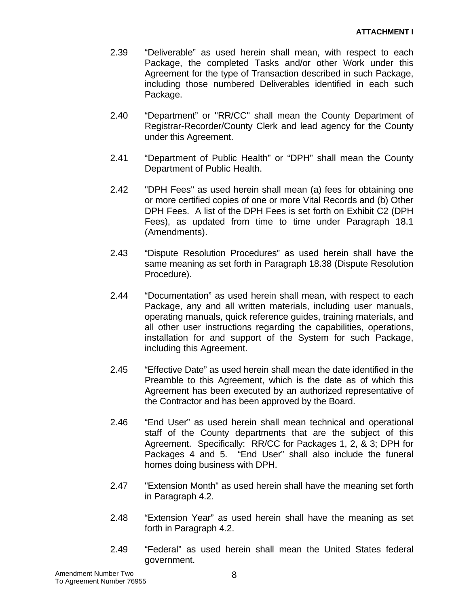- 2.39 "Deliverable" as used herein shall mean, with respect to each Package, the completed Tasks and/or other Work under this Agreement for the type of Transaction described in such Package, including those numbered Deliverables identified in each such Package.
- 2.40 "Department" or "RR/CC" shall mean the County Department of Registrar-Recorder/County Clerk and lead agency for the County under this Agreement.
- 2.41 "Department of Public Health" or "DPH" shall mean the County Department of Public Health.
- 2.42 "DPH Fees" as used herein shall mean (a) fees for obtaining one or more certified copies of one or more Vital Records and (b) Other DPH Fees. A list of the DPH Fees is set forth on Exhibit C2 (DPH Fees), as updated from time to time under Paragraph 18.1 (Amendments).
- 2.43 "Dispute Resolution Procedures" as used herein shall have the same meaning as set forth in Paragraph 18.38 (Dispute Resolution Procedure).
- 2.44 "Documentation" as used herein shall mean, with respect to each Package, any and all written materials, including user manuals, operating manuals, quick reference guides, training materials, and all other user instructions regarding the capabilities, operations, installation for and support of the System for such Package, including this Agreement.
- 2.45 "Effective Date" as used herein shall mean the date identified in the Preamble to this Agreement, which is the date as of which this Agreement has been executed by an authorized representative of the Contractor and has been approved by the Board.
- 2.46 "End User" as used herein shall mean technical and operational staff of the County departments that are the subject of this Agreement. Specifically: RR/CC for Packages 1, 2, & 3; DPH for Packages 4 and 5. "End User" shall also include the funeral homes doing business with DPH.
- 2.47 "Extension Month" as used herein shall have the meaning set forth in Paragraph 4.2.
- 2.48 "Extension Year" as used herein shall have the meaning as set forth in Paragraph 4.2.
- 2.49 "Federal" as used herein shall mean the United States federal government.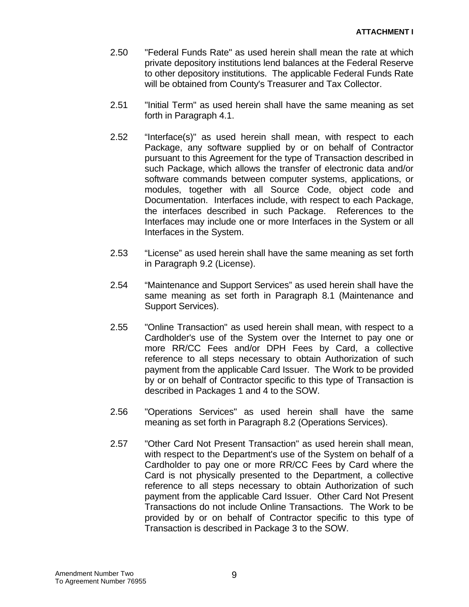- 2.50 "Federal Funds Rate" as used herein shall mean the rate at which private depository institutions lend balances at the Federal Reserve to other depository institutions. The applicable Federal Funds Rate will be obtained from County's Treasurer and Tax Collector.
- 2.51 "Initial Term" as used herein shall have the same meaning as set forth in Paragraph 4.1.
- 2.52 "Interface(s)" as used herein shall mean, with respect to each Package, any software supplied by or on behalf of Contractor pursuant to this Agreement for the type of Transaction described in such Package, which allows the transfer of electronic data and/or software commands between computer systems, applications, or modules, together with all Source Code, object code and Documentation. Interfaces include, with respect to each Package, the interfaces described in such Package. References to the Interfaces may include one or more Interfaces in the System or all Interfaces in the System.
- 2.53 "License" as used herein shall have the same meaning as set forth in Paragraph 9.2 (License).
- 2.54 "Maintenance and Support Services" as used herein shall have the same meaning as set forth in Paragraph 8.1 (Maintenance and Support Services).
- 2.55 "Online Transaction" as used herein shall mean, with respect to a Cardholder's use of the System over the Internet to pay one or more RR/CC Fees and/or DPH Fees by Card, a collective reference to all steps necessary to obtain Authorization of such payment from the applicable Card Issuer. The Work to be provided by or on behalf of Contractor specific to this type of Transaction is described in Packages 1 and 4 to the SOW.
- 2.56 "Operations Services" as used herein shall have the same meaning as set forth in Paragraph 8.2 (Operations Services).
- 2.57 "Other Card Not Present Transaction" as used herein shall mean, with respect to the Department's use of the System on behalf of a Cardholder to pay one or more RR/CC Fees by Card where the Card is not physically presented to the Department, a collective reference to all steps necessary to obtain Authorization of such payment from the applicable Card Issuer. Other Card Not Present Transactions do not include Online Transactions. The Work to be provided by or on behalf of Contractor specific to this type of Transaction is described in Package 3 to the SOW.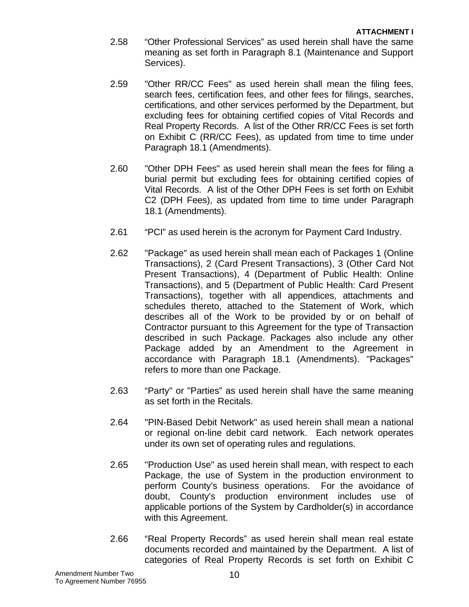- 2.58 "Other Professional Services" as used herein shall have the same meaning as set forth in Paragraph 8.1 (Maintenance and Support Services).
- 2.59 "Other RR/CC Fees" as used herein shall mean the filing fees, search fees, certification fees, and other fees for filings, searches, certifications, and other services performed by the Department, but excluding fees for obtaining certified copies of Vital Records and Real Property Records. A list of the Other RR/CC Fees is set forth on Exhibit C (RR/CC Fees), as updated from time to time under Paragraph 18.1 (Amendments).
- 2.60 "Other DPH Fees" as used herein shall mean the fees for filing a burial permit but excluding fees for obtaining certified copies of Vital Records. A list of the Other DPH Fees is set forth on Exhibit C2 (DPH Fees), as updated from time to time under Paragraph 18.1 (Amendments).
- 2.61 "PCI" as used herein is the acronym for Payment Card Industry.
- 2.62 "Package" as used herein shall mean each of Packages 1 (Online Transactions), 2 (Card Present Transactions), 3 (Other Card Not Present Transactions), 4 (Department of Public Health: Online Transactions), and 5 (Department of Public Health: Card Present Transactions), together with all appendices, attachments and schedules thereto, attached to the Statement of Work, which describes all of the Work to be provided by or on behalf of Contractor pursuant to this Agreement for the type of Transaction described in such Package. Packages also include any other Package added by an Amendment to the Agreement in accordance with Paragraph 18.1 (Amendments). "Packages" refers to more than one Package.
- 2.63 "Party" or "Parties" as used herein shall have the same meaning as set forth in the Recitals.
- 2.64 "PIN-Based Debit Network" as used herein shall mean a national or regional on-line debit card network. Each network operates under its own set of operating rules and regulations.
- 2.65 "Production Use" as used herein shall mean, with respect to each Package, the use of System in the production environment to perform County's business operations. For the avoidance of doubt, County's production environment includes use of applicable portions of the System by Cardholder(s) in accordance with this Agreement.
- 2.66 "Real Property Records" as used herein shall mean real estate documents recorded and maintained by the Department. A list of categories of Real Property Records is set forth on Exhibit C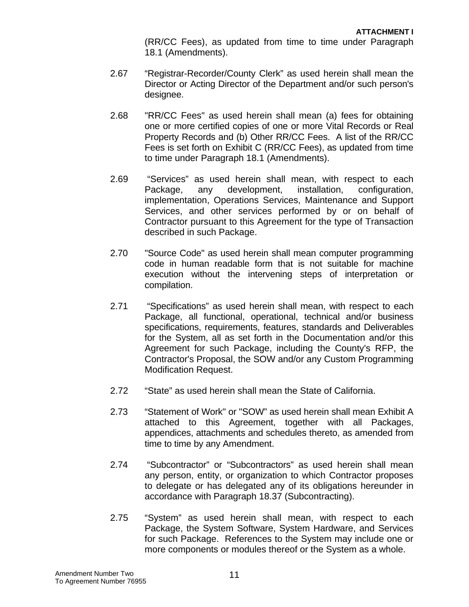(RR/CC Fees), as updated from time to time under Paragraph 18.1 (Amendments).

- 2.67 "Registrar-Recorder/County Clerk" as used herein shall mean the Director or Acting Director of the Department and/or such person's designee.
- 2.68 "RR/CC Fees" as used herein shall mean (a) fees for obtaining one or more certified copies of one or more Vital Records or Real Property Records and (b) Other RR/CC Fees. A list of the RR/CC Fees is set forth on Exhibit C (RR/CC Fees), as updated from time to time under Paragraph 18.1 (Amendments).
- 2.69 "Services" as used herein shall mean, with respect to each Package, any development, installation, configuration, implementation, Operations Services, Maintenance and Support Services, and other services performed by or on behalf of Contractor pursuant to this Agreement for the type of Transaction described in such Package.
- 2.70 "Source Code" as used herein shall mean computer programming code in human readable form that is not suitable for machine execution without the intervening steps of interpretation or compilation.
- 2.71 "Specifications" as used herein shall mean, with respect to each Package, all functional, operational, technical and/or business specifications, requirements, features, standards and Deliverables for the System, all as set forth in the Documentation and/or this Agreement for such Package, including the County's RFP, the Contractor's Proposal, the SOW and/or any Custom Programming Modification Request.
- 2.72 "State" as used herein shall mean the State of California.
- 2.73 "Statement of Work" or "SOW" as used herein shall mean Exhibit A attached to this Agreement, together with all Packages, appendices, attachments and schedules thereto, as amended from time to time by any Amendment.
- 2.74 "Subcontractor" or "Subcontractors" as used herein shall mean any person, entity, or organization to which Contractor proposes to delegate or has delegated any of its obligations hereunder in accordance with Paragraph 18.37 (Subcontracting).
- 2.75 "System" as used herein shall mean, with respect to each Package, the System Software, System Hardware, and Services for such Package. References to the System may include one or more components or modules thereof or the System as a whole.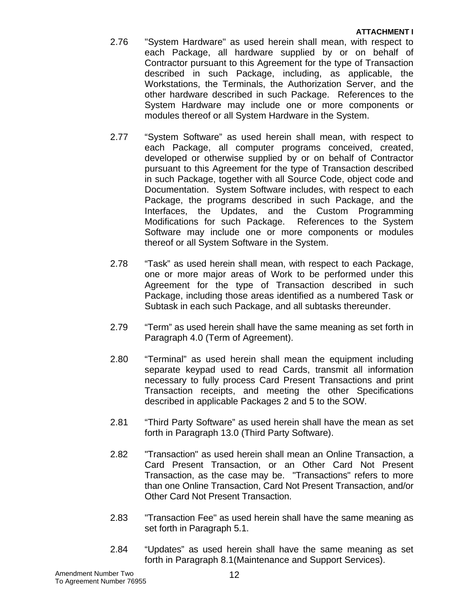- 2.76 "System Hardware" as used herein shall mean, with respect to each Package, all hardware supplied by or on behalf of Contractor pursuant to this Agreement for the type of Transaction described in such Package, including, as applicable, the Workstations, the Terminals, the Authorization Server, and the other hardware described in such Package. References to the System Hardware may include one or more components or modules thereof or all System Hardware in the System.
- 2.77 "System Software" as used herein shall mean, with respect to each Package, all computer programs conceived, created, developed or otherwise supplied by or on behalf of Contractor pursuant to this Agreement for the type of Transaction described in such Package, together with all Source Code, object code and Documentation. System Software includes, with respect to each Package, the programs described in such Package, and the Interfaces, the Updates, and the Custom Programming Modifications for such Package. References to the System Software may include one or more components or modules thereof or all System Software in the System.
- 2.78 "Task" as used herein shall mean, with respect to each Package, one or more major areas of Work to be performed under this Agreement for the type of Transaction described in such Package, including those areas identified as a numbered Task or Subtask in each such Package, and all subtasks thereunder.
- 2.79 "Term" as used herein shall have the same meaning as set forth in Paragraph 4.0 (Term of Agreement).
- 2.80 "Terminal" as used herein shall mean the equipment including separate keypad used to read Cards, transmit all information necessary to fully process Card Present Transactions and print Transaction receipts, and meeting the other Specifications described in applicable Packages 2 and 5 to the SOW.
- 2.81 "Third Party Software" as used herein shall have the mean as set forth in Paragraph 13.0 (Third Party Software).
- 2.82 "Transaction" as used herein shall mean an Online Transaction, a Card Present Transaction, or an Other Card Not Present Transaction, as the case may be. "Transactions" refers to more than one Online Transaction, Card Not Present Transaction, and/or Other Card Not Present Transaction.
- 2.83 "Transaction Fee" as used herein shall have the same meaning as set forth in Paragraph 5.1.
- 2.84 "Updates" as used herein shall have the same meaning as set forth in Paragraph 8.1(Maintenance and Support Services).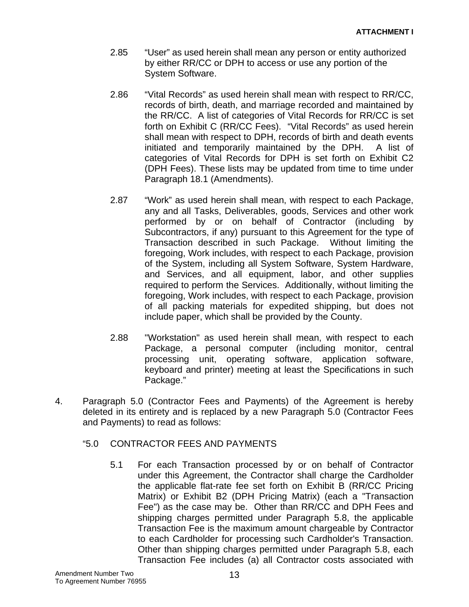- 2.85 "User" as used herein shall mean any person or entity authorized by either RR/CC or DPH to access or use any portion of the System Software.
- 2.86 "Vital Records" as used herein shall mean with respect to RR/CC, records of birth, death, and marriage recorded and maintained by the RR/CC. A list of categories of Vital Records for RR/CC is set forth on Exhibit C (RR/CC Fees). "Vital Records" as used herein shall mean with respect to DPH, records of birth and death events initiated and temporarily maintained by the DPH. A list of categories of Vital Records for DPH is set forth on Exhibit C2 (DPH Fees). These lists may be updated from time to time under Paragraph 18.1 (Amendments).
- 2.87 "Work" as used herein shall mean, with respect to each Package, any and all Tasks, Deliverables, goods, Services and other work performed by or on behalf of Contractor (including by Subcontractors, if any) pursuant to this Agreement for the type of Transaction described in such Package. Without limiting the foregoing, Work includes, with respect to each Package, provision of the System, including all System Software, System Hardware, and Services, and all equipment, labor, and other supplies required to perform the Services. Additionally, without limiting the foregoing, Work includes, with respect to each Package, provision of all packing materials for expedited shipping, but does not include paper, which shall be provided by the County.
- 2.88 "Workstation" as used herein shall mean, with respect to each Package, a personal computer (including monitor, central processing unit, operating software, application software, keyboard and printer) meeting at least the Specifications in such Package."
- 4. Paragraph 5.0 (Contractor Fees and Payments) of the Agreement is hereby deleted in its entirety and is replaced by a new Paragraph 5.0 (Contractor Fees and Payments) to read as follows:

# "5.0 CONTRACTOR FEES AND PAYMENTS

 5.1 For each Transaction processed by or on behalf of Contractor under this Agreement, the Contractor shall charge the Cardholder the applicable flat-rate fee set forth on Exhibit B (RR/CC Pricing Matrix) or Exhibit B2 (DPH Pricing Matrix) (each a "Transaction Fee") as the case may be. Other than RR/CC and DPH Fees and shipping charges permitted under Paragraph 5.8, the applicable Transaction Fee is the maximum amount chargeable by Contractor to each Cardholder for processing such Cardholder's Transaction. Other than shipping charges permitted under Paragraph 5.8, each Transaction Fee includes (a) all Contractor costs associated with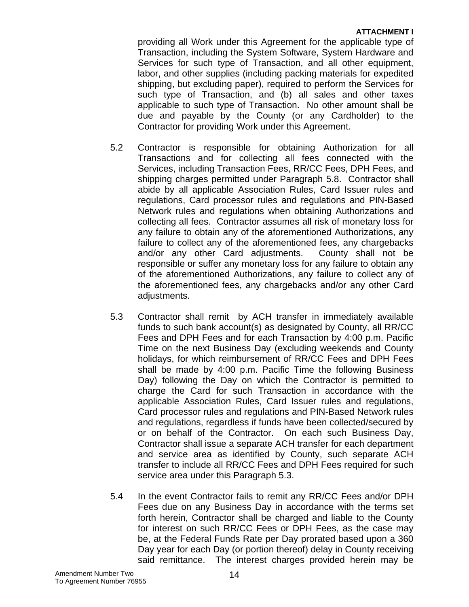## **ATTACHMENT I**

providing all Work under this Agreement for the applicable type of Transaction, including the System Software, System Hardware and Services for such type of Transaction, and all other equipment, labor, and other supplies (including packing materials for expedited shipping, but excluding paper), required to perform the Services for such type of Transaction, and (b) all sales and other taxes applicable to such type of Transaction. No other amount shall be due and payable by the County (or any Cardholder) to the Contractor for providing Work under this Agreement.

- 5.2 Contractor is responsible for obtaining Authorization for all Transactions and for collecting all fees connected with the Services, including Transaction Fees, RR/CC Fees, DPH Fees, and shipping charges permitted under Paragraph 5.8. Contractor shall abide by all applicable Association Rules, Card Issuer rules and regulations, Card processor rules and regulations and PIN-Based Network rules and regulations when obtaining Authorizations and collecting all fees. Contractor assumes all risk of monetary loss for any failure to obtain any of the aforementioned Authorizations, any failure to collect any of the aforementioned fees, any chargebacks and/or any other Card adjustments. County shall not be responsible or suffer any monetary loss for any failure to obtain any of the aforementioned Authorizations, any failure to collect any of the aforementioned fees, any chargebacks and/or any other Card adjustments.
- 5.3 Contractor shall remit by ACH transfer in immediately available funds to such bank account(s) as designated by County, all RR/CC Fees and DPH Fees and for each Transaction by 4:00 p.m. Pacific Time on the next Business Day (excluding weekends and County holidays, for which reimbursement of RR/CC Fees and DPH Fees shall be made by 4:00 p.m. Pacific Time the following Business Day) following the Day on which the Contractor is permitted to charge the Card for such Transaction in accordance with the applicable Association Rules, Card Issuer rules and regulations, Card processor rules and regulations and PIN-Based Network rules and regulations, regardless if funds have been collected/secured by or on behalf of the Contractor. On each such Business Day, Contractor shall issue a separate ACH transfer for each department and service area as identified by County, such separate ACH transfer to include all RR/CC Fees and DPH Fees required for such service area under this Paragraph 5.3.
- 5.4 In the event Contractor fails to remit any RR/CC Fees and/or DPH Fees due on any Business Day in accordance with the terms set forth herein, Contractor shall be charged and liable to the County for interest on such RR/CC Fees or DPH Fees, as the case may be, at the Federal Funds Rate per Day prorated based upon a 360 Day year for each Day (or portion thereof) delay in County receiving said remittance. The interest charges provided herein may be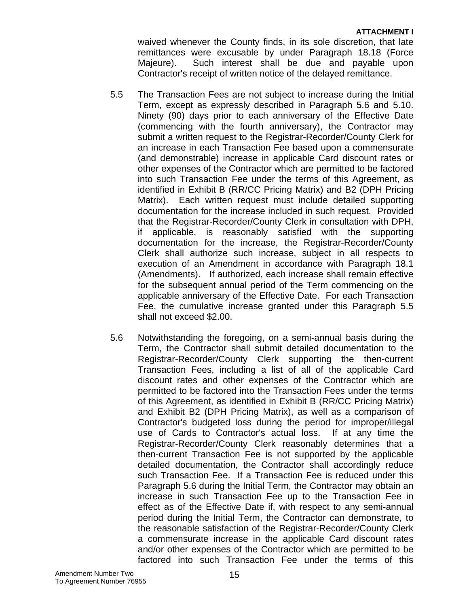#### **ATTACHMENT I**

waived whenever the County finds, in its sole discretion, that late remittances were excusable by under Paragraph 18.18 (Force Majeure). Such interest shall be due and payable upon Contractor's receipt of written notice of the delayed remittance.

- 5.5 The Transaction Fees are not subject to increase during the Initial Term, except as expressly described in Paragraph 5.6 and 5.10. Ninety (90) days prior to each anniversary of the Effective Date (commencing with the fourth anniversary), the Contractor may submit a written request to the Registrar-Recorder/County Clerk for an increase in each Transaction Fee based upon a commensurate (and demonstrable) increase in applicable Card discount rates or other expenses of the Contractor which are permitted to be factored into such Transaction Fee under the terms of this Agreement, as identified in Exhibit B (RR/CC Pricing Matrix) and B2 (DPH Pricing Matrix). Each written request must include detailed supporting documentation for the increase included in such request. Provided that the Registrar-Recorder/County Clerk in consultation with DPH, if applicable, is reasonably satisfied with the supporting documentation for the increase, the Registrar-Recorder/County Clerk shall authorize such increase, subject in all respects to execution of an Amendment in accordance with Paragraph 18.1 (Amendments). If authorized, each increase shall remain effective for the subsequent annual period of the Term commencing on the applicable anniversary of the Effective Date. For each Transaction Fee, the cumulative increase granted under this Paragraph 5.5 shall not exceed \$2.00.
- 5.6 Notwithstanding the foregoing, on a semi-annual basis during the Term, the Contractor shall submit detailed documentation to the Registrar-Recorder/County Clerk supporting the then-current Transaction Fees, including a list of all of the applicable Card discount rates and other expenses of the Contractor which are permitted to be factored into the Transaction Fees under the terms of this Agreement, as identified in Exhibit B (RR/CC Pricing Matrix) and Exhibit B2 (DPH Pricing Matrix), as well as a comparison of Contractor's budgeted loss during the period for improper/illegal use of Cards to Contractor's actual loss. If at any time the Registrar-Recorder/County Clerk reasonably determines that a then-current Transaction Fee is not supported by the applicable detailed documentation, the Contractor shall accordingly reduce such Transaction Fee. If a Transaction Fee is reduced under this Paragraph 5.6 during the Initial Term, the Contractor may obtain an increase in such Transaction Fee up to the Transaction Fee in effect as of the Effective Date if, with respect to any semi-annual period during the Initial Term, the Contractor can demonstrate, to the reasonable satisfaction of the Registrar-Recorder/County Clerk a commensurate increase in the applicable Card discount rates and/or other expenses of the Contractor which are permitted to be factored into such Transaction Fee under the terms of this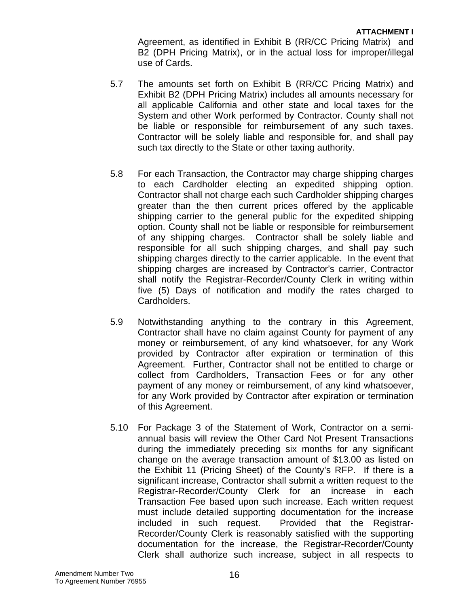Agreement, as identified in Exhibit B (RR/CC Pricing Matrix) and B2 (DPH Pricing Matrix), or in the actual loss for improper/illegal use of Cards.

- 5.7 The amounts set forth on Exhibit B (RR/CC Pricing Matrix) and Exhibit B2 (DPH Pricing Matrix) includes all amounts necessary for all applicable California and other state and local taxes for the System and other Work performed by Contractor. County shall not be liable or responsible for reimbursement of any such taxes. Contractor will be solely liable and responsible for, and shall pay such tax directly to the State or other taxing authority.
- 5.8 For each Transaction, the Contractor may charge shipping charges to each Cardholder electing an expedited shipping option. Contractor shall not charge each such Cardholder shipping charges greater than the then current prices offered by the applicable shipping carrier to the general public for the expedited shipping option. County shall not be liable or responsible for reimbursement of any shipping charges. Contractor shall be solely liable and responsible for all such shipping charges, and shall pay such shipping charges directly to the carrier applicable. In the event that shipping charges are increased by Contractor's carrier, Contractor shall notify the Registrar-Recorder/County Clerk in writing within five (5) Days of notification and modify the rates charged to Cardholders.
- 5.9 Notwithstanding anything to the contrary in this Agreement, Contractor shall have no claim against County for payment of any money or reimbursement, of any kind whatsoever, for any Work provided by Contractor after expiration or termination of this Agreement. Further, Contractor shall not be entitled to charge or collect from Cardholders, Transaction Fees or for any other payment of any money or reimbursement, of any kind whatsoever, for any Work provided by Contractor after expiration or termination of this Agreement.
- 5.10 For Package 3 of the Statement of Work, Contractor on a semiannual basis will review the Other Card Not Present Transactions during the immediately preceding six months for any significant change on the average transaction amount of \$13.00 as listed on the Exhibit 11 (Pricing Sheet) of the County's RFP. If there is a significant increase, Contractor shall submit a written request to the Registrar-Recorder/County Clerk for an increase in each Transaction Fee based upon such increase. Each written request must include detailed supporting documentation for the increase included in such request. Provided that the Registrar-Recorder/County Clerk is reasonably satisfied with the supporting documentation for the increase, the Registrar-Recorder/County Clerk shall authorize such increase, subject in all respects to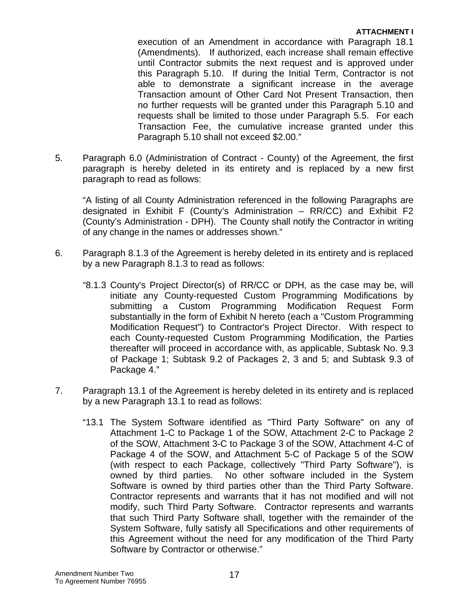## **ATTACHMENT I**

execution of an Amendment in accordance with Paragraph 18.1 (Amendments). If authorized, each increase shall remain effective until Contractor submits the next request and is approved under this Paragraph 5.10. If during the Initial Term, Contractor is not able to demonstrate a significant increase in the average Transaction amount of Other Card Not Present Transaction, then no further requests will be granted under this Paragraph 5.10 and requests shall be limited to those under Paragraph 5.5. For each Transaction Fee, the cumulative increase granted under this Paragraph 5.10 shall not exceed \$2.00."

5. Paragraph 6.0 (Administration of Contract - County) of the Agreement, the first paragraph is hereby deleted in its entirety and is replaced by a new first paragraph to read as follows:

"A listing of all County Administration referenced in the following Paragraphs are designated in Exhibit F (County's Administration – RR/CC) and Exhibit F2 (County's Administration - DPH). The County shall notify the Contractor in writing of any change in the names or addresses shown."

- 6. Paragraph 8.1.3 of the Agreement is hereby deleted in its entirety and is replaced by a new Paragraph 8.1.3 to read as follows:
	- "8.1.3 County's Project Director(s) of RR/CC or DPH, as the case may be, will initiate any County-requested Custom Programming Modifications by submitting a Custom Programming Modification Request Form substantially in the form of Exhibit N hereto (each a "Custom Programming Modification Request") to Contractor's Project Director. With respect to each County-requested Custom Programming Modification, the Parties thereafter will proceed in accordance with, as applicable, Subtask No. 9.3 of Package 1; Subtask 9.2 of Packages 2, 3 and 5; and Subtask 9.3 of Package 4."
- 7. Paragraph 13.1 of the Agreement is hereby deleted in its entirety and is replaced by a new Paragraph 13.1 to read as follows:
	- "13.1 The System Software identified as "Third Party Software" on any of Attachment 1-C to Package 1 of the SOW, Attachment 2-C to Package 2 of the SOW, Attachment 3-C to Package 3 of the SOW, Attachment 4-C of Package 4 of the SOW, and Attachment 5-C of Package 5 of the SOW (with respect to each Package, collectively "Third Party Software"), is owned by third parties. No other software included in the System Software is owned by third parties other than the Third Party Software. Contractor represents and warrants that it has not modified and will not modify, such Third Party Software. Contractor represents and warrants that such Third Party Software shall, together with the remainder of the System Software, fully satisfy all Specifications and other requirements of this Agreement without the need for any modification of the Third Party Software by Contractor or otherwise."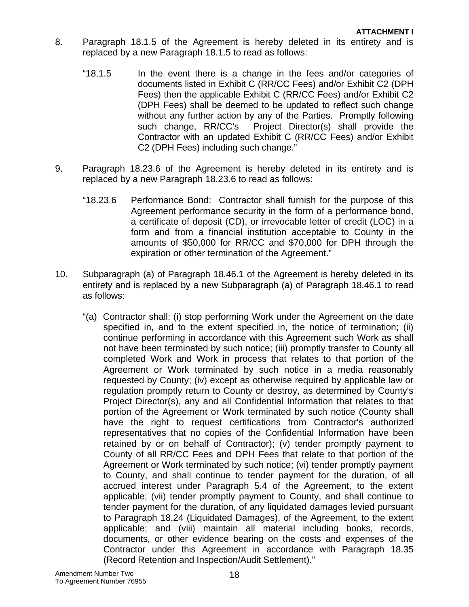- 8. Paragraph 18.1.5 of the Agreement is hereby deleted in its entirety and is replaced by a new Paragraph 18.1.5 to read as follows:
	- "18.1.5 In the event there is a change in the fees and/or categories of documents listed in Exhibit C (RR/CC Fees) and/or Exhibit C2 (DPH Fees) then the applicable Exhibit C (RR/CC Fees) and/or Exhibit C2 (DPH Fees) shall be deemed to be updated to reflect such change without any further action by any of the Parties. Promptly following such change, RR/CC's Project Director(s) shall provide the Contractor with an updated Exhibit C (RR/CC Fees) and/or Exhibit C2 (DPH Fees) including such change."
- 9. Paragraph 18.23.6 of the Agreement is hereby deleted in its entirety and is replaced by a new Paragraph 18.23.6 to read as follows:
	- "18.23.6 Performance Bond: Contractor shall furnish for the purpose of this Agreement performance security in the form of a performance bond, a certificate of deposit (CD), or irrevocable letter of credit (LOC) in a form and from a financial institution acceptable to County in the amounts of \$50,000 for RR/CC and \$70,000 for DPH through the expiration or other termination of the Agreement."
- 10. Subparagraph (a) of Paragraph 18.46.1 of the Agreement is hereby deleted in its entirety and is replaced by a new Subparagraph (a) of Paragraph 18.46.1 to read as follows:
	- "(a) Contractor shall: (i) stop performing Work under the Agreement on the date specified in, and to the extent specified in, the notice of termination; (ii) continue performing in accordance with this Agreement such Work as shall not have been terminated by such notice; (iii) promptly transfer to County all completed Work and Work in process that relates to that portion of the Agreement or Work terminated by such notice in a media reasonably requested by County; (iv) except as otherwise required by applicable law or regulation promptly return to County or destroy, as determined by County's Project Director(s), any and all Confidential Information that relates to that portion of the Agreement or Work terminated by such notice (County shall have the right to request certifications from Contractor's authorized representatives that no copies of the Confidential Information have been retained by or on behalf of Contractor); (v) tender promptly payment to County of all RR/CC Fees and DPH Fees that relate to that portion of the Agreement or Work terminated by such notice; (vi) tender promptly payment to County, and shall continue to tender payment for the duration, of all accrued interest under Paragraph 5.4 of the Agreement, to the extent applicable; (vii) tender promptly payment to County, and shall continue to tender payment for the duration, of any liquidated damages levied pursuant to Paragraph 18.24 (Liquidated Damages), of the Agreement, to the extent applicable; and (viii) maintain all material including books, records, documents, or other evidence bearing on the costs and expenses of the Contractor under this Agreement in accordance with Paragraph 18.35 (Record Retention and Inspection/Audit Settlement)."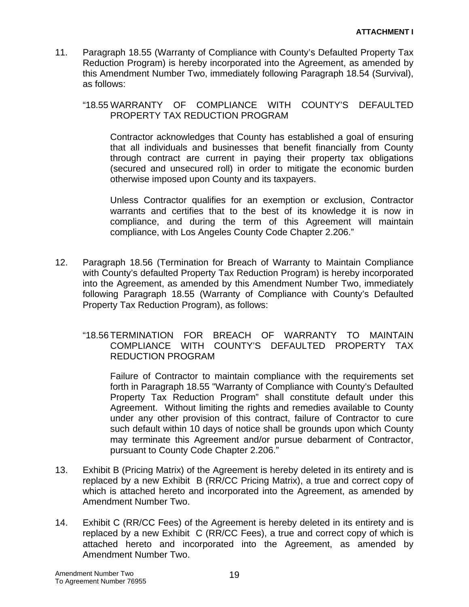11. Paragraph 18.55 (Warranty of Compliance with County's Defaulted Property Tax Reduction Program) is hereby incorporated into the Agreement, as amended by this Amendment Number Two, immediately following Paragraph 18.54 (Survival), as follows:

# "18.55 WARRANTY OF COMPLIANCE WITH COUNTY'S DEFAULTED PROPERTY TAX REDUCTION PROGRAM

Contractor acknowledges that County has established a goal of ensuring that all individuals and businesses that benefit financially from County through contract are current in paying their property tax obligations (secured and unsecured roll) in order to mitigate the economic burden otherwise imposed upon County and its taxpayers.

Unless Contractor qualifies for an exemption or exclusion, Contractor warrants and certifies that to the best of its knowledge it is now in compliance, and during the term of this Agreement will maintain compliance, with Los Angeles County Code Chapter 2.206."

- 12. Paragraph 18.56 (Termination for Breach of Warranty to Maintain Compliance with County's defaulted Property Tax Reduction Program) is hereby incorporated into the Agreement, as amended by this Amendment Number Two, immediately following Paragraph 18.55 (Warranty of Compliance with County's Defaulted Property Tax Reduction Program), as follows:
	- "18.56 TERMINATION FOR BREACH OF WARRANTY TO MAINTAIN COMPLIANCE WITH COUNTY'S DEFAULTED PROPERTY TAX REDUCTION PROGRAM

Failure of Contractor to maintain compliance with the requirements set forth in Paragraph 18.55 "Warranty of Compliance with County's Defaulted Property Tax Reduction Program" shall constitute default under this Agreement. Without limiting the rights and remedies available to County under any other provision of this contract, failure of Contractor to cure such default within 10 days of notice shall be grounds upon which County may terminate this Agreement and/or pursue debarment of Contractor, pursuant to County Code Chapter 2.206."

- 13. Exhibit B (Pricing Matrix) of the Agreement is hereby deleted in its entirety and is replaced by a new Exhibit B (RR/CC Pricing Matrix), a true and correct copy of which is attached hereto and incorporated into the Agreement, as amended by Amendment Number Two.
- 14. Exhibit C (RR/CC Fees) of the Agreement is hereby deleted in its entirety and is replaced by a new Exhibit C (RR/CC Fees), a true and correct copy of which is attached hereto and incorporated into the Agreement, as amended by Amendment Number Two.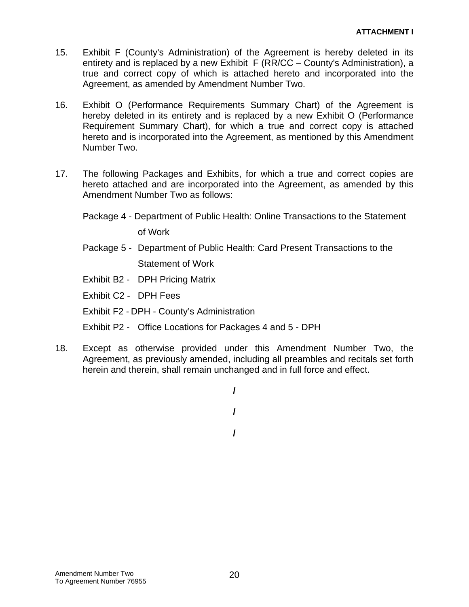- 15. Exhibit F (County's Administration) of the Agreement is hereby deleted in its entirety and is replaced by a new Exhibit F (RR/CC – County's Administration), a true and correct copy of which is attached hereto and incorporated into the Agreement, as amended by Amendment Number Two.
- 16. Exhibit O (Performance Requirements Summary Chart) of the Agreement is hereby deleted in its entirety and is replaced by a new Exhibit O (Performance Requirement Summary Chart), for which a true and correct copy is attached hereto and is incorporated into the Agreement, as mentioned by this Amendment Number Two.
- 17. The following Packages and Exhibits, for which a true and correct copies are hereto attached and are incorporated into the Agreement, as amended by this Amendment Number Two as follows:
	- Package 4 Department of Public Health: Online Transactions to the Statement of Work
	- Package 5 Department of Public Health: Card Present Transactions to the Statement of Work
	- Exhibit B2 DPH Pricing Matrix
	- Exhibit C2 DPH Fees
	- Exhibit F2 DPH County's Administration
	- Exhibit P2 Office Locations for Packages 4 and 5 DPH
- 18. Except as otherwise provided under this Amendment Number Two, the Agreement, as previously amended, including all preambles and recitals set forth herein and therein, shall remain unchanged and in full force and effect.

**/** 

**/** 

**/**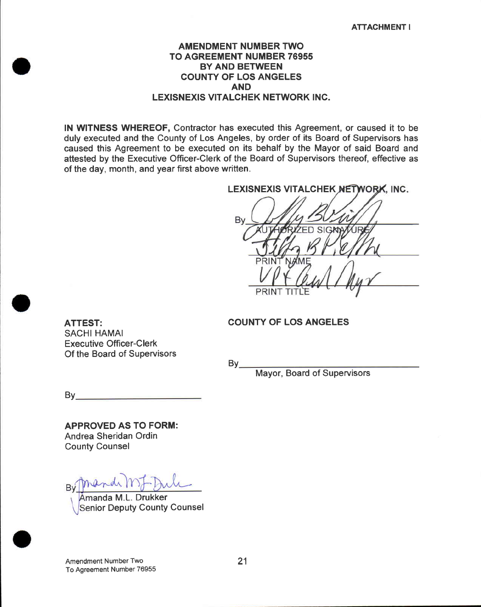## **AMENDMENT NUMBER TWO TO AGREEMENT NUMBER 76955 BY AND BETWEEN COUNTY OF LOS ANGELES AND LEXISNEXIS VITALCHEK NETWORK INC.**

IN WITNESS WHEREOF, Contractor has executed this Agreement, or caused it to be duly executed and the County of Los Angeles, by order of its Board of Supervisors has caused this Agreement to be executed on its behalf by the Mayor of said Board and attested by the Executive Officer-Clerk of the Board of Supervisors thereof, effective as of the day, month, and year first above written.

LEXISNEXIS VITALCHEK NETWORK, INC.

Bv  $SIG$ 

#### **COUNTY OF LOS ANGELES**

 $By_$ 

Mayor, Board of Supervisors

 $By$ 

**APPROVED AS TO FORM:** Andrea Sheridan Ordin **County Counsel** 

**Executive Officer-Clerk** Of the Board of Supervisors

**ATTEST: SACHI HAMAI** 

Bv

Amanda M.L. Drukker **Senior Deputy County Counsel** 

Amendment Number Two To Agreement Number 76955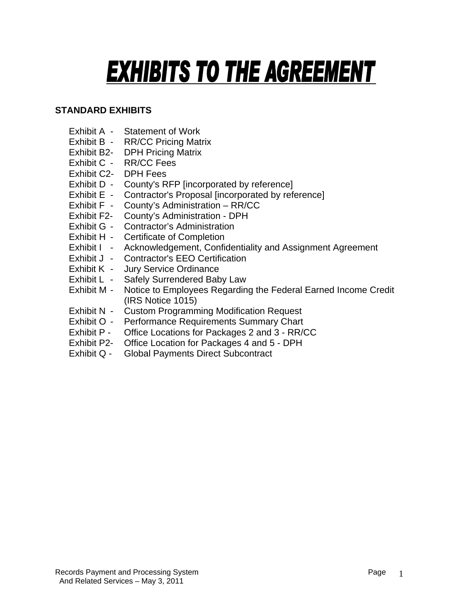# **EXHIBITS TO THE AGREEMENT**

# **STANDARD EXHIBITS**

- Exhibit A Statement of Work
- Exhibit B RR/CC Pricing Matrix
- Exhibit B2- DPH Pricing Matrix
- Exhibit C RR/CC Fees
- Exhibit C2- DPH Fees
- Exhibit D County's RFP [incorporated by reference]
- Exhibit E Contractor's Proposal [incorporated by reference]
- Exhibit F County's Administration RR/CC
- Exhibit F2- County's Administration DPH
- Exhibit G Contractor's Administration
- Exhibit H Certificate of Completion
- Exhibit I Acknowledgement, Confidentiality and Assignment Agreement
- Exhibit J Contractor's EEO Certification
- Exhibit K Jury Service Ordinance
- Exhibit L Safely Surrendered Baby Law
- Exhibit M Notice to Employees Regarding the Federal Earned Income Credit (IRS Notice 1015)
- Exhibit N Custom Programming Modification Request
- Exhibit O Performance Requirements Summary Chart
- Exhibit P Office Locations for Packages 2 and 3 RR/CC
- Exhibit P2- Office Location for Packages 4 and 5 DPH
- Exhibit Q Global Payments Direct Subcontract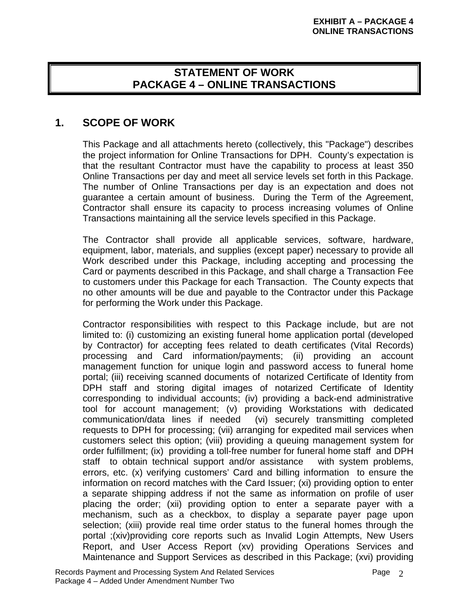# **STATEMENT OF WORK PACKAGE 4 – ONLINE TRANSACTIONS**

# **1. SCOPE OF WORK**

This Package and all attachments hereto (collectively, this "Package") describes the project information for Online Transactions for DPH. County's expectation is that the resultant Contractor must have the capability to process at least 350 Online Transactions per day and meet all service levels set forth in this Package. The number of Online Transactions per day is an expectation and does not guarantee a certain amount of business. During the Term of the Agreement, Contractor shall ensure its capacity to process increasing volumes of Online Transactions maintaining all the service levels specified in this Package.

The Contractor shall provide all applicable services, software, hardware, equipment, labor, materials, and supplies (except paper) necessary to provide all Work described under this Package, including accepting and processing the Card or payments described in this Package, and shall charge a Transaction Fee to customers under this Package for each Transaction. The County expects that no other amounts will be due and payable to the Contractor under this Package for performing the Work under this Package.

Contractor responsibilities with respect to this Package include, but are not limited to: (i) customizing an existing funeral home application portal (developed by Contractor) for accepting fees related to death certificates (Vital Records) processing and Card information/payments; (ii) providing an account management function for unique login and password access to funeral home portal; (iii) receiving scanned documents of notarized Certificate of Identity from DPH staff and storing digital images of notarized Certificate of Identity corresponding to individual accounts; (iv) providing a back-end administrative tool for account management; (v) providing Workstations with dedicated communication/data lines if needed (vi) securely transmitting completed requests to DPH for processing; (vii) arranging for expedited mail services when customers select this option; (viii) providing a queuing management system for order fulfillment; (ix) providing a toll-free number for funeral home staff and DPH staff to obtain technical support and/or assistance with system problems, errors, etc. (x) verifying customers' Card and billing information to ensure the information on record matches with the Card Issuer; (xi) providing option to enter a separate shipping address if not the same as information on profile of user placing the order; (xii) providing option to enter a separate payer with a mechanism, such as a checkbox, to display a separate payer page upon selection; (xiii) provide real time order status to the funeral homes through the portal ;(xiv)providing core reports such as Invalid Login Attempts, New Users Report, and User Access Report (xv) providing Operations Services and Maintenance and Support Services as described in this Package; (xvi) providing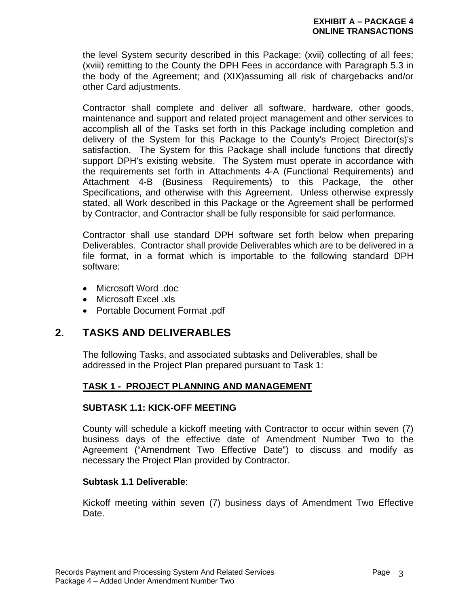the level System security described in this Package; (xvii) collecting of all fees; (xviii) remitting to the County the DPH Fees in accordance with Paragraph 5.3 in the body of the Agreement; and (XIX)assuming all risk of chargebacks and/or other Card adjustments.

Contractor shall complete and deliver all software, hardware, other goods, maintenance and support and related project management and other services to accomplish all of the Tasks set forth in this Package including completion and delivery of the System for this Package to the County's Project Director(s)'s satisfaction. The System for this Package shall include functions that directly support DPH's existing website. The System must operate in accordance with the requirements set forth in Attachments 4-A (Functional Requirements) and Attachment 4-B (Business Requirements) to this Package, the other Specifications, and otherwise with this Agreement. Unless otherwise expressly stated, all Work described in this Package or the Agreement shall be performed by Contractor, and Contractor shall be fully responsible for said performance.

Contractor shall use standard DPH software set forth below when preparing Deliverables. Contractor shall provide Deliverables which are to be delivered in a file format, in a format which is importable to the following standard DPH software:

- Microsoft Word .doc
- Microsoft Excel .xls
- Portable Document Format .pdf

# **2. TASKS AND DELIVERABLES**

The following Tasks, and associated subtasks and Deliverables, shall be addressed in the Project Plan prepared pursuant to Task 1:

# **TASK 1 - PROJECT PLANNING AND MANAGEMENT**

# **SUBTASK 1.1: KICK-OFF MEETING**

County will schedule a kickoff meeting with Contractor to occur within seven (7) business days of the effective date of Amendment Number Two to the Agreement ("Amendment Two Effective Date") to discuss and modify as necessary the Project Plan provided by Contractor.

# **Subtask 1.1 Deliverable**:

Kickoff meeting within seven (7) business days of Amendment Two Effective Date.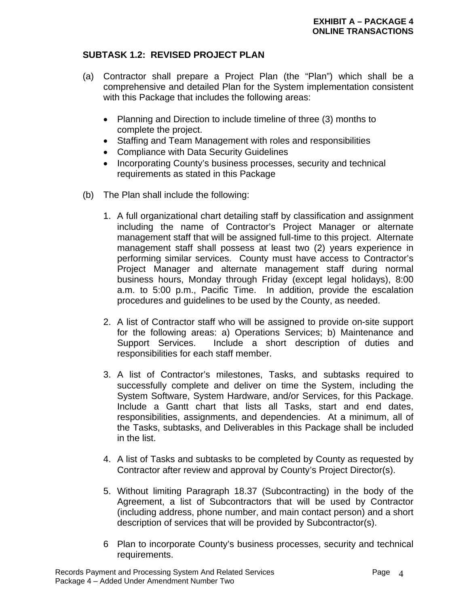# **SUBTASK 1.2: REVISED PROJECT PLAN**

- (a) Contractor shall prepare a Project Plan (the "Plan") which shall be a comprehensive and detailed Plan for the System implementation consistent with this Package that includes the following areas:
	- Planning and Direction to include timeline of three (3) months to complete the project.
	- Staffing and Team Management with roles and responsibilities
	- Compliance with Data Security Guidelines
	- Incorporating County's business processes, security and technical requirements as stated in this Package
- (b) The Plan shall include the following:
	- 1. A full organizational chart detailing staff by classification and assignment including the name of Contractor's Project Manager or alternate management staff that will be assigned full-time to this project. Alternate management staff shall possess at least two (2) years experience in performing similar services. County must have access to Contractor's Project Manager and alternate management staff during normal business hours, Monday through Friday (except legal holidays), 8:00 a.m. to 5:00 p.m., Pacific Time. In addition, provide the escalation procedures and guidelines to be used by the County, as needed.
	- 2. A list of Contractor staff who will be assigned to provide on-site support for the following areas: a) Operations Services; b) Maintenance and Support Services. Include a short description of duties and responsibilities for each staff member.
	- 3. A list of Contractor's milestones, Tasks, and subtasks required to successfully complete and deliver on time the System, including the System Software, System Hardware, and/or Services, for this Package. Include a Gantt chart that lists all Tasks, start and end dates, responsibilities, assignments, and dependencies. At a minimum, all of the Tasks, subtasks, and Deliverables in this Package shall be included in the list.
	- 4. A list of Tasks and subtasks to be completed by County as requested by Contractor after review and approval by County's Project Director(s).
	- 5. Without limiting Paragraph 18.37 (Subcontracting) in the body of the Agreement, a list of Subcontractors that will be used by Contractor (including address, phone number, and main contact person) and a short description of services that will be provided by Subcontractor(s).
	- 6 Plan to incorporate County's business processes, security and technical requirements.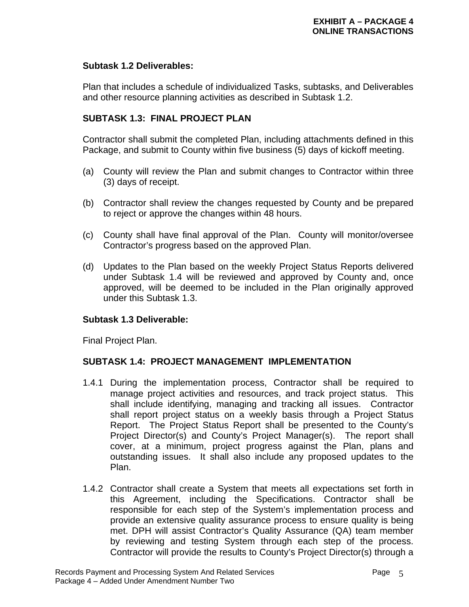# **Subtask 1.2 Deliverables:**

Plan that includes a schedule of individualized Tasks, subtasks, and Deliverables and other resource planning activities as described in Subtask 1.2.

# **SUBTASK 1.3: FINAL PROJECT PLAN**

Contractor shall submit the completed Plan, including attachments defined in this Package, and submit to County within five business (5) days of kickoff meeting.

- (a) County will review the Plan and submit changes to Contractor within three (3) days of receipt.
- (b) Contractor shall review the changes requested by County and be prepared to reject or approve the changes within 48 hours.
- (c) County shall have final approval of the Plan. County will monitor/oversee Contractor's progress based on the approved Plan.
- (d) Updates to the Plan based on the weekly Project Status Reports delivered under Subtask 1.4 will be reviewed and approved by County and, once approved, will be deemed to be included in the Plan originally approved under this Subtask 1.3.

# **Subtask 1.3 Deliverable:**

Final Project Plan.

# **SUBTASK 1.4: PROJECT MANAGEMENT IMPLEMENTATION**

- 1.4.1 During the implementation process, Contractor shall be required to manage project activities and resources, and track project status. This shall include identifying, managing and tracking all issues. Contractor shall report project status on a weekly basis through a Project Status Report. The Project Status Report shall be presented to the County's Project Director(s) and County's Project Manager(s). The report shall cover, at a minimum, project progress against the Plan, plans and outstanding issues. It shall also include any proposed updates to the Plan.
- 1.4.2 Contractor shall create a System that meets all expectations set forth in this Agreement, including the Specifications. Contractor shall be responsible for each step of the System's implementation process and provide an extensive quality assurance process to ensure quality is being met. DPH will assist Contractor's Quality Assurance (QA) team member by reviewing and testing System through each step of the process. Contractor will provide the results to County's Project Director(s) through a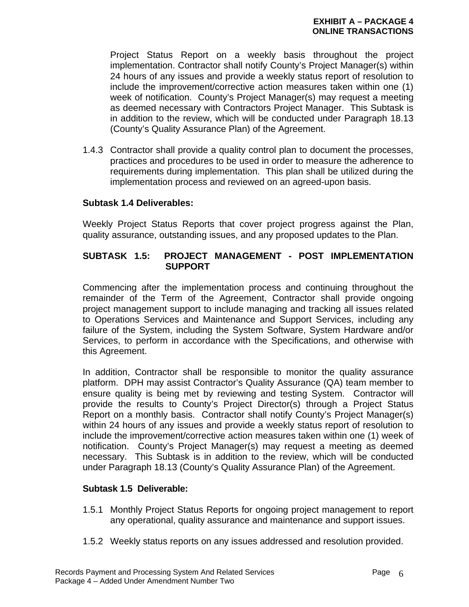Project Status Report on a weekly basis throughout the project implementation. Contractor shall notify County's Project Manager(s) within 24 hours of any issues and provide a weekly status report of resolution to include the improvement/corrective action measures taken within one (1) week of notification. County's Project Manager(s) may request a meeting as deemed necessary with Contractors Project Manager. This Subtask is in addition to the review, which will be conducted under Paragraph 18.13 (County's Quality Assurance Plan) of the Agreement.

1.4.3 Contractor shall provide a quality control plan to document the processes, practices and procedures to be used in order to measure the adherence to requirements during implementation. This plan shall be utilized during the implementation process and reviewed on an agreed-upon basis.

# **Subtask 1.4 Deliverables:**

Weekly Project Status Reports that cover project progress against the Plan, quality assurance, outstanding issues, and any proposed updates to the Plan.

# **SUBTASK 1.5: PROJECT MANAGEMENT - POST IMPLEMENTATION SUPPORT**

Commencing after the implementation process and continuing throughout the remainder of the Term of the Agreement, Contractor shall provide ongoing project management support to include managing and tracking all issues related to Operations Services and Maintenance and Support Services, including any failure of the System, including the System Software, System Hardware and/or Services, to perform in accordance with the Specifications, and otherwise with this Agreement.

In addition, Contractor shall be responsible to monitor the quality assurance platform. DPH may assist Contractor's Quality Assurance (QA) team member to ensure quality is being met by reviewing and testing System. Contractor will provide the results to County's Project Director(s) through a Project Status Report on a monthly basis. Contractor shall notify County's Project Manager(s) within 24 hours of any issues and provide a weekly status report of resolution to include the improvement/corrective action measures taken within one (1) week of notification. County's Project Manager(s) may request a meeting as deemed necessary. This Subtask is in addition to the review, which will be conducted under Paragraph 18.13 (County's Quality Assurance Plan) of the Agreement.

## **Subtask 1.5 Deliverable:**

- 1.5.1 Monthly Project Status Reports for ongoing project management to report any operational, quality assurance and maintenance and support issues.
- 1.5.2 Weekly status reports on any issues addressed and resolution provided.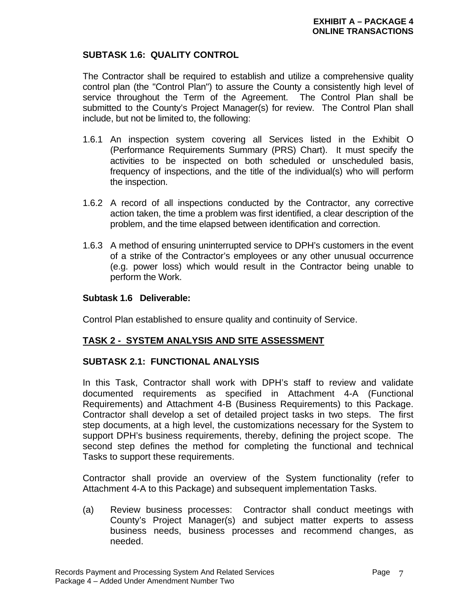# **SUBTASK 1.6: QUALITY CONTROL**

The Contractor shall be required to establish and utilize a comprehensive quality control plan (the "Control Plan") to assure the County a consistently high level of service throughout the Term of the Agreement. The Control Plan shall be submitted to the County's Project Manager(s) for review. The Control Plan shall include, but not be limited to, the following:

- 1.6.1 An inspection system covering all Services listed in the Exhibit O (Performance Requirements Summary (PRS) Chart). It must specify the activities to be inspected on both scheduled or unscheduled basis, frequency of inspections, and the title of the individual(s) who will perform the inspection.
- 1.6.2 A record of all inspections conducted by the Contractor, any corrective action taken, the time a problem was first identified, a clear description of the problem, and the time elapsed between identification and correction.
- 1.6.3 A method of ensuring uninterrupted service to DPH's customers in the event of a strike of the Contractor's employees or any other unusual occurrence (e.g. power loss) which would result in the Contractor being unable to perform the Work.

## **Subtask 1.6 Deliverable:**

Control Plan established to ensure quality and continuity of Service.

# **TASK 2 - SYSTEM ANALYSIS AND SITE ASSESSMENT**

# **SUBTASK 2.1: FUNCTIONAL ANALYSIS**

In this Task, Contractor shall work with DPH's staff to review and validate documented requirements as specified in Attachment 4-A (Functional Requirements) and Attachment 4-B (Business Requirements) to this Package. Contractor shall develop a set of detailed project tasks in two steps. The first step documents, at a high level, the customizations necessary for the System to support DPH's business requirements, thereby, defining the project scope. The second step defines the method for completing the functional and technical Tasks to support these requirements.

Contractor shall provide an overview of the System functionality (refer to Attachment 4-A to this Package) and subsequent implementation Tasks.

(a) Review business processes: Contractor shall conduct meetings with County's Project Manager(s) and subject matter experts to assess business needs, business processes and recommend changes, as needed.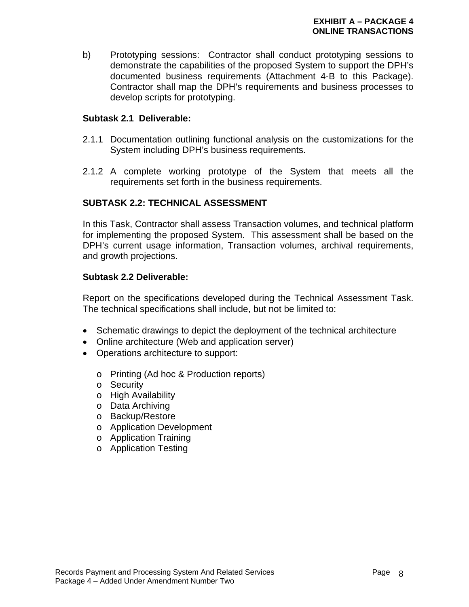b) Prototyping sessions: Contractor shall conduct prototyping sessions to demonstrate the capabilities of the proposed System to support the DPH's documented business requirements (Attachment 4-B to this Package). Contractor shall map the DPH's requirements and business processes to develop scripts for prototyping.

# **Subtask 2.1 Deliverable:**

- 2.1.1 Documentation outlining functional analysis on the customizations for the System including DPH's business requirements.
- 2.1.2 A complete working prototype of the System that meets all the requirements set forth in the business requirements.

# **SUBTASK 2.2: TECHNICAL ASSESSMENT**

In this Task, Contractor shall assess Transaction volumes, and technical platform for implementing the proposed System. This assessment shall be based on the DPH's current usage information, Transaction volumes, archival requirements, and growth projections.

# **Subtask 2.2 Deliverable:**

Report on the specifications developed during the Technical Assessment Task. The technical specifications shall include, but not be limited to:

- Schematic drawings to depict the deployment of the technical architecture
- Online architecture (Web and application server)
- Operations architecture to support:
	- o Printing (Ad hoc & Production reports)
	- o Security
	- o High Availability
	- o Data Archiving
	- o Backup/Restore
	- o Application Development
	- o Application Training
	- o Application Testing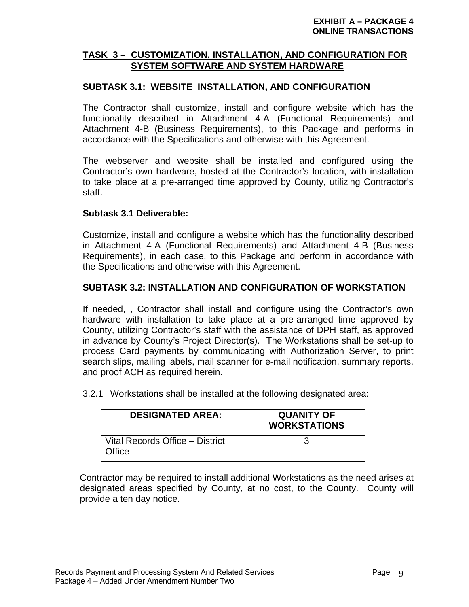# **TASK 3 – CUSTOMIZATION, INSTALLATION, AND CONFIGURATION FOR SYSTEM SOFTWARE AND SYSTEM HARDWARE**

# **SUBTASK 3.1: WEBSITE INSTALLATION, AND CONFIGURATION**

The Contractor shall customize, install and configure website which has the functionality described in Attachment 4-A (Functional Requirements) and Attachment 4-B (Business Requirements), to this Package and performs in accordance with the Specifications and otherwise with this Agreement.

The webserver and website shall be installed and configured using the Contractor's own hardware, hosted at the Contractor's location, with installation to take place at a pre-arranged time approved by County, utilizing Contractor's staff.

# **Subtask 3.1 Deliverable:**

Customize, install and configure a website which has the functionality described in Attachment 4-A (Functional Requirements) and Attachment 4-B (Business Requirements), in each case, to this Package and perform in accordance with the Specifications and otherwise with this Agreement.

# **SUBTASK 3.2: INSTALLATION AND CONFIGURATION OF WORKSTATION**

If needed, , Contractor shall install and configure using the Contractor's own hardware with installation to take place at a pre-arranged time approved by County, utilizing Contractor's staff with the assistance of DPH staff, as approved in advance by County's Project Director(s). The Workstations shall be set-up to process Card payments by communicating with Authorization Server, to print search slips, mailing labels, mail scanner for e-mail notification, summary reports, and proof ACH as required herein.

3.2.1 Workstations shall be installed at the following designated area:

| <b>DESIGNATED AREA:</b>                   | <b>QUANITY OF</b><br><b>WORKSTATIONS</b> |
|-------------------------------------------|------------------------------------------|
| Vital Records Office - District<br>Office |                                          |

Contractor may be required to install additional Workstations as the need arises at designated areas specified by County, at no cost, to the County. County will provide a ten day notice.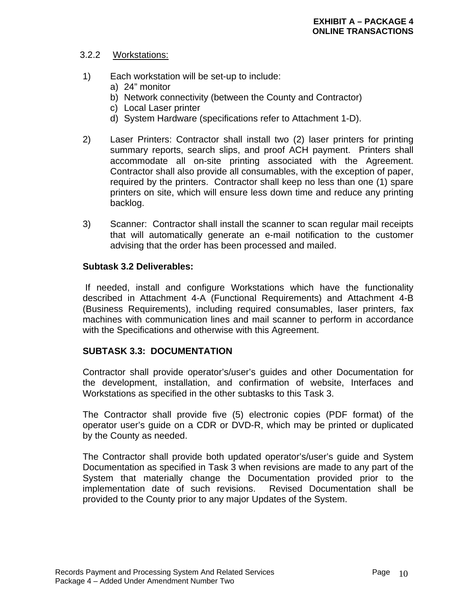## 3.2.2 Workstations:

- 1) Each workstation will be set-up to include:
	- a) 24" monitor
	- b) Network connectivity (between the County and Contractor)
	- c) Local Laser printer
	- d) System Hardware (specifications refer to Attachment 1-D).
- 2) Laser Printers: Contractor shall install two (2) laser printers for printing summary reports, search slips, and proof ACH payment. Printers shall accommodate all on-site printing associated with the Agreement. Contractor shall also provide all consumables, with the exception of paper, required by the printers. Contractor shall keep no less than one (1) spare printers on site, which will ensure less down time and reduce any printing backlog.
- 3) Scanner: Contractor shall install the scanner to scan regular mail receipts that will automatically generate an e-mail notification to the customer advising that the order has been processed and mailed.

### **Subtask 3.2 Deliverables:**

 If needed, install and configure Workstations which have the functionality described in Attachment 4-A (Functional Requirements) and Attachment 4-B (Business Requirements), including required consumables, laser printers, fax machines with communication lines and mail scanner to perform in accordance with the Specifications and otherwise with this Agreement.

## **SUBTASK 3.3: DOCUMENTATION**

Contractor shall provide operator's/user's guides and other Documentation for the development, installation, and confirmation of website, Interfaces and Workstations as specified in the other subtasks to this Task 3.

The Contractor shall provide five (5) electronic copies (PDF format) of the operator user's guide on a CDR or DVD-R, which may be printed or duplicated by the County as needed.

 The Contractor shall provide both updated operator's/user's guide and System Documentation as specified in Task 3 when revisions are made to any part of the System that materially change the Documentation provided prior to the implementation date of such revisions. Revised Documentation shall be provided to the County prior to any major Updates of the System.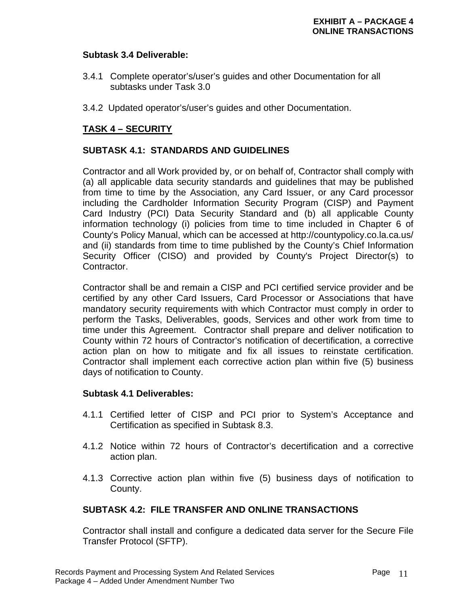### **Subtask 3.4 Deliverable:**

- 3.4.1 Complete operator's/user's guides and other Documentation for all subtasks under Task 3.0
- 3.4.2 Updated operator's/user's guides and other Documentation.

# **TASK 4 – SECURITY**

## **SUBTASK 4.1: STANDARDS AND GUIDELINES**

Contractor and all Work provided by, or on behalf of, Contractor shall comply with (a) all applicable data security standards and guidelines that may be published from time to time by the Association, any Card Issuer, or any Card processor including the Cardholder Information Security Program (CISP) and Payment Card Industry (PCI) Data Security Standard and (b) all applicable County information technology (i) policies from time to time included in Chapter 6 of County's Policy Manual, which can be accessed at http://countypolicy.co.la.ca.us/ and (ii) standards from time to time published by the County's Chief Information Security Officer (CISO) and provided by County's Project Director(s) to Contractor.

 Contractor shall be and remain a CISP and PCI certified service provider and be certified by any other Card Issuers, Card Processor or Associations that have mandatory security requirements with which Contractor must comply in order to perform the Tasks, Deliverables, goods, Services and other work from time to time under this Agreement. Contractor shall prepare and deliver notification to County within 72 hours of Contractor's notification of decertification, a corrective action plan on how to mitigate and fix all issues to reinstate certification. Contractor shall implement each corrective action plan within five (5) business days of notification to County.

### **Subtask 4.1 Deliverables:**

- 4.1.1 Certified letter of CISP and PCI prior to System's Acceptance and Certification as specified in Subtask 8.3.
- 4.1.2 Notice within 72 hours of Contractor's decertification and a corrective action plan.
- 4.1.3 Corrective action plan within five (5) business days of notification to County.

## **SUBTASK 4.2: FILE TRANSFER AND ONLINE TRANSACTIONS**

Contractor shall install and configure a dedicated data server for the Secure File Transfer Protocol (SFTP).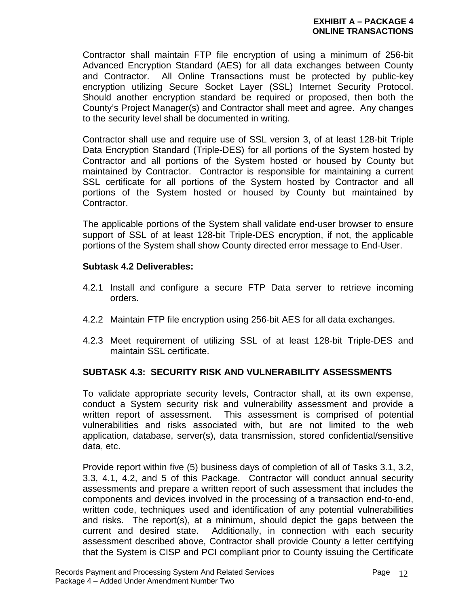Contractor shall maintain FTP file encryption of using a minimum of 256-bit Advanced Encryption Standard (AES) for all data exchanges between County and Contractor. All Online Transactions must be protected by public-key encryption utilizing Secure Socket Layer (SSL) Internet Security Protocol. Should another encryption standard be required or proposed, then both the County's Project Manager(s) and Contractor shall meet and agree. Any changes to the security level shall be documented in writing.

Contractor shall use and require use of SSL version 3, of at least 128-bit Triple Data Encryption Standard (Triple-DES) for all portions of the System hosted by Contractor and all portions of the System hosted or housed by County but maintained by Contractor. Contractor is responsible for maintaining a current SSL certificate for all portions of the System hosted by Contractor and all portions of the System hosted or housed by County but maintained by Contractor.

The applicable portions of the System shall validate end-user browser to ensure support of SSL of at least 128-bit Triple-DES encryption, if not, the applicable portions of the System shall show County directed error message to End-User.

## **Subtask 4.2 Deliverables:**

- 4.2.1 Install and configure a secure FTP Data server to retrieve incoming orders.
- 4.2.2 Maintain FTP file encryption using 256-bit AES for all data exchanges.
- 4.2.3 Meet requirement of utilizing SSL of at least 128-bit Triple-DES and maintain SSL certificate.

# **SUBTASK 4.3: SECURITY RISK AND VULNERABILITY ASSESSMENTS**

To validate appropriate security levels, Contractor shall, at its own expense, conduct a System security risk and vulnerability assessment and provide a written report of assessment. This assessment is comprised of potential vulnerabilities and risks associated with, but are not limited to the web application, database, server(s), data transmission, stored confidential/sensitive data, etc.

Provide report within five (5) business days of completion of all of Tasks 3.1, 3.2, 3.3, 4.1, 4.2, and 5 of this Package. Contractor will conduct annual security assessments and prepare a written report of such assessment that includes the components and devices involved in the processing of a transaction end-to-end, written code, techniques used and identification of any potential vulnerabilities and risks. The report(s), at a minimum, should depict the gaps between the current and desired state. Additionally, in connection with each security assessment described above, Contractor shall provide County a letter certifying that the System is CISP and PCI compliant prior to County issuing the Certificate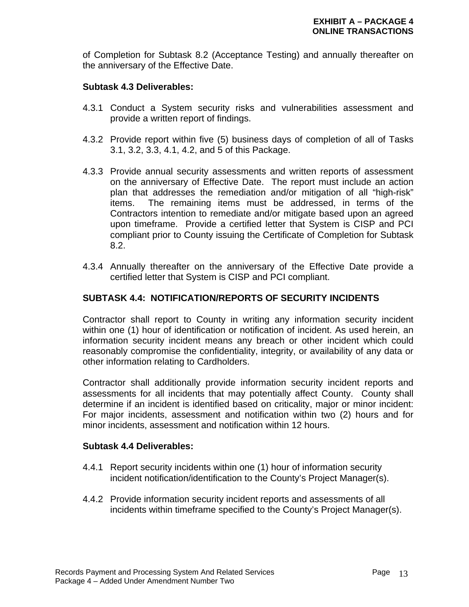of Completion for Subtask 8.2 (Acceptance Testing) and annually thereafter on the anniversary of the Effective Date.

### **Subtask 4.3 Deliverables:**

- 4.3.1 Conduct a System security risks and vulnerabilities assessment and provide a written report of findings.
- 4.3.2 Provide report within five (5) business days of completion of all of Tasks 3.1, 3.2, 3.3, 4.1, 4.2, and 5 of this Package.
- 4.3.3 Provide annual security assessments and written reports of assessment on the anniversary of Effective Date. The report must include an action plan that addresses the remediation and/or mitigation of all "high-risk" items. The remaining items must be addressed, in terms of the Contractors intention to remediate and/or mitigate based upon an agreed upon timeframe. Provide a certified letter that System is CISP and PCI compliant prior to County issuing the Certificate of Completion for Subtask 8.2.
- 4.3.4 Annually thereafter on the anniversary of the Effective Date provide a certified letter that System is CISP and PCI compliant.

### **SUBTASK 4.4: NOTIFICATION/REPORTS OF SECURITY INCIDENTS**

Contractor shall report to County in writing any information security incident within one (1) hour of identification or notification of incident. As used herein, an information security incident means any breach or other incident which could reasonably compromise the confidentiality, integrity, or availability of any data or other information relating to Cardholders.

Contractor shall additionally provide information security incident reports and assessments for all incidents that may potentially affect County. County shall determine if an incident is identified based on criticality, major or minor incident: For major incidents, assessment and notification within two (2) hours and for minor incidents, assessment and notification within 12 hours.

### **Subtask 4.4 Deliverables:**

- 4.4.1 Report security incidents within one (1) hour of information security incident notification/identification to the County's Project Manager(s).
- 4.4.2 Provide information security incident reports and assessments of all incidents within timeframe specified to the County's Project Manager(s).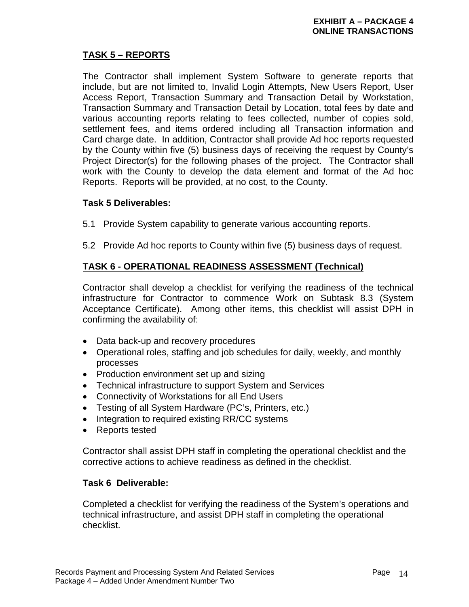# **TASK 5 – REPORTS**

The Contractor shall implement System Software to generate reports that include, but are not limited to, Invalid Login Attempts, New Users Report, User Access Report, Transaction Summary and Transaction Detail by Workstation, Transaction Summary and Transaction Detail by Location, total fees by date and various accounting reports relating to fees collected, number of copies sold, settlement fees, and items ordered including all Transaction information and Card charge date. In addition, Contractor shall provide Ad hoc reports requested by the County within five (5) business days of receiving the request by County's Project Director(s) for the following phases of the project. The Contractor shall work with the County to develop the data element and format of the Ad hoc Reports. Reports will be provided, at no cost, to the County.

## **Task 5 Deliverables:**

- 5.1 Provide System capability to generate various accounting reports.
- 5.2 Provide Ad hoc reports to County within five (5) business days of request.

## **TASK 6 - OPERATIONAL READINESS ASSESSMENT (Technical)**

Contractor shall develop a checklist for verifying the readiness of the technical infrastructure for Contractor to commence Work on Subtask 8.3 (System Acceptance Certificate). Among other items, this checklist will assist DPH in confirming the availability of:

- Data back-up and recovery procedures
- Operational roles, staffing and job schedules for daily, weekly, and monthly processes
- Production environment set up and sizing
- Technical infrastructure to support System and Services
- Connectivity of Workstations for all End Users
- Testing of all System Hardware (PC's, Printers, etc.)
- Integration to required existing RR/CC systems
- Reports tested

Contractor shall assist DPH staff in completing the operational checklist and the corrective actions to achieve readiness as defined in the checklist.

## **Task 6 Deliverable:**

Completed a checklist for verifying the readiness of the System's operations and technical infrastructure, and assist DPH staff in completing the operational checklist.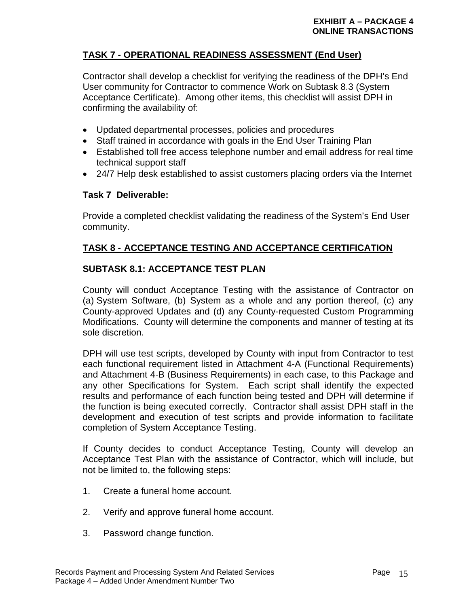# **TASK 7 - OPERATIONAL READINESS ASSESSMENT (End User)**

Contractor shall develop a checklist for verifying the readiness of the DPH's End User community for Contractor to commence Work on Subtask 8.3 (System Acceptance Certificate). Among other items, this checklist will assist DPH in confirming the availability of:

- Updated departmental processes, policies and procedures
- Staff trained in accordance with goals in the End User Training Plan
- Established toll free access telephone number and email address for real time technical support staff
- 24/7 Help desk established to assist customers placing orders via the Internet

## **Task 7 Deliverable:**

Provide a completed checklist validating the readiness of the System's End User community.

# **TASK 8 - ACCEPTANCE TESTING AND ACCEPTANCE CERTIFICATION**

# **SUBTASK 8.1: ACCEPTANCE TEST PLAN**

County will conduct Acceptance Testing with the assistance of Contractor on (a) System Software, (b) System as a whole and any portion thereof, (c) any County-approved Updates and (d) any County-requested Custom Programming Modifications. County will determine the components and manner of testing at its sole discretion.

DPH will use test scripts, developed by County with input from Contractor to test each functional requirement listed in Attachment 4-A (Functional Requirements) and Attachment 4-B (Business Requirements) in each case, to this Package and any other Specifications for System. Each script shall identify the expected results and performance of each function being tested and DPH will determine if the function is being executed correctly. Contractor shall assist DPH staff in the development and execution of test scripts and provide information to facilitate completion of System Acceptance Testing.

If County decides to conduct Acceptance Testing, County will develop an Acceptance Test Plan with the assistance of Contractor, which will include, but not be limited to, the following steps:

- 1. Create a funeral home account.
- 2. Verify and approve funeral home account.
- 3. Password change function.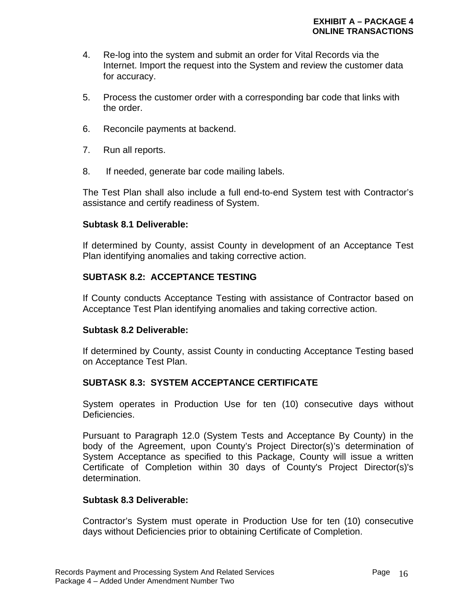- 4. Re-log into the system and submit an order for Vital Records via the Internet. Import the request into the System and review the customer data for accuracy.
- 5. Process the customer order with a corresponding bar code that links with the order.
- 6. Reconcile payments at backend.
- 7. Run all reports.
- 8. If needed, generate bar code mailing labels.

The Test Plan shall also include a full end-to-end System test with Contractor's assistance and certify readiness of System.

### **Subtask 8.1 Deliverable:**

If determined by County, assist County in development of an Acceptance Test Plan identifying anomalies and taking corrective action.

## **SUBTASK 8.2: ACCEPTANCE TESTING**

If County conducts Acceptance Testing with assistance of Contractor based on Acceptance Test Plan identifying anomalies and taking corrective action.

### **Subtask 8.2 Deliverable:**

If determined by County, assist County in conducting Acceptance Testing based on Acceptance Test Plan.

## **SUBTASK 8.3: SYSTEM ACCEPTANCE CERTIFICATE**

System operates in Production Use for ten (10) consecutive days without Deficiencies.

Pursuant to Paragraph 12.0 (System Tests and Acceptance By County) in the body of the Agreement, upon County's Project Director(s)'s determination of System Acceptance as specified to this Package, County will issue a written Certificate of Completion within 30 days of County's Project Director(s)'s determination.

## **Subtask 8.3 Deliverable:**

Contractor's System must operate in Production Use for ten (10) consecutive days without Deficiencies prior to obtaining Certificate of Completion.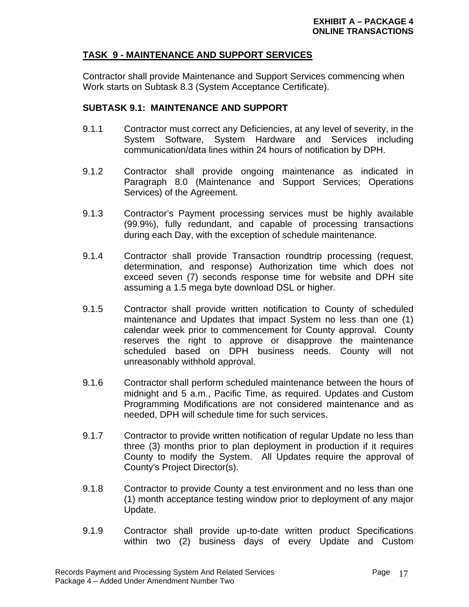# **TASK 9 - MAINTENANCE AND SUPPORT SERVICES**

Contractor shall provide Maintenance and Support Services commencing when Work starts on Subtask 8.3 (System Acceptance Certificate).

## **SUBTASK 9.1: MAINTENANCE AND SUPPORT**

- 9.1.1 Contractor must correct any Deficiencies, at any level of severity, in the System Software, System Hardware and Services including communication/data lines within 24 hours of notification by DPH.
- 9.1.2 Contractor shall provide ongoing maintenance as indicated in Paragraph 8.0 (Maintenance and Support Services; Operations Services) of the Agreement.
- 9.1.3 Contractor's Payment processing services must be highly available (99.9%), fully redundant, and capable of processing transactions during each Day, with the exception of schedule maintenance.
- 9.1.4 Contractor shall provide Transaction roundtrip processing (request, determination, and response) Authorization time which does not exceed seven (7) seconds response time for website and DPH site assuming a 1.5 mega byte download DSL or higher.
- 9.1.5 Contractor shall provide written notification to County of scheduled maintenance and Updates that impact System no less than one (1) calendar week prior to commencement for County approval. County reserves the right to approve or disapprove the maintenance scheduled based on DPH business needs. County will not unreasonably withhold approval.
- 9.1.6 Contractor shall perform scheduled maintenance between the hours of midnight and 5 a.m., Pacific Time, as required. Updates and Custom Programming Modifications are not considered maintenance and as needed, DPH will schedule time for such services.
- 9.1.7 Contractor to provide written notification of regular Update no less than three (3) months prior to plan deployment in production if it requires County to modify the System. All Updates require the approval of County's Project Director(s).
- 9.1.8 Contractor to provide County a test environment and no less than one (1) month acceptance testing window prior to deployment of any major Update.
- 9.1.9 Contractor shall provide up-to-date written product Specifications within two (2) business days of every Update and Custom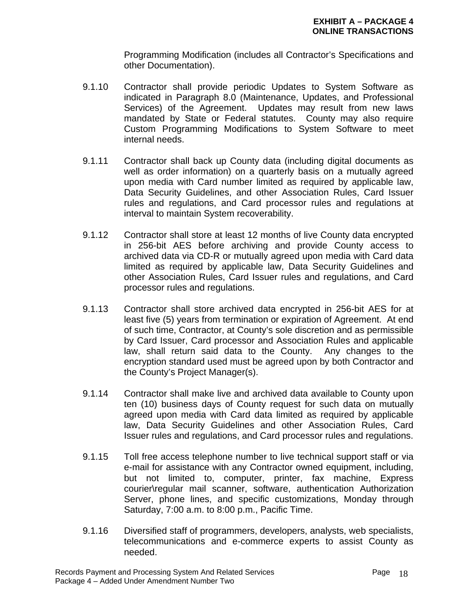Programming Modification (includes all Contractor's Specifications and other Documentation).

- 9.1.10 Contractor shall provide periodic Updates to System Software as indicated in Paragraph 8.0 (Maintenance, Updates, and Professional Services) of the Agreement. Updates may result from new laws mandated by State or Federal statutes. County may also require Custom Programming Modifications to System Software to meet internal needs.
- 9.1.11 Contractor shall back up County data (including digital documents as well as order information) on a quarterly basis on a mutually agreed upon media with Card number limited as required by applicable law, Data Security Guidelines, and other Association Rules, Card Issuer rules and regulations, and Card processor rules and regulations at interval to maintain System recoverability.
- 9.1.12 Contractor shall store at least 12 months of live County data encrypted in 256-bit AES before archiving and provide County access to archived data via CD-R or mutually agreed upon media with Card data limited as required by applicable law, Data Security Guidelines and other Association Rules, Card Issuer rules and regulations, and Card processor rules and regulations.
- 9.1.13 Contractor shall store archived data encrypted in 256-bit AES for at least five (5) years from termination or expiration of Agreement. At end of such time, Contractor, at County's sole discretion and as permissible by Card Issuer, Card processor and Association Rules and applicable law, shall return said data to the County. Any changes to the encryption standard used must be agreed upon by both Contractor and the County's Project Manager(s).
- 9.1.14 Contractor shall make live and archived data available to County upon ten (10) business days of County request for such data on mutually agreed upon media with Card data limited as required by applicable law, Data Security Guidelines and other Association Rules, Card Issuer rules and regulations, and Card processor rules and regulations.
- 9.1.15 Toll free access telephone number to live technical support staff or via e-mail for assistance with any Contractor owned equipment, including, but not limited to, computer, printer, fax machine, Express courier\regular mail scanner, software, authentication Authorization Server, phone lines, and specific customizations, Monday through Saturday, 7:00 a.m. to 8:00 p.m., Pacific Time.
- 9.1.16 Diversified staff of programmers, developers, analysts, web specialists, telecommunications and e-commerce experts to assist County as needed.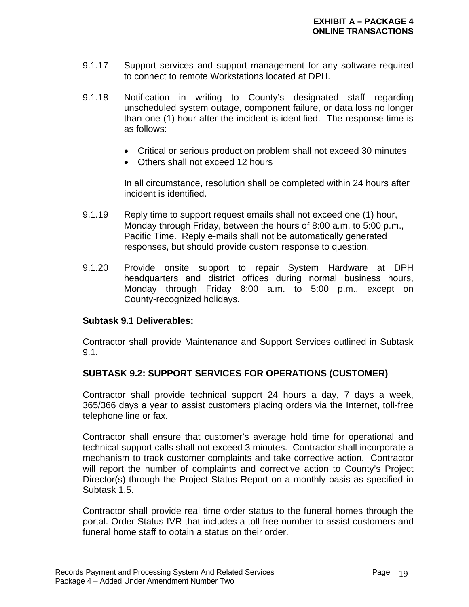- 9.1.17 Support services and support management for any software required to connect to remote Workstations located at DPH.
- 9.1.18 Notification in writing to County's designated staff regarding unscheduled system outage, component failure, or data loss no longer than one (1) hour after the incident is identified. The response time is as follows:
	- Critical or serious production problem shall not exceed 30 minutes
	- Others shall not exceed 12 hours

 In all circumstance, resolution shall be completed within 24 hours after incident is identified.

- 9.1.19 Reply time to support request emails shall not exceed one (1) hour, Monday through Friday, between the hours of 8:00 a.m. to 5:00 p.m., Pacific Time. Reply e-mails shall not be automatically generated responses, but should provide custom response to question.
- 9.1.20 Provide onsite support to repair System Hardware at DPH headquarters and district offices during normal business hours, Monday through Friday 8:00 a.m. to 5:00 p.m., except on County-recognized holidays.

### **Subtask 9.1 Deliverables:**

Contractor shall provide Maintenance and Support Services outlined in Subtask 9.1.

## **SUBTASK 9.2: SUPPORT SERVICES FOR OPERATIONS (CUSTOMER)**

Contractor shall provide technical support 24 hours a day, 7 days a week, 365/366 days a year to assist customers placing orders via the Internet, toll-free telephone line or fax.

Contractor shall ensure that customer's average hold time for operational and technical support calls shall not exceed 3 minutes. Contractor shall incorporate a mechanism to track customer complaints and take corrective action. Contractor will report the number of complaints and corrective action to County's Project Director(s) through the Project Status Report on a monthly basis as specified in Subtask 1.5.

Contractor shall provide real time order status to the funeral homes through the portal. Order Status IVR that includes a toll free number to assist customers and funeral home staff to obtain a status on their order.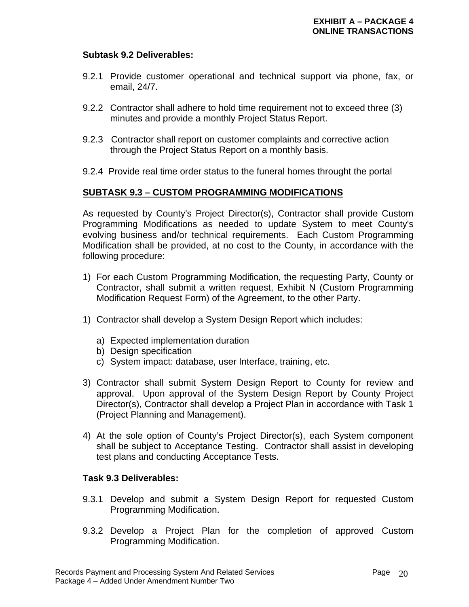### **Subtask 9.2 Deliverables:**

- 9.2.1 Provide customer operational and technical support via phone, fax, or email, 24/7.
- 9.2.2 Contractor shall adhere to hold time requirement not to exceed three (3) minutes and provide a monthly Project Status Report.
- 9.2.3 Contractor shall report on customer complaints and corrective action through the Project Status Report on a monthly basis.
- 9.2.4 Provide real time order status to the funeral homes throught the portal

## **SUBTASK 9.3 – CUSTOM PROGRAMMING MODIFICATIONS**

As requested by County's Project Director(s), Contractor shall provide Custom Programming Modifications as needed to update System to meet County's evolving business and/or technical requirements. Each Custom Programming Modification shall be provided, at no cost to the County, in accordance with the following procedure:

- 1) For each Custom Programming Modification, the requesting Party, County or Contractor, shall submit a written request, Exhibit N (Custom Programming Modification Request Form) of the Agreement, to the other Party.
- 1) Contractor shall develop a System Design Report which includes:
	- a) Expected implementation duration
	- b) Design specification
	- c) System impact: database, user Interface, training, etc.
- 3) Contractor shall submit System Design Report to County for review and approval. Upon approval of the System Design Report by County Project Director(s), Contractor shall develop a Project Plan in accordance with Task 1 (Project Planning and Management).
- 4) At the sole option of County's Project Director(s), each System component shall be subject to Acceptance Testing. Contractor shall assist in developing test plans and conducting Acceptance Tests.

## **Task 9.3 Deliverables:**

- 9.3.1 Develop and submit a System Design Report for requested Custom Programming Modification.
- 9.3.2 Develop a Project Plan for the completion of approved Custom Programming Modification.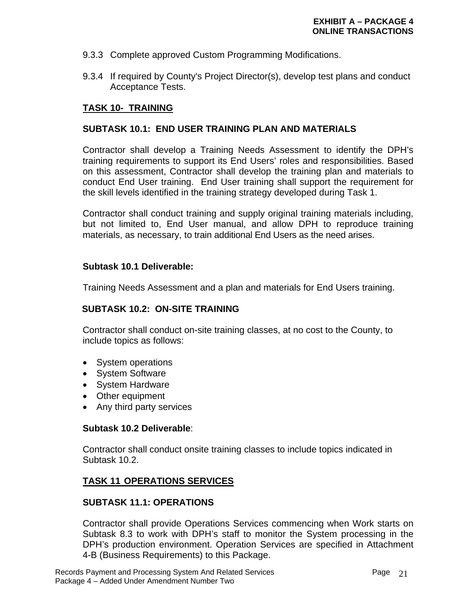- 9.3.3 Complete approved Custom Programming Modifications.
- 9.3.4 If required by County's Project Director(s), develop test plans and conduct Acceptance Tests.

## **TASK 10- TRAINING**

### **SUBTASK 10.1: END USER TRAINING PLAN AND MATERIALS**

Contractor shall develop a Training Needs Assessment to identify the DPH's training requirements to support its End Users' roles and responsibilities. Based on this assessment, Contractor shall develop the training plan and materials to conduct End User training. End User training shall support the requirement for the skill levels identified in the training strategy developed during Task 1.

Contractor shall conduct training and supply original training materials including, but not limited to, End User manual, and allow DPH to reproduce training materials, as necessary, to train additional End Users as the need arises.

### **Subtask 10.1 Deliverable:**

Training Needs Assessment and a plan and materials for End Users training.

## **SUBTASK 10.2: ON-SITE TRAINING**

Contractor shall conduct on-site training classes, at no cost to the County, to include topics as follows:

- System operations
- System Software
- System Hardware
- Other equipment
- Any third party services

### **Subtask 10.2 Deliverable**:

Contractor shall conduct onsite training classes to include topics indicated in Subtask 10.2.

## **TASK 11 OPERATIONS SERVICES**

## **SUBTASK 11.1: OPERATIONS**

Contractor shall provide Operations Services commencing when Work starts on Subtask 8.3 to work with DPH's staff to monitor the System processing in the DPH's production environment. Operation Services are specified in Attachment 4-B (Business Requirements) to this Package.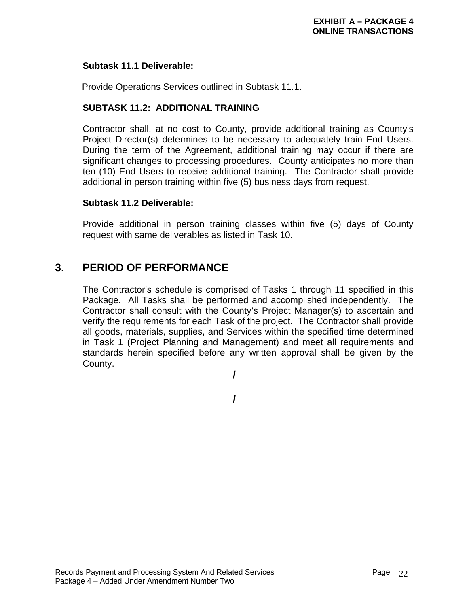### **Subtask 11.1 Deliverable:**

Provide Operations Services outlined in Subtask 11.1.

## **SUBTASK 11.2: ADDITIONAL TRAINING**

Contractor shall, at no cost to County, provide additional training as County's Project Director(s) determines to be necessary to adequately train End Users. During the term of the Agreement, additional training may occur if there are significant changes to processing procedures. County anticipates no more than ten (10) End Users to receive additional training. The Contractor shall provide additional in person training within five (5) business days from request.

### **Subtask 11.2 Deliverable:**

Provide additional in person training classes within five (5) days of County request with same deliverables as listed in Task 10.

# **3. PERIOD OF PERFORMANCE**

 The Contractor's schedule is comprised of Tasks 1 through 11 specified in this Package. All Tasks shall be performed and accomplished independently. The Contractor shall consult with the County's Project Manager(s) to ascertain and verify the requirements for each Task of the project. The Contractor shall provide all goods, materials, supplies, and Services within the specified time determined in Task 1 (Project Planning and Management) and meet all requirements and standards herein specified before any written approval shall be given by the County.

**/** 

**/**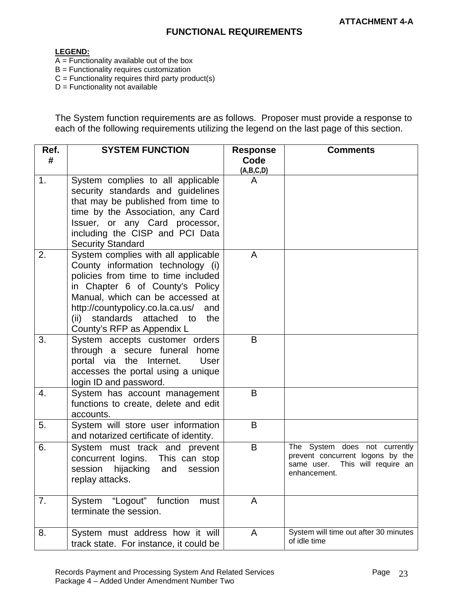#### **LEGEND:**

- $\overline{A}$  = Functionality available out of the box
- B = Functionality requires customization
- $C =$  Functionality requires third party product(s)
- $D =$  Functionality not available

The System function requirements are as follows. Proposer must provide a response to each of the following requirements utilizing the legend on the last page of this section.

| Ref. | <b>SYSTEM FUNCTION</b>                                                                                                                                                                                                                                                                                  | <b>Response</b> | <b>Comments</b>                                                                                                         |
|------|---------------------------------------------------------------------------------------------------------------------------------------------------------------------------------------------------------------------------------------------------------------------------------------------------------|-----------------|-------------------------------------------------------------------------------------------------------------------------|
| #    |                                                                                                                                                                                                                                                                                                         | Code            |                                                                                                                         |
|      |                                                                                                                                                                                                                                                                                                         | (A,B,C,D)       |                                                                                                                         |
| 1.   | System complies to all applicable<br>security standards and guidelines<br>that may be published from time to<br>time by the Association, any Card<br>Issuer, or any Card processor,<br>including the CISP and PCI Data<br><b>Security Standard</b>                                                      | A               |                                                                                                                         |
| 2.   | System complies with all applicable<br>County information technology (i)<br>policies from time to time included<br>in Chapter 6 of County's Policy<br>Manual, which can be accessed at<br>http://countypolicy.co.la.ca.us/<br>and<br>standards attached to<br>the<br>(ii)<br>County's RFP as Appendix L | A               |                                                                                                                         |
| 3.   | System accepts customer orders<br>through a secure funeral home<br>portal via the Internet.<br>User<br>accesses the portal using a unique<br>login ID and password.                                                                                                                                     | B               |                                                                                                                         |
| 4.   | System has account management<br>functions to create, delete and edit<br>accounts.                                                                                                                                                                                                                      | B               |                                                                                                                         |
| 5.   | System will store user information<br>and notarized certificate of identity.                                                                                                                                                                                                                            | B               |                                                                                                                         |
| 6.   | System must track and prevent<br>concurrent logins. This can stop<br>session<br>hijacking<br>and<br>session<br>replay attacks.                                                                                                                                                                          | B               | The System does not currently<br>prevent concurrent logons by the<br>This will require an<br>same user.<br>enhancement. |
| 7.   | "Logout" function<br>System<br>must<br>terminate the session.                                                                                                                                                                                                                                           | A               |                                                                                                                         |
| 8.   | System must address how it will<br>track state. For instance, it could be                                                                                                                                                                                                                               | A               | System will time out after 30 minutes<br>of idle time                                                                   |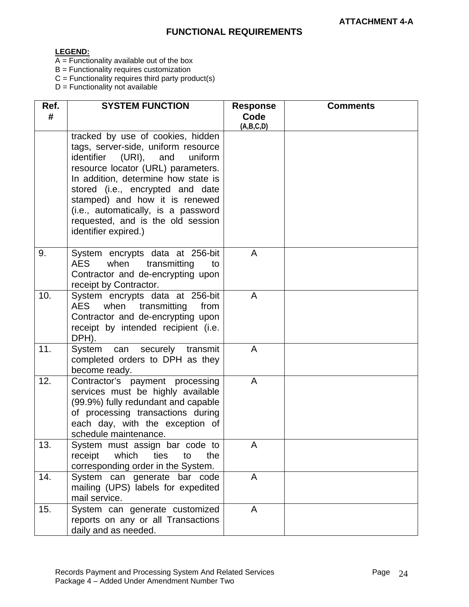#### **LEGEND:**

- A = Functionality available out of the box
- B = Functionality requires customization
- $C =$  Functionality requires third party product(s)
- D = Functionality not available

| Ref.<br># | <b>SYSTEM FUNCTION</b>                                                                                                                                                                                                                                                                                                                                                 | <b>Response</b><br>Code | <b>Comments</b> |
|-----------|------------------------------------------------------------------------------------------------------------------------------------------------------------------------------------------------------------------------------------------------------------------------------------------------------------------------------------------------------------------------|-------------------------|-----------------|
|           |                                                                                                                                                                                                                                                                                                                                                                        | (A,B,C,D)               |                 |
|           | tracked by use of cookies, hidden<br>tags, server-side, uniform resource<br>identifier<br>(URI), and<br>uniform<br>resource locator (URL) parameters.<br>In addition, determine how state is<br>stored (i.e., encrypted and date<br>stamped) and how it is renewed<br>(i.e., automatically, is a password<br>requested, and is the old session<br>identifier expired.) |                         |                 |
| 9.        | System encrypts data at 256-bit<br><b>AES</b><br>transmitting<br>when<br>to<br>Contractor and de-encrypting upon<br>receipt by Contractor.                                                                                                                                                                                                                             | A                       |                 |
| 10.       | System encrypts data at 256-bit<br>AES when transmitting from<br>Contractor and de-encrypting upon<br>receipt by intended recipient (i.e.<br>DPH).                                                                                                                                                                                                                     | A                       |                 |
| 11.       | securely<br>transmit<br>System can<br>completed orders to DPH as they<br>become ready.                                                                                                                                                                                                                                                                                 | $\mathsf{A}$            |                 |
| 12.       | Contractor's payment processing<br>services must be highly available<br>(99.9%) fully redundant and capable<br>of processing transactions during<br>each day, with the exception of<br>schedule maintenance.                                                                                                                                                           | $\mathsf{A}$            |                 |
| 13.       | System must assign bar code to<br>which<br>receipt<br>ties<br>to<br>the<br>corresponding order in the System.                                                                                                                                                                                                                                                          | A                       |                 |
| 14.       | System can generate bar code<br>mailing (UPS) labels for expedited<br>mail service.                                                                                                                                                                                                                                                                                    | $\overline{A}$          |                 |
| 15.       | System can generate customized<br>reports on any or all Transactions<br>daily and as needed.                                                                                                                                                                                                                                                                           | A                       |                 |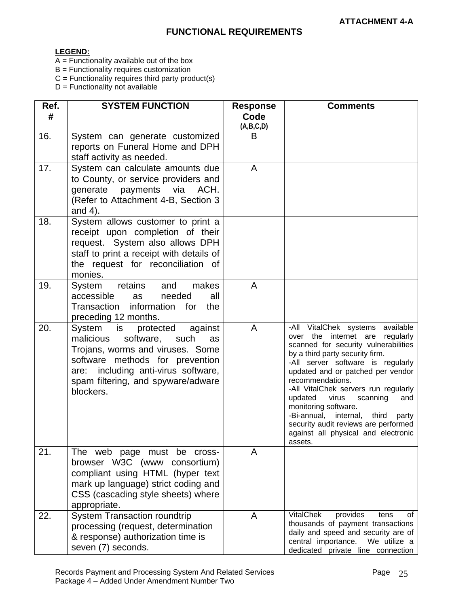#### **LEGEND:**

- A = Functionality available out of the box
- B = Functionality requires customization
- $C =$  Functionality requires third party product(s)
- D = Functionality not available

| Ref.<br># | <b>SYSTEM FUNCTION</b>                                                                                                                                                                                                                  | <b>Response</b><br>Code<br>(A,B,C,D) | <b>Comments</b>                                                                                                                                                                                                                                                                                                                                                                                                                                                                          |
|-----------|-----------------------------------------------------------------------------------------------------------------------------------------------------------------------------------------------------------------------------------------|--------------------------------------|------------------------------------------------------------------------------------------------------------------------------------------------------------------------------------------------------------------------------------------------------------------------------------------------------------------------------------------------------------------------------------------------------------------------------------------------------------------------------------------|
| 16.       | System can generate customized<br>reports on Funeral Home and DPH<br>staff activity as needed.                                                                                                                                          | B                                    |                                                                                                                                                                                                                                                                                                                                                                                                                                                                                          |
| 17.       | System can calculate amounts due<br>to County, or service providers and<br>generate payments via<br>ACH.<br>(Refer to Attachment 4-B, Section 3<br>and $4$ ).                                                                           | $\overline{A}$                       |                                                                                                                                                                                                                                                                                                                                                                                                                                                                                          |
| 18.       | System allows customer to print a<br>receipt upon completion of their<br>request. System also allows DPH<br>staff to print a receipt with details of<br>the request for reconciliation of<br>monies.                                    |                                      |                                                                                                                                                                                                                                                                                                                                                                                                                                                                                          |
| 19.       | retains<br>makes<br>System<br>and<br>accessible<br>needed<br>all<br>as<br>Transaction information for<br>the<br>preceding 12 months.                                                                                                    | $\mathsf{A}$                         |                                                                                                                                                                                                                                                                                                                                                                                                                                                                                          |
| 20.       | System is protected<br>against<br>malicious<br>software,<br>such<br>as<br>Trojans, worms and viruses. Some<br>software methods for prevention<br>are: including anti-virus software,<br>spam filtering, and spyware/adware<br>blockers. | $\overline{A}$                       | -All VitalChek systems available<br>over the internet are<br>regularly<br>scanned for security vulnerabilities<br>by a third party security firm.<br>-All server software is regularly<br>updated and or patched per vendor<br>recommendations.<br>-All VitalChek servers run regularly<br>updated virus<br>scanning<br>and<br>monitoring software.<br>-Bi-annual, internal,<br>third<br>party<br>security audit reviews are performed<br>against all physical and electronic<br>assets. |
| 21.       | The web page must be cross-<br>browser W3C (www consortium)<br>compliant using HTML (hyper text<br>mark up language) strict coding and<br>CSS (cascading style sheets) where<br>appropriate.                                            | A                                    |                                                                                                                                                                                                                                                                                                                                                                                                                                                                                          |
| 22.       | <b>System Transaction roundtrip</b><br>processing (request, determination<br>& response) authorization time is<br>seven (7) seconds.                                                                                                    | A                                    | <b>VitalChek</b><br>provides<br>tens<br>οf<br>thousands of payment transactions<br>daily and speed and security are of<br>central importance.<br>We utilize a<br>dedicated private line connection                                                                                                                                                                                                                                                                                       |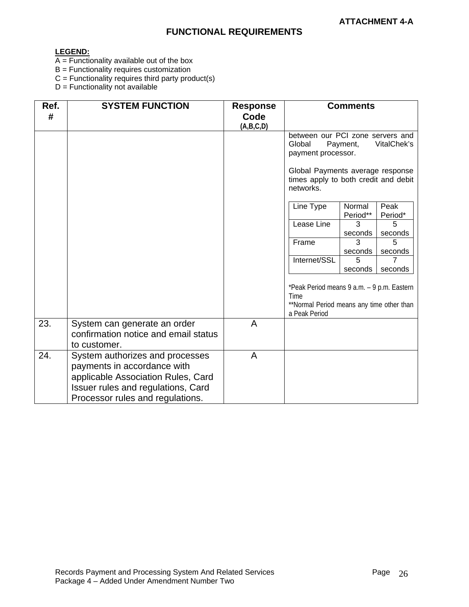#### **LEGEND:**

- A = Functionality available out of the box
- B = Functionality requires customization
- $C =$  Functionality requires third party product(s)
- D = Functionality not available

| Ref.<br># | <b>SYSTEM FUNCTION</b>                                                                                                                                                         | <b>Response</b><br>Code |                                                                                                                         | <b>Comments</b>    |                 |
|-----------|--------------------------------------------------------------------------------------------------------------------------------------------------------------------------------|-------------------------|-------------------------------------------------------------------------------------------------------------------------|--------------------|-----------------|
|           |                                                                                                                                                                                | (A,B,C,D)               | between our PCI zone servers and<br>Global                                                                              | Payment,           | VitalChek's     |
|           |                                                                                                                                                                                |                         | payment processor.                                                                                                      |                    |                 |
|           |                                                                                                                                                                                |                         | Global Payments average response<br>times apply to both credit and debit<br>networks.                                   |                    |                 |
|           |                                                                                                                                                                                |                         | Line Type                                                                                                               | Normal<br>Period** | Peak<br>Period* |
|           |                                                                                                                                                                                |                         | Lease Line                                                                                                              | 3<br>seconds       | 5<br>seconds    |
|           |                                                                                                                                                                                |                         | Frame                                                                                                                   | 3                  | 5               |
|           |                                                                                                                                                                                |                         | Internet/SSL                                                                                                            | seconds<br>5       | seconds<br>7    |
|           |                                                                                                                                                                                |                         |                                                                                                                         | seconds            | seconds         |
|           |                                                                                                                                                                                |                         | *Peak Period means 9 a.m. - 9 p.m. Eastern<br><b>Time</b><br>**Normal Period means any time other than<br>a Peak Period |                    |                 |
| 23.       | System can generate an order<br>confirmation notice and email status<br>to customer.                                                                                           | $\overline{A}$          |                                                                                                                         |                    |                 |
| 24.       | System authorizes and processes<br>payments in accordance with<br>applicable Association Rules, Card<br>Issuer rules and regulations, Card<br>Processor rules and regulations. | A                       |                                                                                                                         |                    |                 |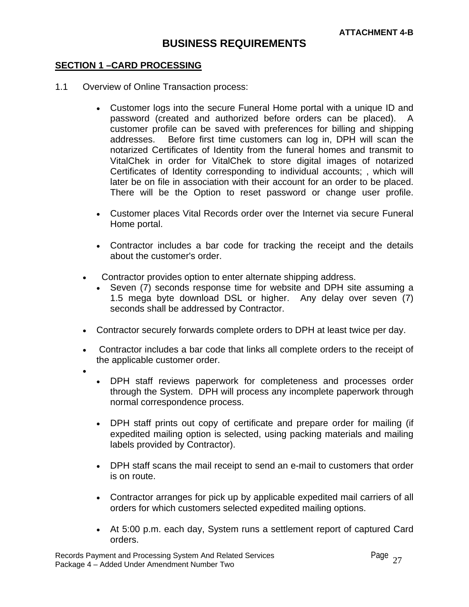### **SECTION 1 –CARD PROCESSING**

- 1.1 Overview of Online Transaction process:
	- Customer logs into the secure Funeral Home portal with a unique ID and password (created and authorized before orders can be placed). A customer profile can be saved with preferences for billing and shipping addresses. Before first time customers can log in, DPH will scan the notarized Certificates of Identity from the funeral homes and transmit to VitalChek in order for VitalChek to store digital images of notarized Certificates of Identity corresponding to individual accounts; , which will later be on file in association with their account for an order to be placed. There will be the Option to reset password or change user profile.
	- Customer places Vital Records order over the Internet via secure Funeral Home portal.
	- Contractor includes a bar code for tracking the receipt and the details about the customer's order.
	- Contractor provides option to enter alternate shipping address.
		- Seven (7) seconds response time for website and DPH site assuming a 1.5 mega byte download DSL or higher. Any delay over seven (7) seconds shall be addressed by Contractor.
	- Contractor securely forwards complete orders to DPH at least twice per day.
	- Contractor includes a bar code that links all complete orders to the receipt of the applicable customer order.
	- •
- DPH staff reviews paperwork for completeness and processes order through the System. DPH will process any incomplete paperwork through normal correspondence process.
- DPH staff prints out copy of certificate and prepare order for mailing (if expedited mailing option is selected, using packing materials and mailing labels provided by Contractor).
- DPH staff scans the mail receipt to send an e-mail to customers that order is on route.
- Contractor arranges for pick up by applicable expedited mail carriers of all orders for which customers selected expedited mailing options.
- At 5:00 p.m. each day, System runs a settlement report of captured Card orders.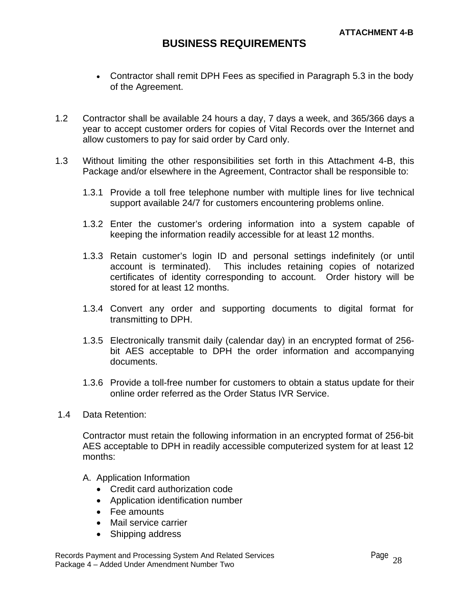- Contractor shall remit DPH Fees as specified in Paragraph 5.3 in the body of the Agreement.
- 1.2 Contractor shall be available 24 hours a day, 7 days a week, and 365/366 days a year to accept customer orders for copies of Vital Records over the Internet and allow customers to pay for said order by Card only.
- 1.3 Without limiting the other responsibilities set forth in this Attachment 4-B, this Package and/or elsewhere in the Agreement, Contractor shall be responsible to:
	- 1.3.1 Provide a toll free telephone number with multiple lines for live technical support available 24/7 for customers encountering problems online.
	- 1.3.2 Enter the customer's ordering information into a system capable of keeping the information readily accessible for at least 12 months.
	- 1.3.3 Retain customer's login ID and personal settings indefinitely (or until account is terminated). This includes retaining copies of notarized certificates of identity corresponding to account. Order history will be stored for at least 12 months.
	- 1.3.4 Convert any order and supporting documents to digital format for transmitting to DPH.
	- 1.3.5 Electronically transmit daily (calendar day) in an encrypted format of 256 bit AES acceptable to DPH the order information and accompanying documents.
	- 1.3.6 Provide a toll-free number for customers to obtain a status update for their online order referred as the Order Status IVR Service.
- 1.4 Data Retention:

Contractor must retain the following information in an encrypted format of 256-bit AES acceptable to DPH in readily accessible computerized system for at least 12 months:

- A. Application Information
	- Credit card authorization code
	- Application identification number
	- Fee amounts
	- Mail service carrier
	- Shipping address

Records Payment and Processing System And Related Services  $\frac{P}{28}$ Package 4 - Added Under Amendment Number Two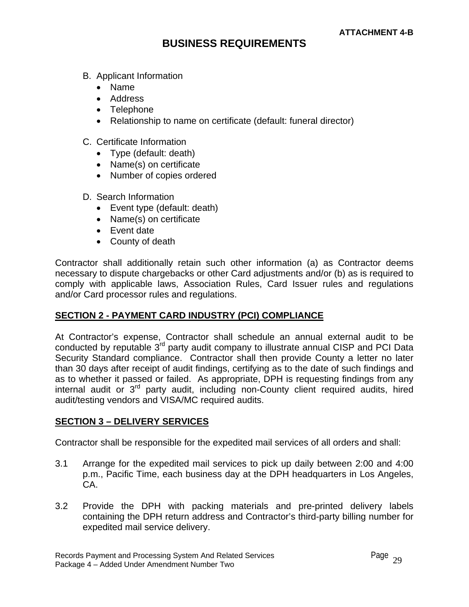- B. Applicant Information
	- Name
	- Address
	- Telephone
	- Relationship to name on certificate (default: funeral director)
- C. Certificate Information
	- Type (default: death)
	- Name(s) on certificate
	- Number of copies ordered
- D. Search Information
	- Event type (default: death)
	- Name(s) on certificate
	- Event date
	- County of death

Contractor shall additionally retain such other information (a) as Contractor deems necessary to dispute chargebacks or other Card adjustments and/or (b) as is required to comply with applicable laws, Association Rules, Card Issuer rules and regulations and/or Card processor rules and regulations.

## **SECTION 2 - PAYMENT CARD INDUSTRY (PCI) COMPLIANCE**

At Contractor's expense, Contractor shall schedule an annual external audit to be conducted by reputable 3<sup>rd</sup> party audit company to illustrate annual CISP and PCI Data Security Standard compliance. Contractor shall then provide County a letter no later than 30 days after receipt of audit findings, certifying as to the date of such findings and as to whether it passed or failed. As appropriate, DPH is requesting findings from any internal audit or 3<sup>rd</sup> party audit, including non-County client required audits, hired audit/testing vendors and VISA/MC required audits.

## **SECTION 3 – DELIVERY SERVICES**

Contractor shall be responsible for the expedited mail services of all orders and shall:

- 3.1 Arrange for the expedited mail services to pick up daily between 2:00 and 4:00 p.m., Pacific Time, each business day at the DPH headquarters in Los Angeles, CA.
- 3.2 Provide the DPH with packing materials and pre-printed delivery labels containing the DPH return address and Contractor's third-party billing number for expedited mail service delivery.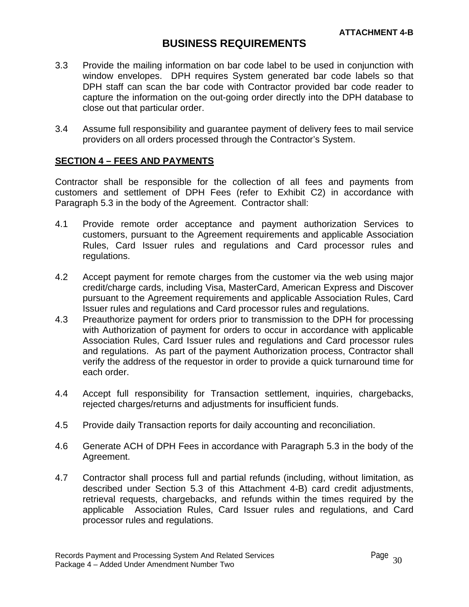- 3.3 Provide the mailing information on bar code label to be used in conjunction with window envelopes. DPH requires System generated bar code labels so that DPH staff can scan the bar code with Contractor provided bar code reader to capture the information on the out-going order directly into the DPH database to close out that particular order.
- 3.4 Assume full responsibility and guarantee payment of delivery fees to mail service providers on all orders processed through the Contractor's System.

## **SECTION 4 – FEES AND PAYMENTS**

Contractor shall be responsible for the collection of all fees and payments from customers and settlement of DPH Fees (refer to Exhibit C2) in accordance with Paragraph 5.3 in the body of the Agreement. Contractor shall:

- 4.1 Provide remote order acceptance and payment authorization Services to customers, pursuant to the Agreement requirements and applicable Association Rules, Card Issuer rules and regulations and Card processor rules and regulations.
- 4.2 Accept payment for remote charges from the customer via the web using major credit/charge cards, including Visa, MasterCard, American Express and Discover pursuant to the Agreement requirements and applicable Association Rules, Card Issuer rules and regulations and Card processor rules and regulations.
- 4.3 Preauthorize payment for orders prior to transmission to the DPH for processing with Authorization of payment for orders to occur in accordance with applicable Association Rules, Card Issuer rules and regulations and Card processor rules and regulations. As part of the payment Authorization process, Contractor shall verify the address of the requestor in order to provide a quick turnaround time for each order.
- 4.4 Accept full responsibility for Transaction settlement, inquiries, chargebacks, rejected charges/returns and adjustments for insufficient funds.
- 4.5 Provide daily Transaction reports for daily accounting and reconciliation.
- 4.6 Generate ACH of DPH Fees in accordance with Paragraph 5.3 in the body of the Agreement.
- 4.7 Contractor shall process full and partial refunds (including, without limitation, as described under Section 5.3 of this Attachment 4-B) card credit adjustments, retrieval requests, chargebacks, and refunds within the times required by the applicable Association Rules, Card Issuer rules and regulations, and Card processor rules and regulations.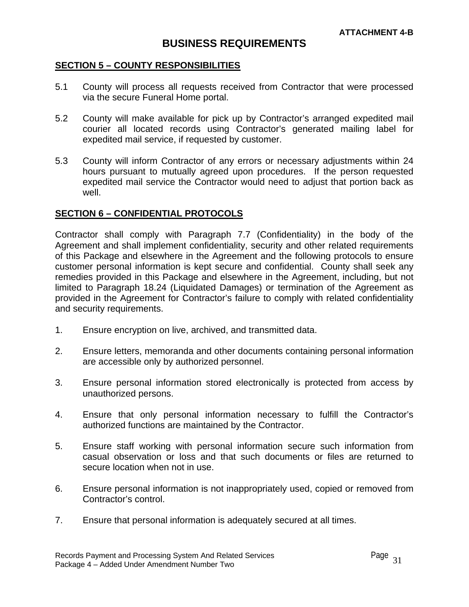### **SECTION 5 – COUNTY RESPONSIBILITIES**

- 5.1 County will process all requests received from Contractor that were processed via the secure Funeral Home portal.
- 5.2 County will make available for pick up by Contractor's arranged expedited mail courier all located records using Contractor's generated mailing label for expedited mail service, if requested by customer.
- 5.3 County will inform Contractor of any errors or necessary adjustments within 24 hours pursuant to mutually agreed upon procedures. If the person requested expedited mail service the Contractor would need to adjust that portion back as well.

### **SECTION 6 – CONFIDENTIAL PROTOCOLS**

Contractor shall comply with Paragraph 7.7 (Confidentiality) in the body of the Agreement and shall implement confidentiality, security and other related requirements of this Package and elsewhere in the Agreement and the following protocols to ensure customer personal information is kept secure and confidential. County shall seek any remedies provided in this Package and elsewhere in the Agreement, including, but not limited to Paragraph 18.24 (Liquidated Damages) or termination of the Agreement as provided in the Agreement for Contractor's failure to comply with related confidentiality and security requirements.

- 1. Ensure encryption on live, archived, and transmitted data.
- 2. Ensure letters, memoranda and other documents containing personal information are accessible only by authorized personnel.
- 3. Ensure personal information stored electronically is protected from access by unauthorized persons.
- 4. Ensure that only personal information necessary to fulfill the Contractor's authorized functions are maintained by the Contractor.
- 5. Ensure staff working with personal information secure such information from casual observation or loss and that such documents or files are returned to secure location when not in use.
- 6. Ensure personal information is not inappropriately used, copied or removed from Contractor's control.
- 7. Ensure that personal information is adequately secured at all times.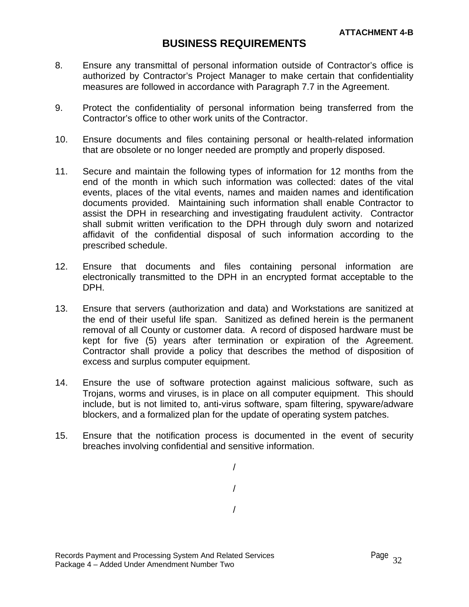- 8. Ensure any transmittal of personal information outside of Contractor's office is authorized by Contractor's Project Manager to make certain that confidentiality measures are followed in accordance with Paragraph 7.7 in the Agreement.
- 9. Protect the confidentiality of personal information being transferred from the Contractor's office to other work units of the Contractor.
- 10. Ensure documents and files containing personal or health-related information that are obsolete or no longer needed are promptly and properly disposed.
- 11. Secure and maintain the following types of information for 12 months from the end of the month in which such information was collected: dates of the vital events, places of the vital events, names and maiden names and identification documents provided. Maintaining such information shall enable Contractor to assist the DPH in researching and investigating fraudulent activity. Contractor shall submit written verification to the DPH through duly sworn and notarized affidavit of the confidential disposal of such information according to the prescribed schedule.
- 12. Ensure that documents and files containing personal information are electronically transmitted to the DPH in an encrypted format acceptable to the DPH.
- 13. Ensure that servers (authorization and data) and Workstations are sanitized at the end of their useful life span. Sanitized as defined herein is the permanent removal of all County or customer data. A record of disposed hardware must be kept for five (5) years after termination or expiration of the Agreement. Contractor shall provide a policy that describes the method of disposition of excess and surplus computer equipment.
- 14. Ensure the use of software protection against malicious software, such as Trojans, worms and viruses, is in place on all computer equipment. This should include, but is not limited to, anti-virus software, spam filtering, spyware/adware blockers, and a formalized plan for the update of operating system patches.
- 15. Ensure that the notification process is documented in the event of security breaches involving confidential and sensitive information.

/ / /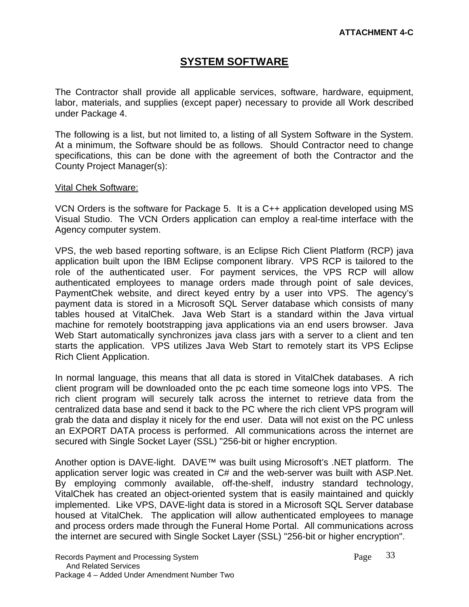# **SYSTEM SOFTWARE**

The Contractor shall provide all applicable services, software, hardware, equipment, labor, materials, and supplies (except paper) necessary to provide all Work described under Package 4.

The following is a list, but not limited to, a listing of all System Software in the System. At a minimum, the Software should be as follows. Should Contractor need to change specifications, this can be done with the agreement of both the Contractor and the County Project Manager(s):

### Vital Chek Software:

VCN Orders is the software for Package 5. It is a C++ application developed using MS Visual Studio. The VCN Orders application can employ a real-time interface with the Agency computer system.

VPS, the web based reporting software, is an Eclipse Rich Client Platform (RCP) java application built upon the IBM Eclipse component library. VPS RCP is tailored to the role of the authenticated user. For payment services, the VPS RCP will allow authenticated employees to manage orders made through point of sale devices, PaymentChek website, and direct keyed entry by a user into VPS. The agency's payment data is stored in a Microsoft SQL Server database which consists of many tables housed at VitalChek. Java Web Start is a standard within the Java virtual machine for remotely bootstrapping java applications via an end users browser. Java Web Start automatically synchronizes java class jars with a server to a client and ten starts the application. VPS utilizes Java Web Start to remotely start its VPS Eclipse Rich Client Application.

In normal language, this means that all data is stored in VitalChek databases. A rich client program will be downloaded onto the pc each time someone logs into VPS. The rich client program will securely talk across the internet to retrieve data from the centralized data base and send it back to the PC where the rich client VPS program will grab the data and display it nicely for the end user. Data will not exist on the PC unless an EXPORT DATA process is performed. All communications across the internet are secured with Single Socket Layer (SSL) "256-bit or higher encryption.

Another option is DAVE-light. DAVE<sup>™</sup> was built using Microsoft's .NET platform. The application server logic was created in C# and the web-server was built with ASP.Net. By employing commonly available, off-the-shelf, industry standard technology, VitalChek has created an object-oriented system that is easily maintained and quickly implemented. Like VPS, DAVE-light data is stored in a Microsoft SQL Server database housed at VitalChek. The application will allow authenticated employees to manage and process orders made through the Funeral Home Portal. All communications across the internet are secured with Single Socket Layer (SSL) "256-bit or higher encryption".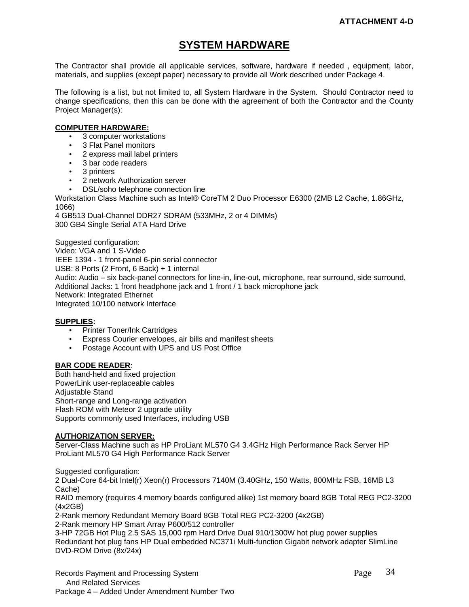# **SYSTEM HARDWARE**

The Contractor shall provide all applicable services, software, hardware if needed , equipment, labor, materials, and supplies (except paper) necessary to provide all Work described under Package 4.

The following is a list, but not limited to, all System Hardware in the System. Should Contractor need to change specifications, then this can be done with the agreement of both the Contractor and the County Project Manager(s):

#### **COMPUTER HARDWARE:**

- 3 computer workstations
- 3 Flat Panel monitors
- 2 express mail label printers
- 3 bar code readers
- 3 printers
- 2 network Authorization server
- DSL/soho telephone connection line

Workstation Class Machine such as Intel® CoreTM 2 Duo Processor E6300 (2MB L2 Cache, 1.86GHz, 1066)

4 GB513 Dual-Channel DDR27 SDRAM (533MHz, 2 or 4 DIMMs) 300 GB4 Single Serial ATA Hard Drive

Suggested configuration: Video: VGA and 1 S-Video IEEE 1394 - 1 front-panel 6-pin serial connector USB: 8 Ports (2 Front, 6 Back) + 1 internal Audio: Audio – six back-panel connectors for line-in, line-out, microphone, rear surround, side surround, Additional Jacks: 1 front headphone jack and 1 front / 1 back microphone jack Network: Integrated Ethernet Integrated 10/100 network Interface

#### **SUPPLIES:**

- Printer Toner/Ink Cartridges
- **•** Express Courier envelopes, air bills and manifest sheets
- Postage Account with UPS and US Post Office

#### **BAR CODE READER**:

Both hand-held and fixed projection PowerLink user-replaceable cables Adjustable Stand Short-range and Long-range activation Flash ROM with Meteor 2 upgrade utility Supports commonly used Interfaces, including USB

#### **AUTHORIZATION SERVER:**

Server-Class Machine such as HP ProLiant ML570 G4 3.4GHz High Performance Rack Server HP ProLiant ML570 G4 High Performance Rack Server

Suggested configuration:

2 Dual-Core 64-bit Intel(r) Xeon(r) Processors 7140M (3.40GHz, 150 Watts, 800MHz FSB, 16MB L3 Cache)

RAID memory (requires 4 memory boards configured alike) 1st memory board 8GB Total REG PC2-3200 (4x2GB)

2-Rank memory Redundant Memory Board 8GB Total REG PC2-3200 (4x2GB)

2-Rank memory HP Smart Array P600/512 controller

3-HP 72GB Hot Plug 2.5 SAS 15,000 rpm Hard Drive Dual 910/1300W hot plug power supplies Redundant hot plug fans HP Dual embedded NC371i Multi-function Gigabit network adapter SlimLine DVD-ROM Drive (8x/24x)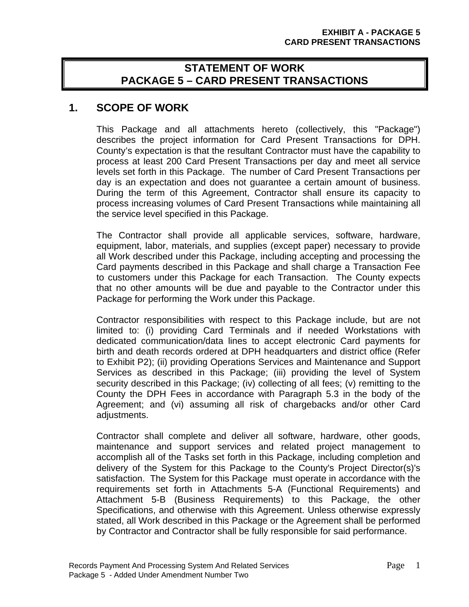# **STATEMENT OF WORK PACKAGE 5 – CARD PRESENT TRANSACTIONS**

# **1. SCOPE OF WORK**

This Package and all attachments hereto (collectively, this "Package") describes the project information for Card Present Transactions for DPH. County's expectation is that the resultant Contractor must have the capability to process at least 200 Card Present Transactions per day and meet all service levels set forth in this Package. The number of Card Present Transactions per day is an expectation and does not guarantee a certain amount of business. During the term of this Agreement, Contractor shall ensure its capacity to process increasing volumes of Card Present Transactions while maintaining all the service level specified in this Package.

The Contractor shall provide all applicable services, software, hardware, equipment, labor, materials, and supplies (except paper) necessary to provide all Work described under this Package, including accepting and processing the Card payments described in this Package and shall charge a Transaction Fee to customers under this Package for each Transaction. The County expects that no other amounts will be due and payable to the Contractor under this Package for performing the Work under this Package.

Contractor responsibilities with respect to this Package include, but are not limited to: (i) providing Card Terminals and if needed Workstations with dedicated communication/data lines to accept electronic Card payments for birth and death records ordered at DPH headquarters and district office (Refer to Exhibit P2); (ii) providing Operations Services and Maintenance and Support Services as described in this Package; (iii) providing the level of System security described in this Package; (iv) collecting of all fees; (v) remitting to the County the DPH Fees in accordance with Paragraph 5.3 in the body of the Agreement; and (vi) assuming all risk of chargebacks and/or other Card adjustments.

Contractor shall complete and deliver all software, hardware, other goods, maintenance and support services and related project management to accomplish all of the Tasks set forth in this Package, including completion and delivery of the System for this Package to the County's Project Director(s)'s satisfaction. The System for this Package must operate in accordance with the requirements set forth in Attachments 5-A (Functional Requirements) and Attachment 5-B (Business Requirements) to this Package, the other Specifications, and otherwise with this Agreement. Unless otherwise expressly stated, all Work described in this Package or the Agreement shall be performed by Contractor and Contractor shall be fully responsible for said performance.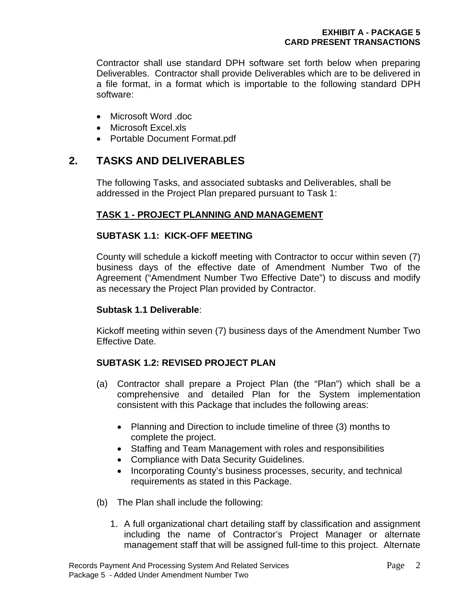Contractor shall use standard DPH software set forth below when preparing Deliverables. Contractor shall provide Deliverables which are to be delivered in a file format, in a format which is importable to the following standard DPH software:

- Microsoft Word .doc
- Microsoft Excel.xls
- Portable Document Format.pdf

# **2. TASKS AND DELIVERABLES**

The following Tasks, and associated subtasks and Deliverables, shall be addressed in the Project Plan prepared pursuant to Task 1:

## **TASK 1 - PROJECT PLANNING AND MANAGEMENT**

## **SUBTASK 1.1: KICK-OFF MEETING**

County will schedule a kickoff meeting with Contractor to occur within seven (7) business days of the effective date of Amendment Number Two of the Agreement ("Amendment Number Two Effective Date") to discuss and modify as necessary the Project Plan provided by Contractor.

## **Subtask 1.1 Deliverable**:

Kickoff meeting within seven (7) business days of the Amendment Number Two Effective Date.

# **SUBTASK 1.2: REVISED PROJECT PLAN**

- (a) Contractor shall prepare a Project Plan (the "Plan") which shall be a comprehensive and detailed Plan for the System implementation consistent with this Package that includes the following areas:
	- Planning and Direction to include timeline of three (3) months to complete the project.
	- Staffing and Team Management with roles and responsibilities
	- Compliance with Data Security Guidelines.
	- Incorporating County's business processes, security, and technical requirements as stated in this Package.
- (b) The Plan shall include the following:
	- 1. A full organizational chart detailing staff by classification and assignment including the name of Contractor's Project Manager or alternate management staff that will be assigned full-time to this project. Alternate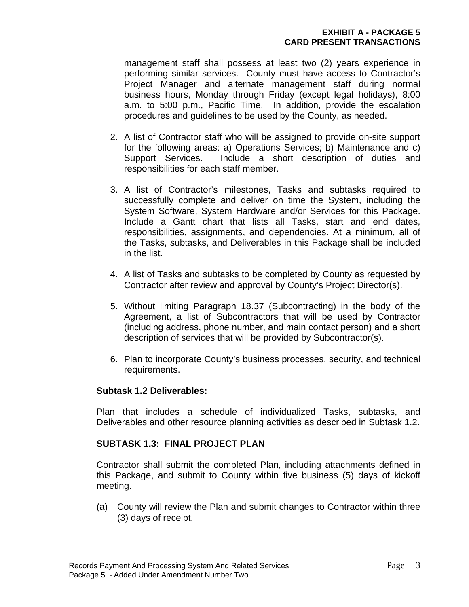management staff shall possess at least two (2) years experience in performing similar services. County must have access to Contractor's Project Manager and alternate management staff during normal business hours, Monday through Friday (except legal holidays), 8:00 a.m. to 5:00 p.m., Pacific Time. In addition, provide the escalation procedures and guidelines to be used by the County, as needed.

- 2. A list of Contractor staff who will be assigned to provide on-site support for the following areas: a) Operations Services; b) Maintenance and c) Support Services. Include a short description of duties and responsibilities for each staff member.
- 3. A list of Contractor's milestones, Tasks and subtasks required to successfully complete and deliver on time the System, including the System Software, System Hardware and/or Services for this Package. Include a Gantt chart that lists all Tasks, start and end dates, responsibilities, assignments, and dependencies. At a minimum, all of the Tasks, subtasks, and Deliverables in this Package shall be included in the list.
- 4. A list of Tasks and subtasks to be completed by County as requested by Contractor after review and approval by County's Project Director(s).
- 5. Without limiting Paragraph 18.37 (Subcontracting) in the body of the Agreement, a list of Subcontractors that will be used by Contractor (including address, phone number, and main contact person) and a short description of services that will be provided by Subcontractor(s).
- 6. Plan to incorporate County's business processes, security, and technical requirements.

## **Subtask 1.2 Deliverables:**

Plan that includes a schedule of individualized Tasks, subtasks, and Deliverables and other resource planning activities as described in Subtask 1.2.

## **SUBTASK 1.3: FINAL PROJECT PLAN**

Contractor shall submit the completed Plan, including attachments defined in this Package, and submit to County within five business (5) days of kickoff meeting.

(a) County will review the Plan and submit changes to Contractor within three (3) days of receipt.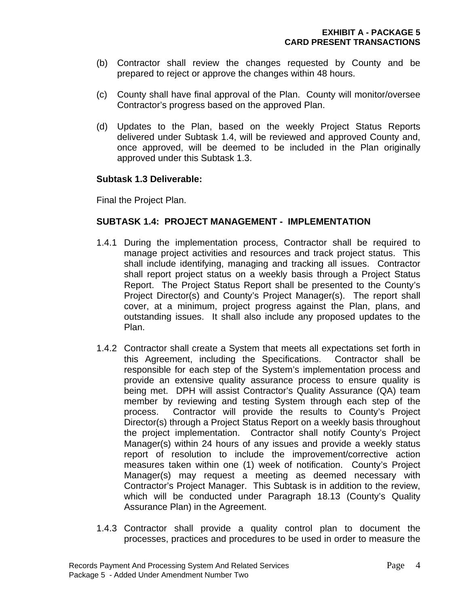- (b) Contractor shall review the changes requested by County and be prepared to reject or approve the changes within 48 hours.
- (c) County shall have final approval of the Plan. County will monitor/oversee Contractor's progress based on the approved Plan.
- (d) Updates to the Plan, based on the weekly Project Status Reports delivered under Subtask 1.4, will be reviewed and approved County and, once approved, will be deemed to be included in the Plan originally approved under this Subtask 1.3.

### **Subtask 1.3 Deliverable:**

Final the Project Plan.

## **SUBTASK 1.4: PROJECT MANAGEMENT - IMPLEMENTATION**

- 1.4.1 During the implementation process, Contractor shall be required to manage project activities and resources and track project status. This shall include identifying, managing and tracking all issues. Contractor shall report project status on a weekly basis through a Project Status Report. The Project Status Report shall be presented to the County's Project Director(s) and County's Project Manager(s). The report shall cover, at a minimum, project progress against the Plan, plans, and outstanding issues. It shall also include any proposed updates to the Plan.
- 1.4.2 Contractor shall create a System that meets all expectations set forth in this Agreement, including the Specifications. Contractor shall be responsible for each step of the System's implementation process and provide an extensive quality assurance process to ensure quality is being met. DPH will assist Contractor's Quality Assurance (QA) team member by reviewing and testing System through each step of the process. Contractor will provide the results to County's Project Director(s) through a Project Status Report on a weekly basis throughout the project implementation. Contractor shall notify County's Project Manager(s) within 24 hours of any issues and provide a weekly status report of resolution to include the improvement/corrective action measures taken within one (1) week of notification. County's Project Manager(s) may request a meeting as deemed necessary with Contractor's Project Manager. This Subtask is in addition to the review, which will be conducted under Paragraph 18.13 (County's Quality Assurance Plan) in the Agreement.
- 1.4.3 Contractor shall provide a quality control plan to document the processes, practices and procedures to be used in order to measure the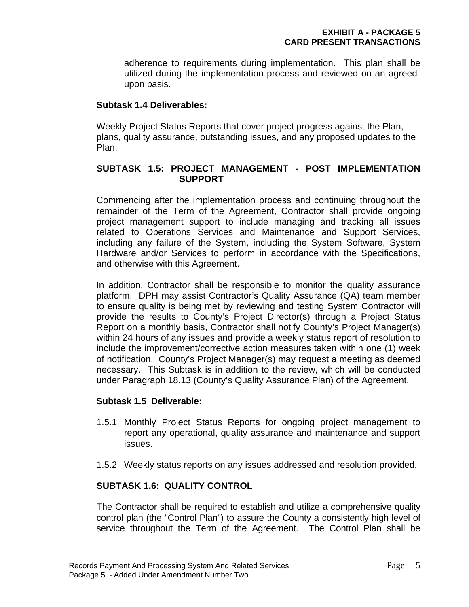adherence to requirements during implementation. This plan shall be utilized during the implementation process and reviewed on an agreedupon basis.

## **Subtask 1.4 Deliverables:**

Weekly Project Status Reports that cover project progress against the Plan, plans, quality assurance, outstanding issues, and any proposed updates to the Plan.

## **SUBTASK 1.5: PROJECT MANAGEMENT - POST IMPLEMENTATION SUPPORT**

Commencing after the implementation process and continuing throughout the remainder of the Term of the Agreement, Contractor shall provide ongoing project management support to include managing and tracking all issues related to Operations Services and Maintenance and Support Services, including any failure of the System, including the System Software, System Hardware and/or Services to perform in accordance with the Specifications, and otherwise with this Agreement.

In addition, Contractor shall be responsible to monitor the quality assurance platform. DPH may assist Contractor's Quality Assurance (QA) team member to ensure quality is being met by reviewing and testing System Contractor will provide the results to County's Project Director(s) through a Project Status Report on a monthly basis, Contractor shall notify County's Project Manager(s) within 24 hours of any issues and provide a weekly status report of resolution to include the improvement/corrective action measures taken within one (1) week of notification. County's Project Manager(s) may request a meeting as deemed necessary. This Subtask is in addition to the review, which will be conducted under Paragraph 18.13 (County's Quality Assurance Plan) of the Agreement.

# **Subtask 1.5 Deliverable:**

- 1.5.1 Monthly Project Status Reports for ongoing project management to report any operational, quality assurance and maintenance and support issues.
- 1.5.2 Weekly status reports on any issues addressed and resolution provided.

# **SUBTASK 1.6: QUALITY CONTROL**

The Contractor shall be required to establish and utilize a comprehensive quality control plan (the "Control Plan") to assure the County a consistently high level of service throughout the Term of the Agreement. The Control Plan shall be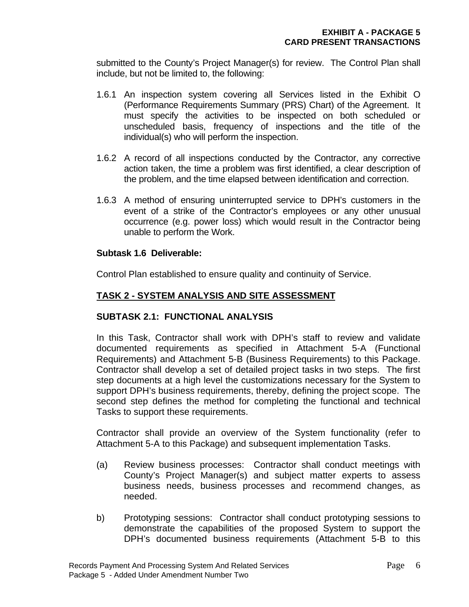submitted to the County's Project Manager(s) for review. The Control Plan shall include, but not be limited to, the following:

- 1.6.1 An inspection system covering all Services listed in the Exhibit O (Performance Requirements Summary (PRS) Chart) of the Agreement. It must specify the activities to be inspected on both scheduled or unscheduled basis, frequency of inspections and the title of the individual(s) who will perform the inspection.
- 1.6.2 A record of all inspections conducted by the Contractor, any corrective action taken, the time a problem was first identified, a clear description of the problem, and the time elapsed between identification and correction.
- 1.6.3 A method of ensuring uninterrupted service to DPH's customers in the event of a strike of the Contractor's employees or any other unusual occurrence (e.g. power loss) which would result in the Contractor being unable to perform the Work.

### **Subtask 1.6 Deliverable:**

Control Plan established to ensure quality and continuity of Service.

## **TASK 2 - SYSTEM ANALYSIS AND SITE ASSESSMENT**

## **SUBTASK 2.1: FUNCTIONAL ANALYSIS**

In this Task, Contractor shall work with DPH's staff to review and validate documented requirements as specified in Attachment 5-A (Functional Requirements) and Attachment 5-B (Business Requirements) to this Package. Contractor shall develop a set of detailed project tasks in two steps. The first step documents at a high level the customizations necessary for the System to support DPH's business requirements, thereby, defining the project scope. The second step defines the method for completing the functional and technical Tasks to support these requirements.

Contractor shall provide an overview of the System functionality (refer to Attachment 5-A to this Package) and subsequent implementation Tasks.

- (a) Review business processes: Contractor shall conduct meetings with County's Project Manager(s) and subject matter experts to assess business needs, business processes and recommend changes, as needed.
- b) Prototyping sessions: Contractor shall conduct prototyping sessions to demonstrate the capabilities of the proposed System to support the DPH's documented business requirements (Attachment 5-B to this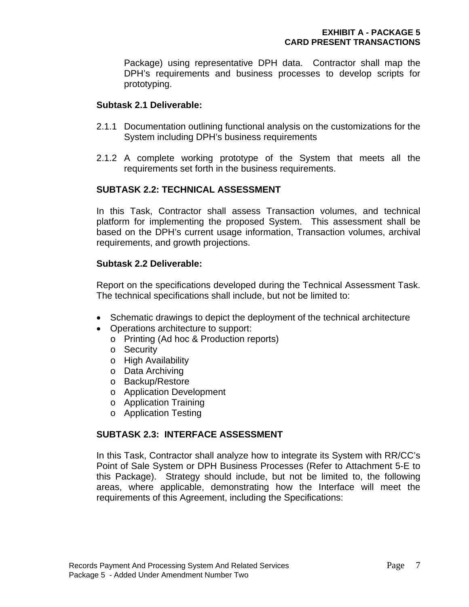Package) using representative DPH data. Contractor shall map the DPH's requirements and business processes to develop scripts for prototyping.

## **Subtask 2.1 Deliverable:**

- 2.1.1 Documentation outlining functional analysis on the customizations for the System including DPH's business requirements
- 2.1.2 A complete working prototype of the System that meets all the requirements set forth in the business requirements.

# **SUBTASK 2.2: TECHNICAL ASSESSMENT**

In this Task, Contractor shall assess Transaction volumes, and technical platform for implementing the proposed System. This assessment shall be based on the DPH's current usage information, Transaction volumes, archival requirements, and growth projections.

## **Subtask 2.2 Deliverable:**

Report on the specifications developed during the Technical Assessment Task. The technical specifications shall include, but not be limited to:

- Schematic drawings to depict the deployment of the technical architecture
- Operations architecture to support:
	- o Printing (Ad hoc & Production reports)
	- o Security
	- o High Availability
	- o Data Archiving
	- o Backup/Restore
	- o Application Development
	- o Application Training
	- o Application Testing

# **SUBTASK 2.3: INTERFACE ASSESSMENT**

In this Task, Contractor shall analyze how to integrate its System with RR/CC's Point of Sale System or DPH Business Processes (Refer to Attachment 5-E to this Package). Strategy should include, but not be limited to, the following areas, where applicable, demonstrating how the Interface will meet the requirements of this Agreement, including the Specifications: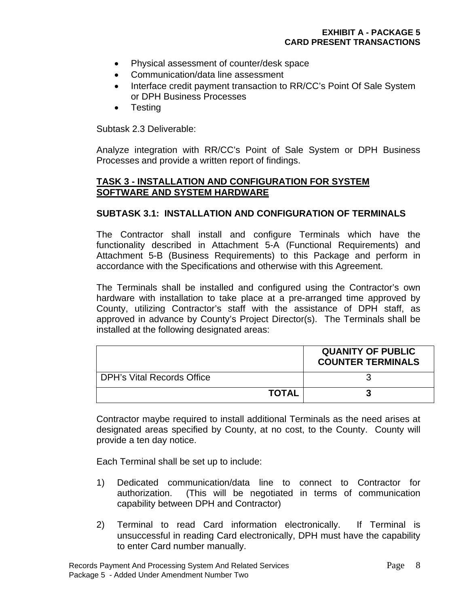- Physical assessment of counter/desk space
- Communication/data line assessment
- Interface credit payment transaction to RR/CC's Point Of Sale System or DPH Business Processes
- Testing

Subtask 2.3 Deliverable:

Analyze integration with RR/CC's Point of Sale System or DPH Business Processes and provide a written report of findings.

## **TASK 3 - INSTALLATION AND CONFIGURATION FOR SYSTEM SOFTWARE AND SYSTEM HARDWARE**

## **SUBTASK 3.1: INSTALLATION AND CONFIGURATION OF TERMINALS**

The Contractor shall install and configure Terminals which have the functionality described in Attachment 5-A (Functional Requirements) and Attachment 5-B (Business Requirements) to this Package and perform in accordance with the Specifications and otherwise with this Agreement.

The Terminals shall be installed and configured using the Contractor's own hardware with installation to take place at a pre-arranged time approved by County, utilizing Contractor's staff with the assistance of DPH staff, as approved in advance by County's Project Director(s). The Terminals shall be installed at the following designated areas:

|                            |              | <b>QUANITY OF PUBLIC</b><br><b>COUNTER TERMINALS</b> |
|----------------------------|--------------|------------------------------------------------------|
| DPH's Vital Records Office |              |                                                      |
|                            | <b>TOTAL</b> |                                                      |

Contractor maybe required to install additional Terminals as the need arises at designated areas specified by County, at no cost, to the County. County will provide a ten day notice.

Each Terminal shall be set up to include:

- 1) Dedicated communication/data line to connect to Contractor for authorization. (This will be negotiated in terms of communication capability between DPH and Contractor)
- 2) Terminal to read Card information electronically. If Terminal is unsuccessful in reading Card electronically, DPH must have the capability to enter Card number manually.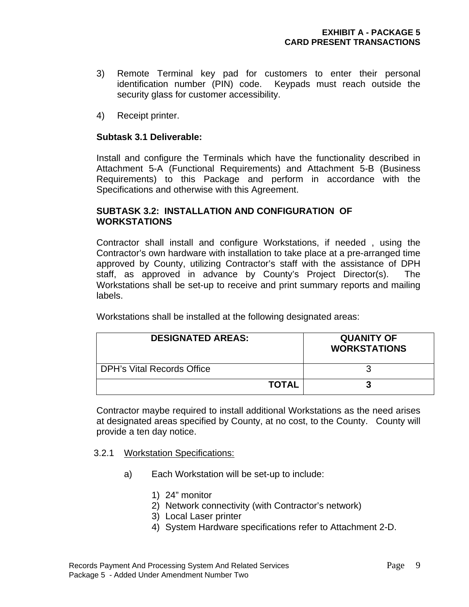- 3) Remote Terminal key pad for customers to enter their personal identification number (PIN) code. Keypads must reach outside the security glass for customer accessibility.
- 4) Receipt printer.

## **Subtask 3.1 Deliverable:**

Install and configure the Terminals which have the functionality described in Attachment 5-A (Functional Requirements) and Attachment 5-B (Business Requirements) to this Package and perform in accordance with the Specifications and otherwise with this Agreement.

### **SUBTASK 3.2: INSTALLATION AND CONFIGURATION OF WORKSTATIONS**

 Contractor shall install and configure Workstations, if needed , using the Contractor's own hardware with installation to take place at a pre-arranged time approved by County, utilizing Contractor's staff with the assistance of DPH staff, as approved in advance by County's Project Director(s). The Workstations shall be set-up to receive and print summary reports and mailing labels.

Workstations shall be installed at the following designated areas:

| <b>DESIGNATED AREAS:</b>   | <b>QUANITY OF</b><br><b>WORKSTATIONS</b> |
|----------------------------|------------------------------------------|
| DPH's Vital Records Office |                                          |
| <b>TOTAL</b>               |                                          |

Contractor maybe required to install additional Workstations as the need arises at designated areas specified by County, at no cost, to the County. County will provide a ten day notice.

### 3.2.1 Workstation Specifications:

- a) Each Workstation will be set-up to include:
	- 1) 24" monitor
	- 2) Network connectivity (with Contractor's network)
	- 3) Local Laser printer
	- 4) System Hardware specifications refer to Attachment 2-D.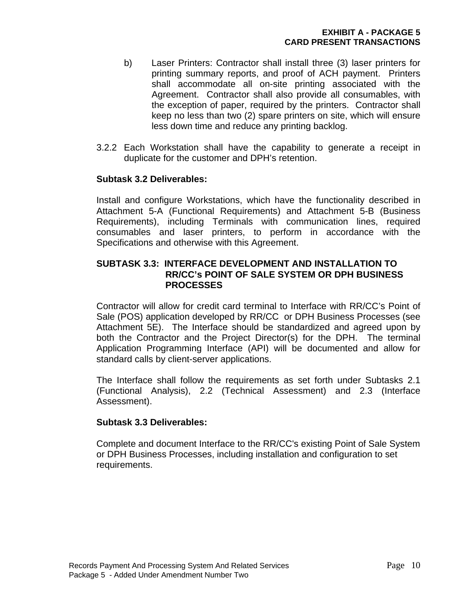- b) Laser Printers: Contractor shall install three (3) laser printers for printing summary reports, and proof of ACH payment. Printers shall accommodate all on-site printing associated with the Agreement. Contractor shall also provide all consumables, with the exception of paper, required by the printers. Contractor shall keep no less than two (2) spare printers on site, which will ensure less down time and reduce any printing backlog.
- 3.2.2 Each Workstation shall have the capability to generate a receipt in duplicate for the customer and DPH's retention.

## **Subtask 3.2 Deliverables:**

 Install and configure Workstations, which have the functionality described in Attachment 5-A (Functional Requirements) and Attachment 5-B (Business Requirements), including Terminals with communication lines, required consumables and laser printers, to perform in accordance with the Specifications and otherwise with this Agreement.

### **SUBTASK 3.3: INTERFACE DEVELOPMENT AND INSTALLATION TO RR/CC's POINT OF SALE SYSTEM OR DPH BUSINESS PROCESSES**

Contractor will allow for credit card terminal to Interface with RR/CC's Point of Sale (POS) application developed by RR/CC or DPH Business Processes (see Attachment 5E). The Interface should be standardized and agreed upon by both the Contractor and the Project Director(s) for the DPH. The terminal Application Programming Interface (API) will be documented and allow for standard calls by client-server applications.

 The Interface shall follow the requirements as set forth under Subtasks 2.1 (Functional Analysis), 2.2 (Technical Assessment) and 2.3 (Interface Assessment).

### **Subtask 3.3 Deliverables:**

 Complete and document Interface to the RR/CC's existing Point of Sale System or DPH Business Processes, including installation and configuration to set requirements.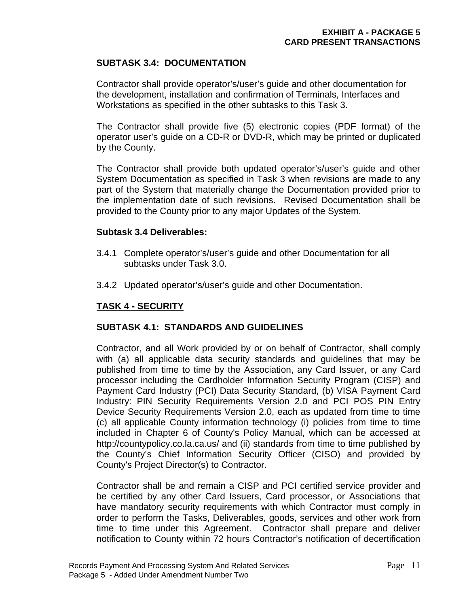# **SUBTASK 3.4: DOCUMENTATION**

Contractor shall provide operator's/user's guide and other documentation for the development, installation and confirmation of Terminals, Interfaces and Workstations as specified in the other subtasks to this Task 3.

The Contractor shall provide five (5) electronic copies (PDF format) of the operator user's guide on a CD-R or DVD-R, which may be printed or duplicated by the County.

The Contractor shall provide both updated operator's/user's guide and other System Documentation as specified in Task 3 when revisions are made to any part of the System that materially change the Documentation provided prior to the implementation date of such revisions. Revised Documentation shall be provided to the County prior to any major Updates of the System.

### **Subtask 3.4 Deliverables:**

- 3.4.1 Complete operator's/user's guide and other Documentation for all subtasks under Task 3.0.
- 3.4.2 Updated operator's/user's guide and other Documentation.

## **TASK 4 - SECURITY**

## **SUBTASK 4.1: STANDARDS AND GUIDELINES**

Contractor, and all Work provided by or on behalf of Contractor, shall comply with (a) all applicable data security standards and guidelines that may be published from time to time by the Association, any Card Issuer, or any Card processor including the Cardholder Information Security Program (CISP) and Payment Card Industry (PCI) Data Security Standard, (b) VISA Payment Card Industry: PIN Security Requirements Version 2.0 and PCI POS PIN Entry Device Security Requirements Version 2.0, each as updated from time to time (c) all applicable County information technology (i) policies from time to time included in Chapter 6 of County's Policy Manual, which can be accessed at http://countypolicy.co.la.ca.us/ and (ii) standards from time to time published by the County's Chief Information Security Officer (CISO) and provided by County's Project Director(s) to Contractor.

 Contractor shall be and remain a CISP and PCI certified service provider and be certified by any other Card Issuers, Card processor, or Associations that have mandatory security requirements with which Contractor must comply in order to perform the Tasks, Deliverables, goods, services and other work from time to time under this Agreement. Contractor shall prepare and deliver notification to County within 72 hours Contractor's notification of decertification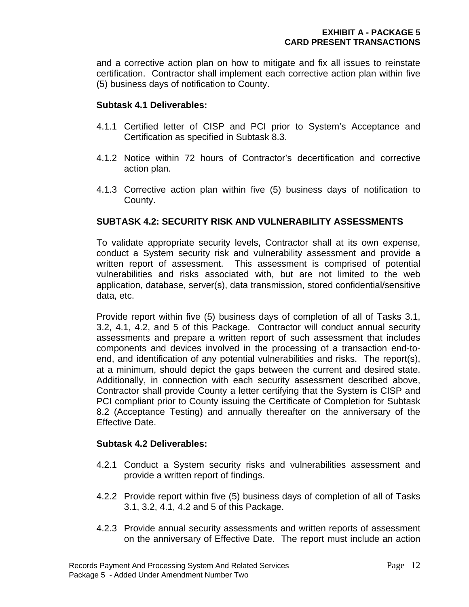and a corrective action plan on how to mitigate and fix all issues to reinstate certification. Contractor shall implement each corrective action plan within five (5) business days of notification to County.

#### **Subtask 4.1 Deliverables:**

- 4.1.1 Certified letter of CISP and PCI prior to System's Acceptance and Certification as specified in Subtask 8.3.
- 4.1.2 Notice within 72 hours of Contractor's decertification and corrective action plan.
- 4.1.3 Corrective action plan within five (5) business days of notification to County.

## **SUBTASK 4.2: SECURITY RISK AND VULNERABILITY ASSESSMENTS**

To validate appropriate security levels, Contractor shall at its own expense, conduct a System security risk and vulnerability assessment and provide a written report of assessment. This assessment is comprised of potential vulnerabilities and risks associated with, but are not limited to the web application, database, server(s), data transmission, stored confidential/sensitive data, etc.

Provide report within five (5) business days of completion of all of Tasks 3.1, 3.2, 4.1, 4.2, and 5 of this Package. Contractor will conduct annual security assessments and prepare a written report of such assessment that includes components and devices involved in the processing of a transaction end-toend, and identification of any potential vulnerabilities and risks. The report(s), at a minimum, should depict the gaps between the current and desired state. Additionally, in connection with each security assessment described above, Contractor shall provide County a letter certifying that the System is CISP and PCI compliant prior to County issuing the Certificate of Completion for Subtask 8.2 (Acceptance Testing) and annually thereafter on the anniversary of the Effective Date.

#### **Subtask 4.2 Deliverables:**

- 4.2.1 Conduct a System security risks and vulnerabilities assessment and provide a written report of findings.
- 4.2.2 Provide report within five (5) business days of completion of all of Tasks 3.1, 3.2, 4.1, 4.2 and 5 of this Package.
- 4.2.3 Provide annual security assessments and written reports of assessment on the anniversary of Effective Date. The report must include an action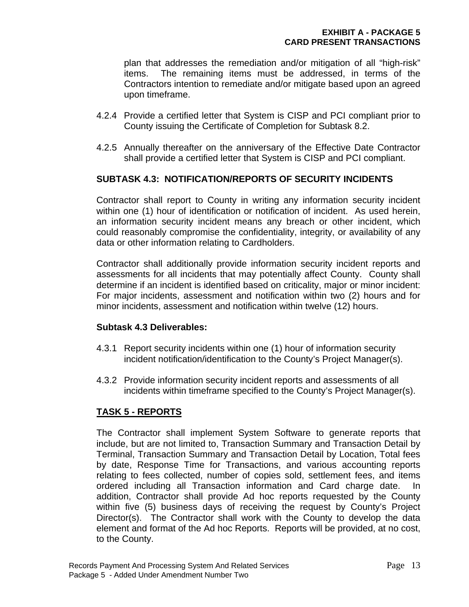plan that addresses the remediation and/or mitigation of all "high-risk" items. The remaining items must be addressed, in terms of the Contractors intention to remediate and/or mitigate based upon an agreed upon timeframe.

- 4.2.4 Provide a certified letter that System is CISP and PCI compliant prior to County issuing the Certificate of Completion for Subtask 8.2.
- 4.2.5 Annually thereafter on the anniversary of the Effective Date Contractor shall provide a certified letter that System is CISP and PCI compliant.

#### **SUBTASK 4.3: NOTIFICATION/REPORTS OF SECURITY INCIDENTS**

Contractor shall report to County in writing any information security incident within one (1) hour of identification or notification of incident. As used herein. an information security incident means any breach or other incident, which could reasonably compromise the confidentiality, integrity, or availability of any data or other information relating to Cardholders.

Contractor shall additionally provide information security incident reports and assessments for all incidents that may potentially affect County. County shall determine if an incident is identified based on criticality, major or minor incident: For major incidents, assessment and notification within two (2) hours and for minor incidents, assessment and notification within twelve (12) hours.

#### **Subtask 4.3 Deliverables:**

- 4.3.1 Report security incidents within one (1) hour of information security incident notification/identification to the County's Project Manager(s).
- 4.3.2 Provide information security incident reports and assessments of all incidents within timeframe specified to the County's Project Manager(s).

## **TASK 5 - REPORTS**

The Contractor shall implement System Software to generate reports that include, but are not limited to, Transaction Summary and Transaction Detail by Terminal, Transaction Summary and Transaction Detail by Location, Total fees by date, Response Time for Transactions, and various accounting reports relating to fees collected, number of copies sold, settlement fees, and items ordered including all Transaction information and Card charge date. In addition, Contractor shall provide Ad hoc reports requested by the County within five (5) business days of receiving the request by County's Project Director(s). The Contractor shall work with the County to develop the data element and format of the Ad hoc Reports. Reports will be provided, at no cost, to the County.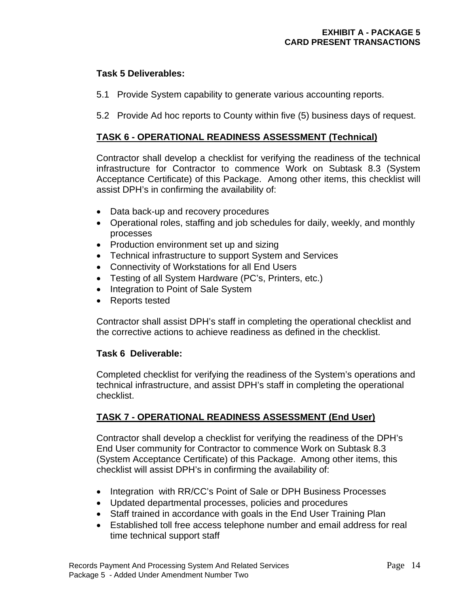#### **Task 5 Deliverables:**

- 5.1 Provide System capability to generate various accounting reports.
- 5.2 Provide Ad hoc reports to County within five (5) business days of request.

#### **TASK 6 - OPERATIONAL READINESS ASSESSMENT (Technical)**

Contractor shall develop a checklist for verifying the readiness of the technical infrastructure for Contractor to commence Work on Subtask 8.3 (System Acceptance Certificate) of this Package. Among other items, this checklist will assist DPH's in confirming the availability of:

- Data back-up and recovery procedures
- Operational roles, staffing and job schedules for daily, weekly, and monthly processes
- Production environment set up and sizing
- Technical infrastructure to support System and Services
- Connectivity of Workstations for all End Users
- Testing of all System Hardware (PC's, Printers, etc.)
- Integration to Point of Sale System
- Reports tested

Contractor shall assist DPH's staff in completing the operational checklist and the corrective actions to achieve readiness as defined in the checklist.

#### **Task 6 Deliverable:**

Completed checklist for verifying the readiness of the System's operations and technical infrastructure, and assist DPH's staff in completing the operational checklist.

## **TASK 7 - OPERATIONAL READINESS ASSESSMENT (End User)**

Contractor shall develop a checklist for verifying the readiness of the DPH's End User community for Contractor to commence Work on Subtask 8.3 (System Acceptance Certificate) of this Package. Among other items, this checklist will assist DPH's in confirming the availability of:

- Integration with RR/CC's Point of Sale or DPH Business Processes
- Updated departmental processes, policies and procedures
- Staff trained in accordance with goals in the End User Training Plan
- Established toll free access telephone number and email address for real time technical support staff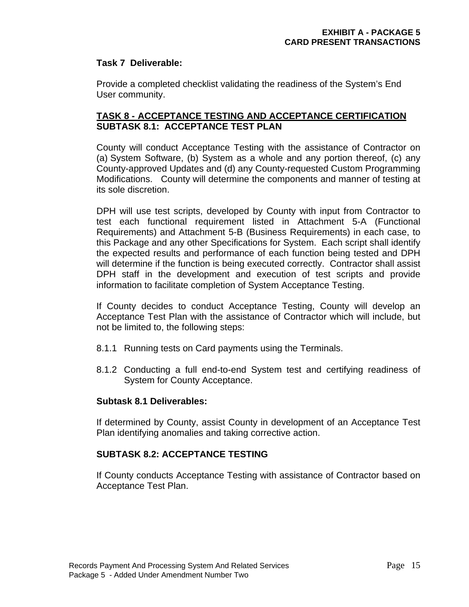#### **Task 7 Deliverable:**

Provide a completed checklist validating the readiness of the System's End User community.

#### **TASK 8 - ACCEPTANCE TESTING AND ACCEPTANCE CERTIFICATION SUBTASK 8.1: ACCEPTANCE TEST PLAN**

County will conduct Acceptance Testing with the assistance of Contractor on (a) System Software, (b) System as a whole and any portion thereof, (c) any County-approved Updates and (d) any County-requested Custom Programming Modifications. County will determine the components and manner of testing at its sole discretion.

DPH will use test scripts, developed by County with input from Contractor to test each functional requirement listed in Attachment 5-A (Functional Requirements) and Attachment 5-B (Business Requirements) in each case, to this Package and any other Specifications for System. Each script shall identify the expected results and performance of each function being tested and DPH will determine if the function is being executed correctly. Contractor shall assist DPH staff in the development and execution of test scripts and provide information to facilitate completion of System Acceptance Testing.

If County decides to conduct Acceptance Testing, County will develop an Acceptance Test Plan with the assistance of Contractor which will include, but not be limited to, the following steps:

- 8.1.1 Running tests on Card payments using the Terminals.
- 8.1.2 Conducting a full end-to-end System test and certifying readiness of System for County Acceptance.

#### **Subtask 8.1 Deliverables:**

If determined by County, assist County in development of an Acceptance Test Plan identifying anomalies and taking corrective action.

#### **SUBTASK 8.2: ACCEPTANCE TESTING**

If County conducts Acceptance Testing with assistance of Contractor based on Acceptance Test Plan.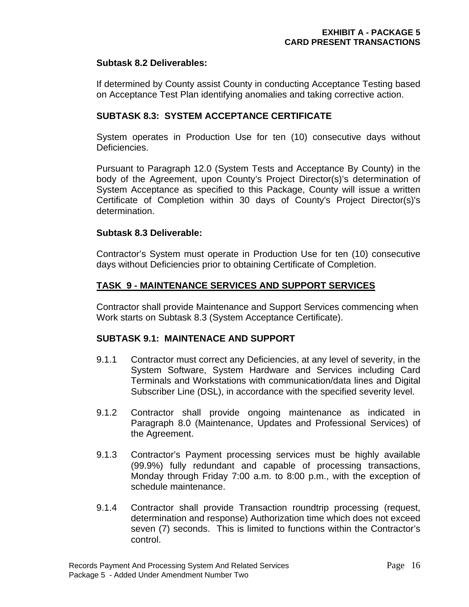#### **Subtask 8.2 Deliverables:**

If determined by County assist County in conducting Acceptance Testing based on Acceptance Test Plan identifying anomalies and taking corrective action.

#### **SUBTASK 8.3: SYSTEM ACCEPTANCE CERTIFICATE**

System operates in Production Use for ten (10) consecutive days without Deficiencies.

Pursuant to Paragraph 12.0 (System Tests and Acceptance By County) in the body of the Agreement, upon County's Project Director(s)'s determination of System Acceptance as specified to this Package, County will issue a written Certificate of Completion within 30 days of County's Project Director(s)'s determination.

#### **Subtask 8.3 Deliverable:**

Contractor's System must operate in Production Use for ten (10) consecutive days without Deficiencies prior to obtaining Certificate of Completion.

#### **TASK 9 - MAINTENANCE SERVICES AND SUPPORT SERVICES**

Contractor shall provide Maintenance and Support Services commencing when Work starts on Subtask 8.3 (System Acceptance Certificate).

#### **SUBTASK 9.1: MAINTENACE AND SUPPORT**

- 9.1.1 Contractor must correct any Deficiencies, at any level of severity, in the System Software, System Hardware and Services including Card Terminals and Workstations with communication/data lines and Digital Subscriber Line (DSL), in accordance with the specified severity level.
- 9.1.2 Contractor shall provide ongoing maintenance as indicated in Paragraph 8.0 (Maintenance, Updates and Professional Services) of the Agreement.
- 9.1.3 Contractor's Payment processing services must be highly available (99.9%) fully redundant and capable of processing transactions, Monday through Friday 7:00 a.m. to 8:00 p.m., with the exception of schedule maintenance.
- 9.1.4 Contractor shall provide Transaction roundtrip processing (request, determination and response) Authorization time which does not exceed seven (7) seconds. This is limited to functions within the Contractor's control.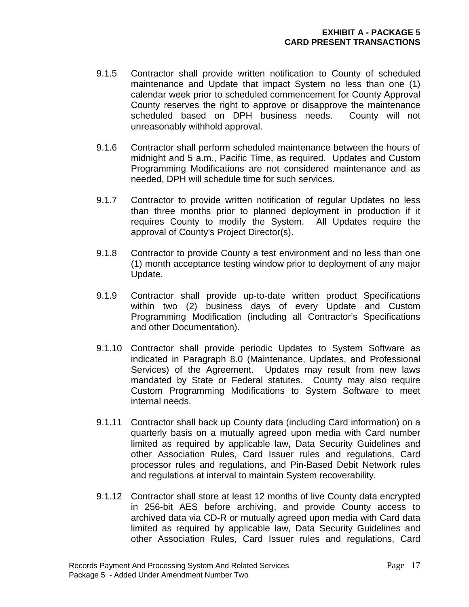- 9.1.5 Contractor shall provide written notification to County of scheduled maintenance and Update that impact System no less than one (1) calendar week prior to scheduled commencement for County Approval County reserves the right to approve or disapprove the maintenance scheduled based on DPH business needs. County will not unreasonably withhold approval.
- 9.1.6 Contractor shall perform scheduled maintenance between the hours of midnight and 5 a.m., Pacific Time, as required. Updates and Custom Programming Modifications are not considered maintenance and as needed, DPH will schedule time for such services.
- 9.1.7 Contractor to provide written notification of regular Updates no less than three months prior to planned deployment in production if it requires County to modify the System. All Updates require the approval of County's Project Director(s).
- 9.1.8 Contractor to provide County a test environment and no less than one (1) month acceptance testing window prior to deployment of any major Update.
- 9.1.9 Contractor shall provide up-to-date written product Specifications within two (2) business days of every Update and Custom Programming Modification (including all Contractor's Specifications and other Documentation).
- 9.1.10 Contractor shall provide periodic Updates to System Software as indicated in Paragraph 8.0 (Maintenance, Updates, and Professional Services) of the Agreement. Updates may result from new laws mandated by State or Federal statutes. County may also require Custom Programming Modifications to System Software to meet internal needs.
- 9.1.11 Contractor shall back up County data (including Card information) on a quarterly basis on a mutually agreed upon media with Card number limited as required by applicable law, Data Security Guidelines and other Association Rules, Card Issuer rules and regulations, Card processor rules and regulations, and Pin-Based Debit Network rules and regulations at interval to maintain System recoverability.
- 9.1.12 Contractor shall store at least 12 months of live County data encrypted in 256-bit AES before archiving, and provide County access to archived data via CD-R or mutually agreed upon media with Card data limited as required by applicable law, Data Security Guidelines and other Association Rules, Card Issuer rules and regulations, Card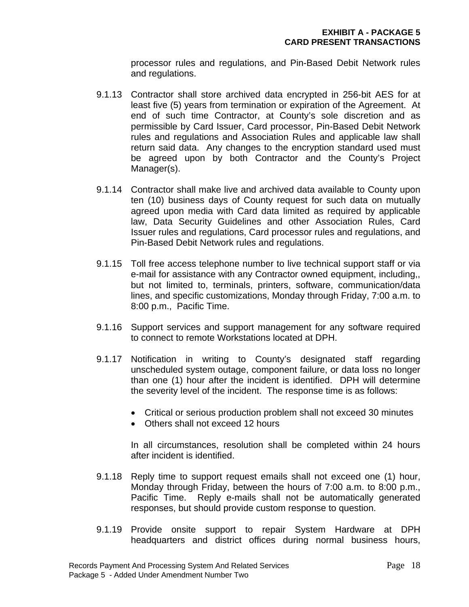processor rules and regulations, and Pin-Based Debit Network rules and regulations.

- 9.1.13 Contractor shall store archived data encrypted in 256-bit AES for at least five (5) years from termination or expiration of the Agreement. At end of such time Contractor, at County's sole discretion and as permissible by Card Issuer, Card processor, Pin-Based Debit Network rules and regulations and Association Rules and applicable law shall return said data. Any changes to the encryption standard used must be agreed upon by both Contractor and the County's Project Manager(s).
- 9.1.14 Contractor shall make live and archived data available to County upon ten (10) business days of County request for such data on mutually agreed upon media with Card data limited as required by applicable law, Data Security Guidelines and other Association Rules, Card Issuer rules and regulations, Card processor rules and regulations, and Pin-Based Debit Network rules and regulations.
- 9.1.15 Toll free access telephone number to live technical support staff or via e-mail for assistance with any Contractor owned equipment, including,, but not limited to, terminals, printers, software, communication/data lines, and specific customizations, Monday through Friday, 7:00 a.m. to 8:00 p.m., Pacific Time.
- 9.1.16 Support services and support management for any software required to connect to remote Workstations located at DPH.
- 9.1.17 Notification in writing to County's designated staff regarding unscheduled system outage, component failure, or data loss no longer than one (1) hour after the incident is identified. DPH will determine the severity level of the incident. The response time is as follows:
	- Critical or serious production problem shall not exceed 30 minutes
	- Others shall not exceed 12 hours

In all circumstances, resolution shall be completed within 24 hours after incident is identified.

- 9.1.18 Reply time to support request emails shall not exceed one (1) hour, Monday through Friday, between the hours of 7:00 a.m. to 8:00 p.m., Pacific Time. Reply e-mails shall not be automatically generated responses, but should provide custom response to question.
- 9.1.19 Provide onsite support to repair System Hardware at DPH headquarters and district offices during normal business hours,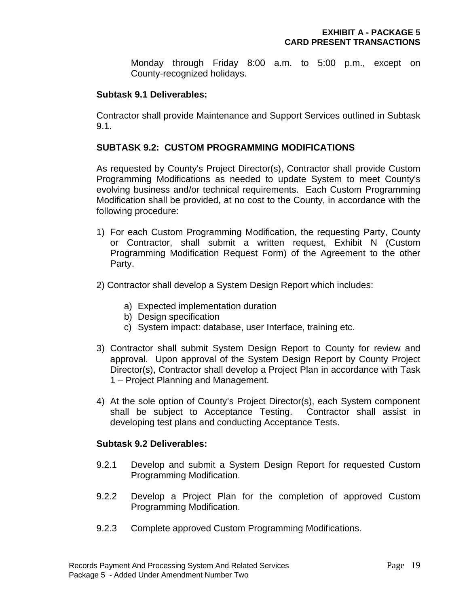Monday through Friday 8:00 a.m. to 5:00 p.m., except on County-recognized holidays.

#### **Subtask 9.1 Deliverables:**

Contractor shall provide Maintenance and Support Services outlined in Subtask 9.1.

#### **SUBTASK 9.2: CUSTOM PROGRAMMING MODIFICATIONS**

As requested by County's Project Director(s), Contractor shall provide Custom Programming Modifications as needed to update System to meet County's evolving business and/or technical requirements. Each Custom Programming Modification shall be provided, at no cost to the County, in accordance with the following procedure:

- 1) For each Custom Programming Modification, the requesting Party, County or Contractor, shall submit a written request, Exhibit N (Custom Programming Modification Request Form) of the Agreement to the other Party.
- 2) Contractor shall develop a System Design Report which includes:
	- a) Expected implementation duration
	- b) Design specification
	- c) System impact: database, user Interface, training etc.
- 3) Contractor shall submit System Design Report to County for review and approval. Upon approval of the System Design Report by County Project Director(s), Contractor shall develop a Project Plan in accordance with Task 1 – Project Planning and Management.
- 4) At the sole option of County's Project Director(s), each System component shall be subject to Acceptance Testing. Contractor shall assist in developing test plans and conducting Acceptance Tests.

#### **Subtask 9.2 Deliverables:**

- 9.2.1 Develop and submit a System Design Report for requested Custom Programming Modification.
- 9.2.2 Develop a Project Plan for the completion of approved Custom Programming Modification.
- 9.2.3 Complete approved Custom Programming Modifications.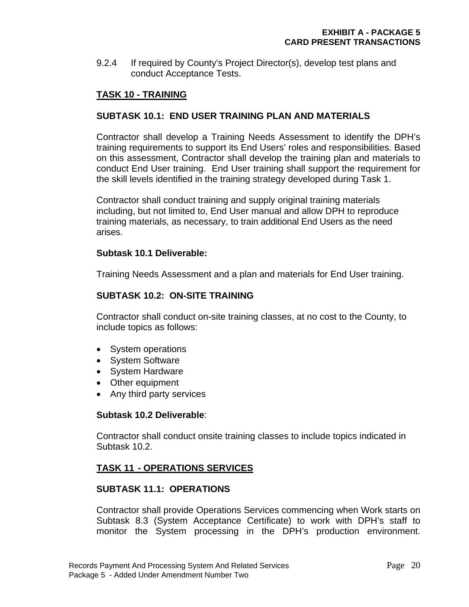9.2.4 If required by County's Project Director(s), develop test plans and conduct Acceptance Tests.

### **TASK 10 - TRAINING**

#### **SUBTASK 10.1: END USER TRAINING PLAN AND MATERIALS**

Contractor shall develop a Training Needs Assessment to identify the DPH's training requirements to support its End Users' roles and responsibilities. Based on this assessment, Contractor shall develop the training plan and materials to conduct End User training. End User training shall support the requirement for the skill levels identified in the training strategy developed during Task 1.

Contractor shall conduct training and supply original training materials including, but not limited to, End User manual and allow DPH to reproduce training materials, as necessary, to train additional End Users as the need arises.

#### **Subtask 10.1 Deliverable:**

Training Needs Assessment and a plan and materials for End User training.

#### **SUBTASK 10.2: ON-SITE TRAINING**

Contractor shall conduct on-site training classes, at no cost to the County, to include topics as follows:

- System operations
- System Software
- System Hardware
- Other equipment
- Any third party services

#### **Subtask 10.2 Deliverable**:

Contractor shall conduct onsite training classes to include topics indicated in Subtask 10.2.

#### **TASK 11 - OPERATIONS SERVICES**

#### **SUBTASK 11.1: OPERATIONS**

Contractor shall provide Operations Services commencing when Work starts on Subtask 8.3 (System Acceptance Certificate) to work with DPH's staff to monitor the System processing in the DPH's production environment.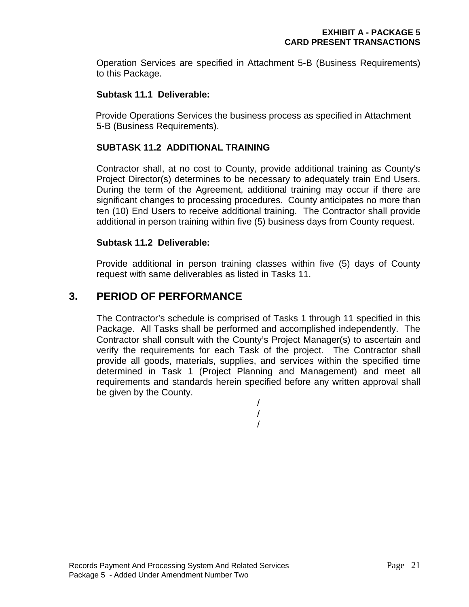Operation Services are specified in Attachment 5-B (Business Requirements) to this Package.

#### **Subtask 11.1 Deliverable:**

 Provide Operations Services the business process as specified in Attachment 5-B (Business Requirements).

## **SUBTASK 11.2 ADDITIONAL TRAINING**

Contractor shall, at no cost to County, provide additional training as County's Project Director(s) determines to be necessary to adequately train End Users. During the term of the Agreement, additional training may occur if there are significant changes to processing procedures. County anticipates no more than ten (10) End Users to receive additional training. The Contractor shall provide additional in person training within five (5) business days from County request.

#### **Subtask 11.2 Deliverable:**

Provide additional in person training classes within five (5) days of County request with same deliverables as listed in Tasks 11.

# **3. PERIOD OF PERFORMANCE**

 The Contractor's schedule is comprised of Tasks 1 through 11 specified in this Package. All Tasks shall be performed and accomplished independently. The Contractor shall consult with the County's Project Manager(s) to ascertain and verify the requirements for each Task of the project. The Contractor shall provide all goods, materials, supplies, and services within the specified time determined in Task 1 (Project Planning and Management) and meet all requirements and standards herein specified before any written approval shall be given by the County.

> / / /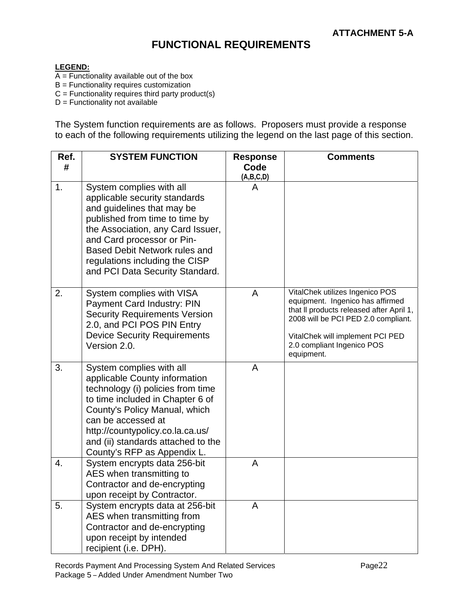# **FUNCTIONAL REQUIREMENTS**

#### **LEGEND:**

- $\overline{A}$  = Functionality available out of the box
- $B =$  Functionality requires customization
- $C =$  Functionality requires third party product(s)
- $D =$  Functionality not available

The System function requirements are as follows. Proposers must provide a response to each of the following requirements utilizing the legend on the last page of this section.

| Ref. | <b>SYSTEM FUNCTION</b>                                                                                                                                                                                                                                                                             | <b>Response</b> | <b>Comments</b>                                                                                                                                                                                                                        |
|------|----------------------------------------------------------------------------------------------------------------------------------------------------------------------------------------------------------------------------------------------------------------------------------------------------|-----------------|----------------------------------------------------------------------------------------------------------------------------------------------------------------------------------------------------------------------------------------|
| #    |                                                                                                                                                                                                                                                                                                    | Code            |                                                                                                                                                                                                                                        |
|      |                                                                                                                                                                                                                                                                                                    | (A,B,C,D)       |                                                                                                                                                                                                                                        |
| 1.   | System complies with all<br>applicable security standards<br>and guidelines that may be<br>published from time to time by<br>the Association, any Card Issuer,<br>and Card processor or Pin-<br>Based Debit Network rules and<br>regulations including the CISP<br>and PCI Data Security Standard. | А               |                                                                                                                                                                                                                                        |
| 2.   | System complies with VISA<br>Payment Card Industry: PIN<br><b>Security Requirements Version</b><br>2.0, and PCI POS PIN Entry<br><b>Device Security Requirements</b><br>Version 2.0.                                                                                                               | A               | VitalChek utilizes Ingenico POS<br>equipment. Ingenico has affirmed<br>that II products released after April 1,<br>2008 will be PCI PED 2.0 compliant.<br>VitalChek will implement PCI PED<br>2.0 compliant Ingenico POS<br>equipment. |
| 3.   | System complies with all<br>applicable County information<br>technology (i) policies from time<br>to time included in Chapter 6 of<br>County's Policy Manual, which<br>can be accessed at<br>http://countypolicy.co.la.ca.us/<br>and (ii) standards attached to the<br>County's RFP as Appendix L. | A               |                                                                                                                                                                                                                                        |
| 4.   | System encrypts data 256-bit<br>AES when transmitting to<br>Contractor and de-encrypting<br>upon receipt by Contractor.                                                                                                                                                                            | A               |                                                                                                                                                                                                                                        |
| 5.   | System encrypts data at 256-bit<br>AES when transmitting from<br>Contractor and de-encrypting<br>upon receipt by intended<br>recipient (i.e. DPH).                                                                                                                                                 | Α               |                                                                                                                                                                                                                                        |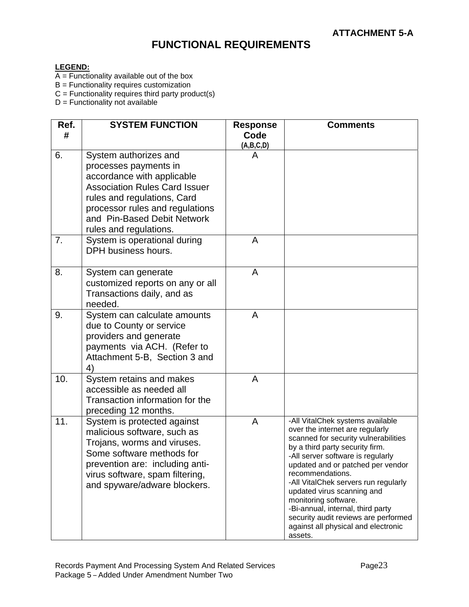# **FUNCTIONAL REQUIREMENTS**

#### **LEGEND:**

- $\overline{A}$  = Functionality available out of the box
- $B =$  Functionality requires customization
- $C =$  Functionality requires third party product(s)

D = Functionality not available

| -All VitalChek systems available<br>over the internet are regularly |
|---------------------------------------------------------------------|
| scanned for security vulnerabilities                                |
| by a third party security firm.                                     |
| -All server software is regularly                                   |
| updated and or patched per vendor                                   |
| recommendations.<br>-All VitalChek servers run regularly            |
| updated virus scanning and                                          |
| monitoring software.                                                |
| -Bi-annual, internal, third party                                   |
| security audit reviews are performed                                |
| against all physical and electronic                                 |
|                                                                     |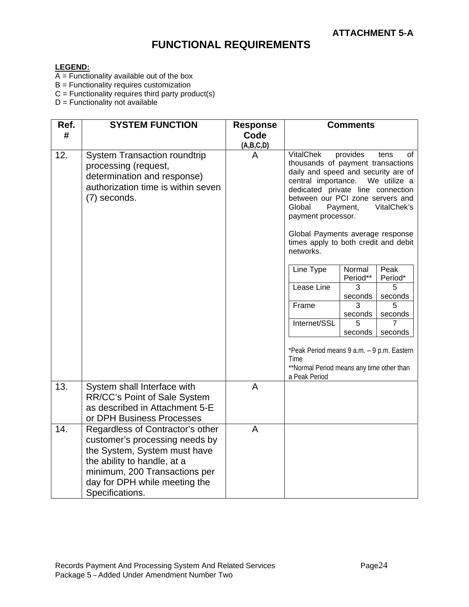# **FUNCTIONAL REQUIREMENTS**

#### **LEGEND:**

- $\overline{A}$  = Functionality available out of the box
- $B =$  Functionality requires customization
- $C =$  Functionality requires third party product(s)
- D = Functionality not available

| Ref.<br># | <b>SYSTEM FUNCTION</b>                                                                                                                                                                                                 | <b>Response</b><br>Code | <b>Comments</b>                                                                                                                                                                                                                                                                                                                    |                    |                 |
|-----------|------------------------------------------------------------------------------------------------------------------------------------------------------------------------------------------------------------------------|-------------------------|------------------------------------------------------------------------------------------------------------------------------------------------------------------------------------------------------------------------------------------------------------------------------------------------------------------------------------|--------------------|-----------------|
|           |                                                                                                                                                                                                                        | (A,B,C,D)               |                                                                                                                                                                                                                                                                                                                                    |                    |                 |
| 12.       | <b>System Transaction roundtrip</b><br>processing (request,<br>determination and response)<br>authorization time is within seven<br>(7) seconds.                                                                       | A                       | <b>VitalChek</b><br>provides<br>tens<br>οf<br>thousands of payment transactions<br>daily and speed and security are of<br>central importance. We utilize a<br>dedicated private line connection<br>between our PCI zone servers and<br>Payment,<br>VitalChek's<br>Global<br>payment processor.<br>Global Payments average response |                    |                 |
|           |                                                                                                                                                                                                                        |                         | times apply to both credit and debit<br>networks.                                                                                                                                                                                                                                                                                  |                    |                 |
|           |                                                                                                                                                                                                                        |                         | Line Type                                                                                                                                                                                                                                                                                                                          | Normal<br>Period** | Peak<br>Period* |
|           |                                                                                                                                                                                                                        |                         | Lease Line                                                                                                                                                                                                                                                                                                                         | 3<br>seconds       | 5<br>seconds    |
|           |                                                                                                                                                                                                                        |                         | Frame                                                                                                                                                                                                                                                                                                                              | 3<br>seconds       | 5<br>seconds    |
|           |                                                                                                                                                                                                                        |                         | Internet/SSL                                                                                                                                                                                                                                                                                                                       | 5<br>seconds       | seconds         |
|           |                                                                                                                                                                                                                        |                         | *Peak Period means 9 a.m. - 9 p.m. Eastern<br>Time<br>**Normal Period means any time other than<br>a Peak Period                                                                                                                                                                                                                   |                    |                 |
| 13.       | System shall Interface with<br>RR/CC's Point of Sale System<br>as described in Attachment 5-E<br>or DPH Business Processes                                                                                             | A                       |                                                                                                                                                                                                                                                                                                                                    |                    |                 |
| 14.       | Regardless of Contractor's other<br>customer's processing needs by<br>the System, System must have<br>the ability to handle, at a<br>minimum, 200 Transactions per<br>day for DPH while meeting the<br>Specifications. | A                       |                                                                                                                                                                                                                                                                                                                                    |                    |                 |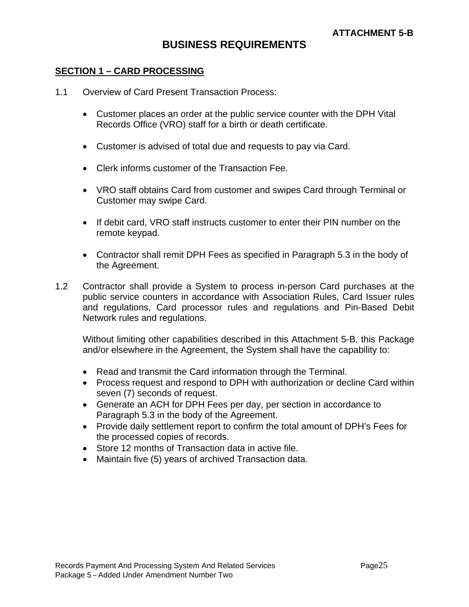# **BUSINESS REQUIREMENTS**

#### **SECTION 1 – CARD PROCESSING**

- 1.1 Overview of Card Present Transaction Process:
	- Customer places an order at the public service counter with the DPH Vital Records Office (VRO) staff for a birth or death certificate.
	- Customer is advised of total due and requests to pay via Card.
	- Clerk informs customer of the Transaction Fee.
	- VRO staff obtains Card from customer and swipes Card through Terminal or Customer may swipe Card.
	- If debit card, VRO staff instructs customer to enter their PIN number on the remote keypad.
	- Contractor shall remit DPH Fees as specified in Paragraph 5.3 in the body of the Agreement.
- 1.2 Contractor shall provide a System to process in-person Card purchases at the public service counters in accordance with Association Rules, Card Issuer rules and regulations, Card processor rules and regulations and Pin-Based Debit Network rules and regulations.

Without limiting other capabilities described in this Attachment 5-B, this Package and/or elsewhere in the Agreement, the System shall have the capability to:

- Read and transmit the Card information through the Terminal.
- Process request and respond to DPH with authorization or decline Card within seven (7) seconds of request.
- Generate an ACH for DPH Fees per day, per section in accordance to Paragraph 5.3 in the body of the Agreement.
- Provide daily settlement report to confirm the total amount of DPH's Fees for the processed copies of records.
- Store 12 months of Transaction data in active file.
- Maintain five (5) years of archived Transaction data.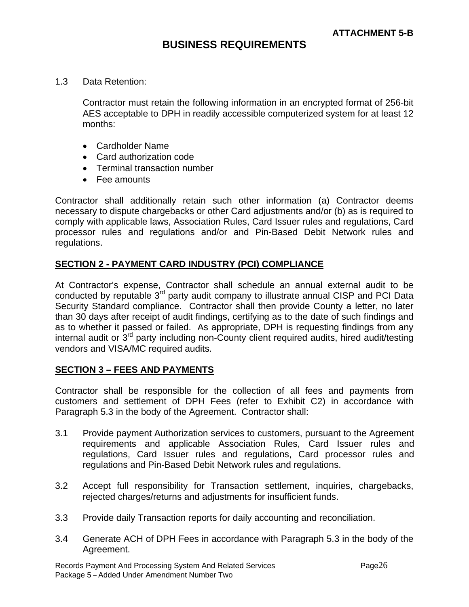## **BUSINESS REQUIREMENTS**

1.3 Data Retention:

Contractor must retain the following information in an encrypted format of 256-bit AES acceptable to DPH in readily accessible computerized system for at least 12 months:

- Cardholder Name
- Card authorization code
- Terminal transaction number
- Fee amounts

Contractor shall additionally retain such other information (a) Contractor deems necessary to dispute chargebacks or other Card adjustments and/or (b) as is required to comply with applicable laws, Association Rules, Card Issuer rules and regulations, Card processor rules and regulations and/or and Pin-Based Debit Network rules and regulations.

#### **SECTION 2 - PAYMENT CARD INDUSTRY (PCI) COMPLIANCE**

At Contractor's expense, Contractor shall schedule an annual external audit to be conducted by reputable 3<sup>rd</sup> party audit company to illustrate annual CISP and PCI Data Security Standard compliance. Contractor shall then provide County a letter, no later than 30 days after receipt of audit findings, certifying as to the date of such findings and as to whether it passed or failed. As appropriate, DPH is requesting findings from any internal audit or 3<sup>rd</sup> party including non-County client required audits, hired audit/testing vendors and VISA/MC required audits.

#### **SECTION 3 – FEES AND PAYMENTS**

Contractor shall be responsible for the collection of all fees and payments from customers and settlement of DPH Fees (refer to Exhibit C2) in accordance with Paragraph 5.3 in the body of the Agreement. Contractor shall:

- 3.1 Provide payment Authorization services to customers, pursuant to the Agreement requirements and applicable Association Rules, Card Issuer rules and regulations, Card Issuer rules and regulations, Card processor rules and regulations and Pin-Based Debit Network rules and regulations.
- 3.2 Accept full responsibility for Transaction settlement, inquiries, chargebacks, rejected charges/returns and adjustments for insufficient funds.
- 3.3 Provide daily Transaction reports for daily accounting and reconciliation.
- 3.4 Generate ACH of DPH Fees in accordance with Paragraph 5.3 in the body of the Agreement.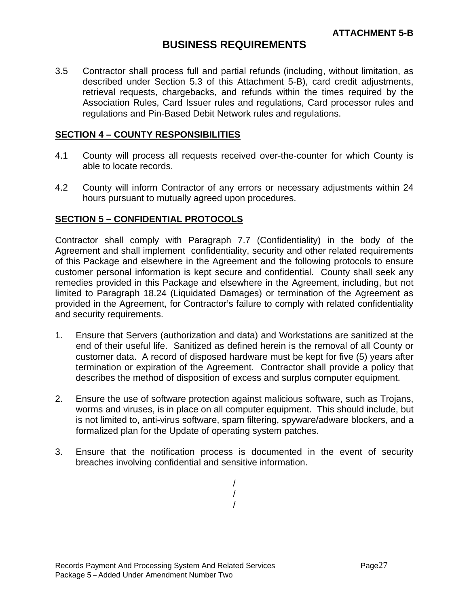## **BUSINESS REQUIREMENTS**

3.5 Contractor shall process full and partial refunds (including, without limitation, as described under Section 5.3 of this Attachment 5-B), card credit adjustments, retrieval requests, chargebacks, and refunds within the times required by the Association Rules, Card Issuer rules and regulations, Card processor rules and regulations and Pin-Based Debit Network rules and regulations.

#### **SECTION 4 – COUNTY RESPONSIBILITIES**

- 4.1 County will process all requests received over-the-counter for which County is able to locate records.
- 4.2 County will inform Contractor of any errors or necessary adjustments within 24 hours pursuant to mutually agreed upon procedures.

#### **SECTION 5 – CONFIDENTIAL PROTOCOLS**

Contractor shall comply with Paragraph 7.7 (Confidentiality) in the body of the Agreement and shall implement confidentiality, security and other related requirements of this Package and elsewhere in the Agreement and the following protocols to ensure customer personal information is kept secure and confidential. County shall seek any remedies provided in this Package and elsewhere in the Agreement, including, but not limited to Paragraph 18.24 (Liquidated Damages) or termination of the Agreement as provided in the Agreement, for Contractor's failure to comply with related confidentiality and security requirements.

- 1. Ensure that Servers (authorization and data) and Workstations are sanitized at the end of their useful life. Sanitized as defined herein is the removal of all County or customer data. A record of disposed hardware must be kept for five (5) years after termination or expiration of the Agreement. Contractor shall provide a policy that describes the method of disposition of excess and surplus computer equipment.
- 2. Ensure the use of software protection against malicious software, such as Trojans, worms and viruses, is in place on all computer equipment. This should include, but is not limited to, anti-virus software, spam filtering, spyware/adware blockers, and a formalized plan for the Update of operating system patches.
- 3. Ensure that the notification process is documented in the event of security breaches involving confidential and sensitive information.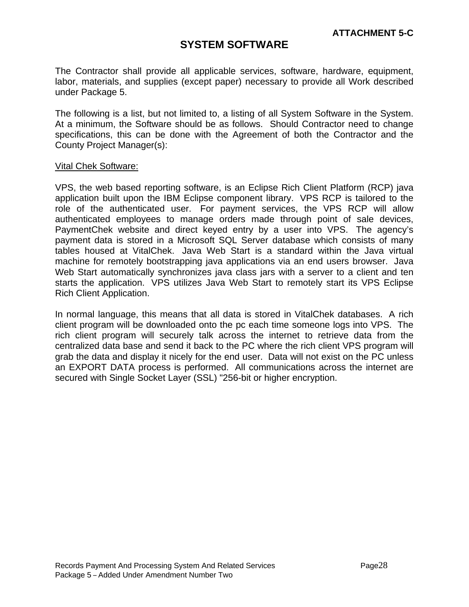## **SYSTEM SOFTWARE**

The Contractor shall provide all applicable services, software, hardware, equipment, labor, materials, and supplies (except paper) necessary to provide all Work described under Package 5.

The following is a list, but not limited to, a listing of all System Software in the System. At a minimum, the Software should be as follows. Should Contractor need to change specifications, this can be done with the Agreement of both the Contractor and the County Project Manager(s):

#### Vital Chek Software:

VPS, the web based reporting software, is an Eclipse Rich Client Platform (RCP) java application built upon the IBM Eclipse component library. VPS RCP is tailored to the role of the authenticated user. For payment services, the VPS RCP will allow authenticated employees to manage orders made through point of sale devices, PaymentChek website and direct keyed entry by a user into VPS. The agency's payment data is stored in a Microsoft SQL Server database which consists of many tables housed at VitalChek. Java Web Start is a standard within the Java virtual machine for remotely bootstrapping java applications via an end users browser. Java Web Start automatically synchronizes java class jars with a server to a client and ten starts the application. VPS utilizes Java Web Start to remotely start its VPS Eclipse Rich Client Application.

In normal language, this means that all data is stored in VitalChek databases. A rich client program will be downloaded onto the pc each time someone logs into VPS. The rich client program will securely talk across the internet to retrieve data from the centralized data base and send it back to the PC where the rich client VPS program will grab the data and display it nicely for the end user. Data will not exist on the PC unless an EXPORT DATA process is performed. All communications across the internet are secured with Single Socket Layer (SSL) "256-bit or higher encryption.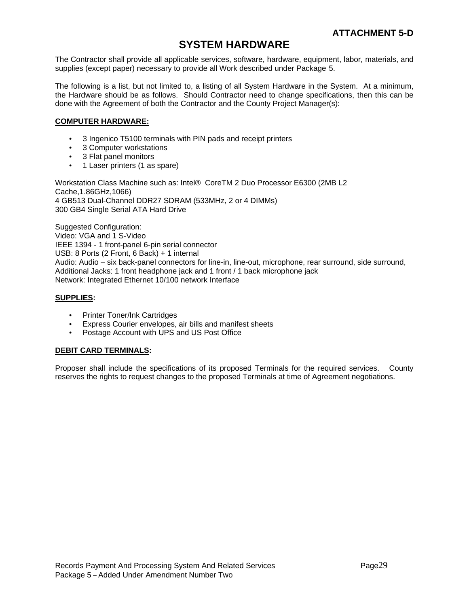## **SYSTEM HARDWARE**

The Contractor shall provide all applicable services, software, hardware, equipment, labor, materials, and supplies (except paper) necessary to provide all Work described under Package 5.

The following is a list, but not limited to, a listing of all System Hardware in the System. At a minimum, the Hardware should be as follows. Should Contractor need to change specifications, then this can be done with the Agreement of both the Contractor and the County Project Manager(s):

#### **COMPUTER HARDWARE:**

- 3 Ingenico T5100 terminals with PIN pads and receipt printers
- 3 Computer workstations
- 3 Flat panel monitors
- 1 Laser printers (1 as spare)

Workstation Class Machine such as: Intel® CoreTM 2 Duo Processor E6300 (2MB L2 Cache,1.86GHz,1066) 4 GB513 Dual-Channel DDR27 SDRAM (533MHz, 2 or 4 DIMMs) 300 GB4 Single Serial ATA Hard Drive

Suggested Configuration: Video: VGA and 1 S-Video IEEE 1394 - 1 front-panel 6-pin serial connector USB: 8 Ports (2 Front, 6 Back) + 1 internal Audio: Audio – six back-panel connectors for line-in, line-out, microphone, rear surround, side surround, Additional Jacks: 1 front headphone jack and 1 front / 1 back microphone jack Network: Integrated Ethernet 10/100 network Interface

#### **SUPPLIES:**

- Printer Toner/Ink Cartridges
- **Express Courier envelopes, air bills and manifest sheets**
- Postage Account with UPS and US Post Office

#### **DEBIT CARD TERMINALS:**

Proposer shall include the specifications of its proposed Terminals for the required services. County reserves the rights to request changes to the proposed Terminals at time of Agreement negotiations.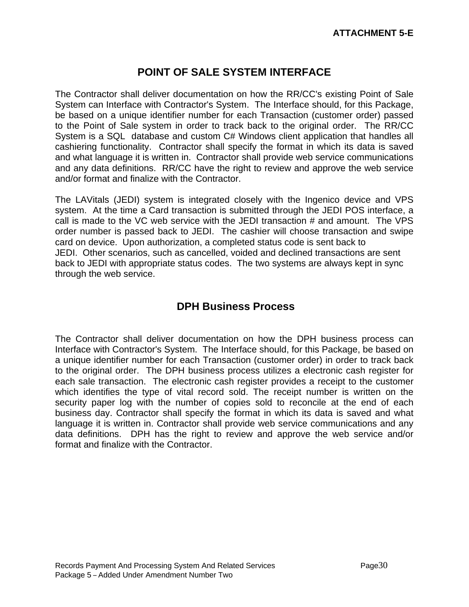# **POINT OF SALE SYSTEM INTERFACE**

The Contractor shall deliver documentation on how the RR/CC's existing Point of Sale System can Interface with Contractor's System. The Interface should, for this Package, be based on a unique identifier number for each Transaction (customer order) passed to the Point of Sale system in order to track back to the original order. The RR/CC System is a SQL database and custom C# Windows client application that handles all cashiering functionality. Contractor shall specify the format in which its data is saved and what language it is written in. Contractor shall provide web service communications and any data definitions. RR/CC have the right to review and approve the web service and/or format and finalize with the Contractor.

The LAVitals (JEDI) system is integrated closely with the Ingenico device and VPS system. At the time a Card transaction is submitted through the JEDI POS interface, a call is made to the VC web service with the JEDI transaction # and amount. The VPS order number is passed back to JEDI. The cashier will choose transaction and swipe card on device. Upon authorization, a completed status code is sent back to JEDI. Other scenarios, such as cancelled, voided and declined transactions are sent back to JEDI with appropriate status codes. The two systems are always kept in sync through the web service.

# **DPH Business Process**

The Contractor shall deliver documentation on how the DPH business process can Interface with Contractor's System. The Interface should, for this Package, be based on a unique identifier number for each Transaction (customer order) in order to track back to the original order. The DPH business process utilizes a electronic cash register for each sale transaction. The electronic cash register provides a receipt to the customer which identifies the type of vital record sold. The receipt number is written on the security paper log with the number of copies sold to reconcile at the end of each business day. Contractor shall specify the format in which its data is saved and what language it is written in. Contractor shall provide web service communications and any data definitions. DPH has the right to review and approve the web service and/or format and finalize with the Contractor.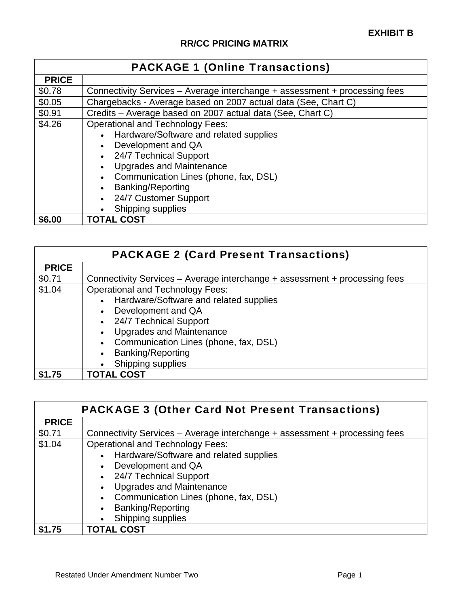| <b>PACKAGE 1 (Online Transactions)</b> |                                                                                                                                                                                                                                                                                         |  |  |  |
|----------------------------------------|-----------------------------------------------------------------------------------------------------------------------------------------------------------------------------------------------------------------------------------------------------------------------------------------|--|--|--|
| <b>PRICE</b>                           |                                                                                                                                                                                                                                                                                         |  |  |  |
| \$0.78                                 | Connectivity Services - Average interchange + assessment + processing fees                                                                                                                                                                                                              |  |  |  |
| \$0.05                                 | Chargebacks - Average based on 2007 actual data (See, Chart C)                                                                                                                                                                                                                          |  |  |  |
| \$0.91                                 | Credits - Average based on 2007 actual data (See, Chart C)                                                                                                                                                                                                                              |  |  |  |
| \$4.26                                 | <b>Operational and Technology Fees:</b><br>Hardware/Software and related supplies<br>Development and QA<br>24/7 Technical Support<br><b>Upgrades and Maintenance</b><br>Communication Lines (phone, fax, DSL)<br><b>Banking/Reporting</b><br>24/7 Customer Support<br>Shipping supplies |  |  |  |
| \$6.00                                 | <b>TOTAL COST</b>                                                                                                                                                                                                                                                                       |  |  |  |

| <b>PACKAGE 2 (Card Present Transactions)</b> |                                                                                                                                                                                     |  |  |  |
|----------------------------------------------|-------------------------------------------------------------------------------------------------------------------------------------------------------------------------------------|--|--|--|
| <b>PRICE</b>                                 |                                                                                                                                                                                     |  |  |  |
| \$0.71                                       | Connectivity Services – Average interchange + assessment + processing fees                                                                                                          |  |  |  |
| \$1.04                                       | <b>Operational and Technology Fees:</b><br>Hardware/Software and related supplies<br>$\bullet$<br>Development and QA<br>• 24/7 Technical Support<br><b>Upgrades and Maintenance</b> |  |  |  |
|                                              | Communication Lines (phone, fax, DSL)<br><b>Banking/Reporting</b><br>Shipping supplies                                                                                              |  |  |  |
| \$1.75                                       | <b>TOTAL COST</b>                                                                                                                                                                   |  |  |  |

| <b>PACKAGE 3 (Other Card Not Present Transactions)</b> |                                                                                                                                                                                                                                                                  |  |  |  |
|--------------------------------------------------------|------------------------------------------------------------------------------------------------------------------------------------------------------------------------------------------------------------------------------------------------------------------|--|--|--|
| <b>PRICE</b>                                           |                                                                                                                                                                                                                                                                  |  |  |  |
| \$0.71                                                 | Connectivity Services – Average interchange + assessment + processing fees                                                                                                                                                                                       |  |  |  |
| \$1.04                                                 | <b>Operational and Technology Fees:</b><br>Hardware/Software and related supplies<br>Development and QA<br>• 24/7 Technical Support<br><b>Upgrades and Maintenance</b><br>Communication Lines (phone, fax, DSL)<br><b>Banking/Reporting</b><br>Shipping supplies |  |  |  |
| \$1.75                                                 | <b>TOTAL COST</b>                                                                                                                                                                                                                                                |  |  |  |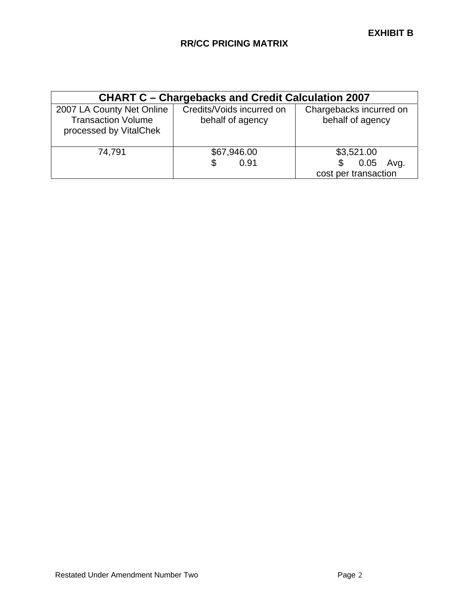| <b>CHART C - Chargebacks and Credit Calculation 2007</b>                         |                                               |                                                    |  |  |  |
|----------------------------------------------------------------------------------|-----------------------------------------------|----------------------------------------------------|--|--|--|
| 2007 LA County Net Online<br><b>Transaction Volume</b><br>processed by VitalChek | Credits/Voids incurred on<br>behalf of agency | Chargebacks incurred on<br>behalf of agency        |  |  |  |
| 74,791                                                                           | \$67,946.00<br>0.91<br>S                      | \$3,521.00<br>0.05<br>Avg.<br>cost per transaction |  |  |  |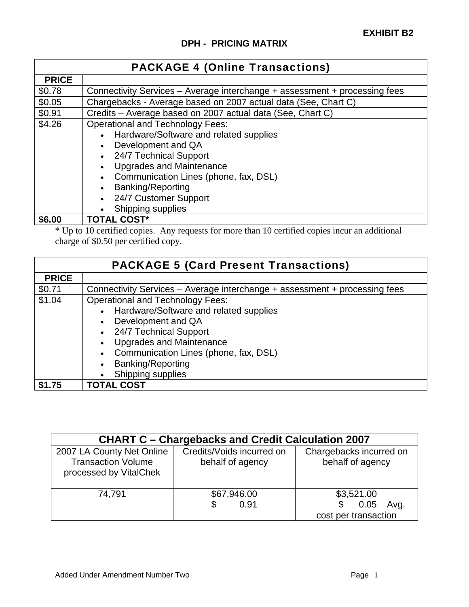| <b>PACKAGE 4 (Online Transactions)</b> |                                                                                                                                                                                                                                                                                         |  |  |
|----------------------------------------|-----------------------------------------------------------------------------------------------------------------------------------------------------------------------------------------------------------------------------------------------------------------------------------------|--|--|
| <b>PRICE</b>                           |                                                                                                                                                                                                                                                                                         |  |  |
| \$0.78                                 | Connectivity Services – Average interchange + assessment + processing fees                                                                                                                                                                                                              |  |  |
| \$0.05                                 | Chargebacks - Average based on 2007 actual data (See, Chart C)                                                                                                                                                                                                                          |  |  |
| \$0.91                                 | Credits - Average based on 2007 actual data (See, Chart C)                                                                                                                                                                                                                              |  |  |
| \$4.26                                 | <b>Operational and Technology Fees:</b><br>Hardware/Software and related supplies<br>Development and QA<br>24/7 Technical Support<br><b>Upgrades and Maintenance</b><br>Communication Lines (phone, fax, DSL)<br><b>Banking/Reporting</b><br>24/7 Customer Support<br>Shipping supplies |  |  |
| \$6.00                                 | <b>TOTAL COST*</b>                                                                                                                                                                                                                                                                      |  |  |

\* Up to 10 certified copies. Any requests for more than 10 certified copies incur an additional charge of \$0.50 per certified copy.

| <b>PACKAGE 5 (Card Present Transactions)</b> |                                                                                                                                                                                                                                                           |  |  |  |
|----------------------------------------------|-----------------------------------------------------------------------------------------------------------------------------------------------------------------------------------------------------------------------------------------------------------|--|--|--|
| <b>PRICE</b>                                 |                                                                                                                                                                                                                                                           |  |  |  |
| \$0.71                                       | Connectivity Services – Average interchange + assessment + processing fees                                                                                                                                                                                |  |  |  |
| \$1.04                                       | <b>Operational and Technology Fees:</b><br>Hardware/Software and related supplies<br>Development and QA<br>• 24/7 Technical Support<br><b>Upgrades and Maintenance</b><br>Communication Lines (phone, fax, DSL)<br>Banking/Reporting<br>Shipping supplies |  |  |  |
| \$1.75                                       | <b>TOTAL COST</b>                                                                                                                                                                                                                                         |  |  |  |

| <b>CHART C - Chargebacks and Credit Calculation 2007</b>                         |                                               |                                                          |  |  |  |
|----------------------------------------------------------------------------------|-----------------------------------------------|----------------------------------------------------------|--|--|--|
| 2007 LA County Net Online<br><b>Transaction Volume</b><br>processed by VitalChek | Credits/Voids incurred on<br>behalf of agency | Chargebacks incurred on<br>behalf of agency              |  |  |  |
| 74,791                                                                           | \$67,946.00<br>0.91<br>S                      | \$3,521.00<br>Avg.<br>\$<br>0.05<br>cost per transaction |  |  |  |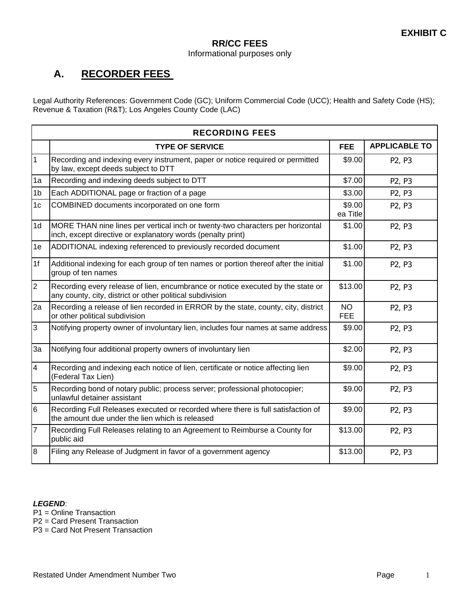#### **RR/CC FEES**  Informational purposes only

# **A. RECORDER FEES**

Legal Authority References: Government Code (GC); Uniform Commercial Code (UCC); Health and Safety Code (HS); Revenue & Taxation (R&T); Los Angeles County Code (LAC)

|                         | <b>RECORDING FEES</b>                                                                                                                         |                    |                                 |  |  |
|-------------------------|-----------------------------------------------------------------------------------------------------------------------------------------------|--------------------|---------------------------------|--|--|
|                         | <b>TYPE OF SERVICE</b>                                                                                                                        | <b>FEE</b>         | <b>APPLICABLE TO</b>            |  |  |
| $\overline{1}$          | Recording and indexing every instrument, paper or notice required or permitted<br>by law, except deeds subject to DTT                         | \$9.00             | P <sub>2</sub> , P <sub>3</sub> |  |  |
| 1a                      | Recording and indexing deeds subject to DTT                                                                                                   | \$7.00             | P2, P3                          |  |  |
| 1 <sub>b</sub>          | Each ADDITIONAL page or fraction of a page                                                                                                    | \$3.00             | P <sub>2</sub> , P <sub>3</sub> |  |  |
| 1 <sub>c</sub>          | COMBINED documents incorporated on one form                                                                                                   | \$9.00<br>ea Title | P <sub>2</sub> , P <sub>3</sub> |  |  |
| 1 <sub>d</sub>          | MORE THAN nine lines per vertical inch or twenty-two characters per horizontal<br>inch, except directive or explanatory words (penalty print) | \$1.00             | P2, P3                          |  |  |
| 1e                      | ADDITIONAL indexing referenced to previously recorded document                                                                                | \$1.00             | P <sub>2</sub> , P <sub>3</sub> |  |  |
| 1f                      | Additional indexing for each group of ten names or portion thereof after the initial<br>group of ten names                                    | \$1.00             | P <sub>2</sub> , P <sub>3</sub> |  |  |
| $\overline{2}$          | Recording every release of lien, encumbrance or notice executed by the state or<br>any county, city, district or other political subdivision  | \$13.00            | P <sub>2</sub> , P <sub>3</sub> |  |  |
| 2a                      | Recording a release of lien recorded in ERROR by the state, county, city, district<br>or other political subdivision                          | NO.<br><b>FEE</b>  | P2, P3                          |  |  |
| $\overline{3}$          | Notifying property owner of involuntary lien, includes four names at same address                                                             | \$9.00             | P2, P3                          |  |  |
| 3a                      | Notifying four additional property owners of involuntary lien                                                                                 | \$2.00             | P2, P3                          |  |  |
| $\overline{\mathbf{4}}$ | Recording and indexing each notice of lien, certificate or notice affecting lien<br>(Federal Tax Lien)                                        | \$9.00             | P <sub>2</sub> , P <sub>3</sub> |  |  |
| 5                       | Recording bond of notary public; process server; professional photocopier;<br>unlawful detainer assistant                                     | \$9.00             | P2, P3                          |  |  |
| 6                       | Recording Full Releases executed or recorded where there is full satisfaction of<br>the amount due under the lien which is released           | \$9.00             | P2, P3                          |  |  |
| $\overline{7}$          | Recording Full Releases relating to an Agreement to Reimburse a County for<br>public aid                                                      | \$13.00            | P2, P3                          |  |  |
| l8                      | Filing any Release of Judgment in favor of a government agency                                                                                | \$13.00            | P <sub>2</sub> , P <sub>3</sub> |  |  |

#### *LEGEND*:

- P1 = Online Transaction
- P2 = Card Present Transaction
- P3 = Card Not Present Transaction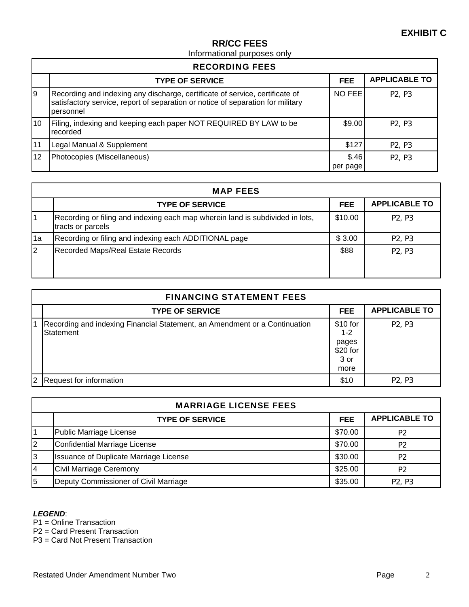## Informational purposes only

| <b>RECORDING FEES</b> |                                                                                                                                                                              |                   |                                 |  |
|-----------------------|------------------------------------------------------------------------------------------------------------------------------------------------------------------------------|-------------------|---------------------------------|--|
|                       | <b>TYPE OF SERVICE</b>                                                                                                                                                       | <b>FEE</b>        | <b>APPLICABLE TO</b>            |  |
| Ι9                    | Recording and indexing any discharge, certificate of service, certificate of<br>satisfactory service, report of separation or notice of separation for military<br>personnel | NO FEE            | P <sub>2</sub> , P <sub>3</sub> |  |
| 10                    | Filing, indexing and keeping each paper NOT REQUIRED BY LAW to be<br>recorded                                                                                                | \$9.00            | P <sub>2</sub> , P <sub>3</sub> |  |
| 11                    | Legal Manual & Supplement                                                                                                                                                    | \$127             | P <sub>2</sub> , P <sub>3</sub> |  |
| 12                    | Photocopies (Miscellaneous)                                                                                                                                                  | \$.46<br>per page | P <sub>2</sub> , P <sub>3</sub> |  |

|          | <b>MAP FEES</b>                                                                                    |            |                                 |
|----------|----------------------------------------------------------------------------------------------------|------------|---------------------------------|
|          | <b>TYPE OF SERVICE</b>                                                                             | <b>FEE</b> | <b>APPLICABLE TO</b>            |
|          | Recording or filing and indexing each map wherein land is subdivided in lots,<br>tracts or parcels | \$10.00    | P <sub>2</sub> , P <sub>3</sub> |
| 1a       | Recording or filing and indexing each ADDITIONAL page                                              | \$3.00     | P <sub>2</sub> , P <sub>3</sub> |
| <b>2</b> | <b>Recorded Maps/Real Estate Records</b>                                                           | \$88       | P <sub>2</sub> , P <sub>3</sub> |

|   | <b>FINANCING STATEMENT FEES</b>                                                         |                                                          |                                 |
|---|-----------------------------------------------------------------------------------------|----------------------------------------------------------|---------------------------------|
|   | <b>TYPE OF SERVICE</b>                                                                  | <b>FEE</b>                                               | <b>APPLICABLE TO</b>            |
|   | Recording and indexing Financial Statement, an Amendment or a Continuation<br>Statement | \$10 for<br>$1 - 2$<br>pages<br>\$20 for<br>3 or<br>more | P <sub>2</sub> , P <sub>3</sub> |
| 2 | Request for information                                                                 | \$10                                                     | P <sub>2</sub> , P <sub>3</sub> |

|    | <b>MARRIAGE LICENSE FEES</b>                  |            |                                 |
|----|-----------------------------------------------|------------|---------------------------------|
|    | <b>TYPE OF SERVICE</b>                        | <b>FEE</b> | <b>APPLICABLE TO</b>            |
|    | Public Marriage License                       | \$70.00    | P <sub>2</sub>                  |
| l2 | Confidential Marriage License                 | \$70.00    | P <sub>2</sub>                  |
| 3  | <b>Issuance of Duplicate Marriage License</b> | \$30.00    | P <sub>2</sub>                  |
| 14 | <b>Civil Marriage Ceremony</b>                | \$25.00    | P <sub>2</sub>                  |
| 5  | Deputy Commissioner of Civil Marriage         | \$35.00    | P <sub>2</sub> , P <sub>3</sub> |

#### *LEGEND*:

P1 = Online Transaction

P2 = Card Present Transaction

P3 = Card Not Present Transaction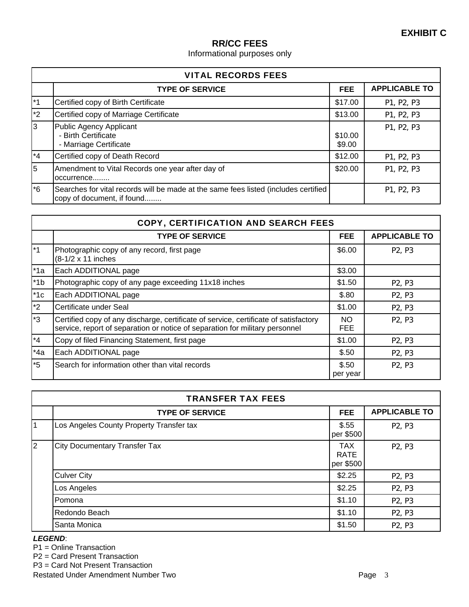Informational purposes only

|                   | <b>VITAL RECORDS FEES</b>                                                                                         |                   |                      |
|-------------------|-------------------------------------------------------------------------------------------------------------------|-------------------|----------------------|
|                   | <b>TYPE OF SERVICE</b>                                                                                            | <b>FEE</b>        | <b>APPLICABLE TO</b> |
| *1                | Certified copy of Birth Certificate                                                                               | \$17.00           | P1, P2, P3           |
| $*2$              | Certified copy of Marriage Certificate                                                                            | \$13.00           | P1, P2, P3           |
| l3                | Public Agency Applicant<br>- Birth Certificate<br>- Marriage Certificate                                          | \$10.00<br>\$9.00 | P1, P2, P3           |
| $*4$              | Certified copy of Death Record                                                                                    | \$12.00           | P1, P2, P3           |
| 5                 | Amendment to Vital Records one year after day of<br>occurrence                                                    | \$20.00           | P1, P2, P3           |
| $\overline{\ }$ 6 | Searches for vital records will be made at the same fees listed (includes certified<br>copy of document, if found |                   | P1, P2, P3           |

|       | <b>COPY, CERTIFICATION AND SEARCH FEES</b>                                                                                                                           |                   |                                 |
|-------|----------------------------------------------------------------------------------------------------------------------------------------------------------------------|-------------------|---------------------------------|
|       | <b>TYPE OF SERVICE</b>                                                                                                                                               | <b>FEE</b>        | <b>APPLICABLE TO</b>            |
| $*1$  | Photographic copy of any record, first page<br>(8-1/2 x 11 inches                                                                                                    | \$6.00            | P <sub>2</sub> , P <sub>3</sub> |
| $*1a$ | Each ADDITIONAL page                                                                                                                                                 | \$3.00            |                                 |
| $*1b$ | Photographic copy of any page exceeding 11x18 inches                                                                                                                 | \$1.50            | P <sub>2</sub> , P <sub>3</sub> |
| $*1c$ | Each ADDITIONAL page                                                                                                                                                 | \$.80             | P <sub>2</sub> , P <sub>3</sub> |
| $*2$  | Certificate under Seal                                                                                                                                               | \$1.00            | P <sub>2</sub> , P <sub>3</sub> |
| $*3$  | Certified copy of any discharge, certificate of service, certificate of satisfactory<br>service, report of separation or notice of separation for military personnel | NO.<br><b>FEE</b> | P <sub>2</sub> , P <sub>3</sub> |
| $*4$  | Copy of filed Financing Statement, first page                                                                                                                        | \$1.00            | P <sub>2</sub> , P <sub>3</sub> |
| $*4a$ | Each ADDITIONAL page                                                                                                                                                 | \$.50             | P <sub>2</sub> , P <sub>3</sub> |
| $*5$  | Search for information other than vital records                                                                                                                      | \$.50<br>per year | P <sub>2</sub> , P <sub>3</sub> |

|                | <b>TRANSFER TAX FEES</b>                 |                                 |                                 |
|----------------|------------------------------------------|---------------------------------|---------------------------------|
|                | <b>TYPE OF SERVICE</b>                   | <b>FEE</b>                      | <b>APPLICABLE TO</b>            |
| $\vert$ 1      | Los Angeles County Property Transfer tax | \$.55<br>per \$500              | P <sub>2</sub> , P <sub>3</sub> |
| $\overline{2}$ | <b>City Documentary Transfer Tax</b>     | <b>TAX</b><br>RATE<br>per \$500 | P <sub>2</sub> , P <sub>3</sub> |
|                | <b>Culver City</b>                       | \$2.25                          | P <sub>2</sub> , P <sub>3</sub> |
|                | Los Angeles                              | \$2.25                          | P <sub>2</sub> , P <sub>3</sub> |
|                | <b>Pomona</b>                            | \$1.10                          | P <sub>2</sub> , P <sub>3</sub> |
|                | Redondo Beach                            | \$1.10                          | P <sub>2</sub> , P <sub>3</sub> |
|                | Santa Monica                             | \$1.50                          | P <sub>2</sub> , P <sub>3</sub> |

#### *LEGEND*:

- P1 = Online Transaction
- P2 = Card Present Transaction

P3 = Card Not Present Transaction

Restated Under Amendment Number Two **Page 3** Page 3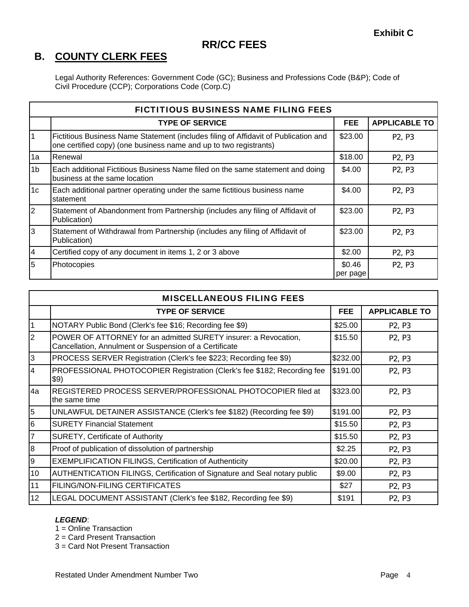# **B. COUNTY CLERK FEES**

Legal Authority References: Government Code (GC); Business and Professions Code (B&P); Code of Civil Procedure (CCP); Corporations Code (Corp.C)

|                | <b>FICTITIOUS BUSINESS NAME FILING FEES</b>                                                                                                              |                    |                                 |
|----------------|----------------------------------------------------------------------------------------------------------------------------------------------------------|--------------------|---------------------------------|
|                | <b>TYPE OF SERVICE</b>                                                                                                                                   | FEE.               | <b>APPLICABLE TO</b>            |
|                | Fictitious Business Name Statement (includes filing of Affidavit of Publication and<br>one certified copy) (one business name and up to two registrants) | \$23.00            | P <sub>2</sub> , P <sub>3</sub> |
| 1a             | Renewal                                                                                                                                                  | \$18.00            | P <sub>2</sub> , P <sub>3</sub> |
| 1 <sub>b</sub> | Each additional Fictitious Business Name filed on the same statement and doing<br>business at the same location                                          | \$4.00             | P <sub>2</sub> , P <sub>3</sub> |
| 1 <sub>c</sub> | Each additional partner operating under the same fictitious business name<br>statement                                                                   | \$4.00             | P <sub>2</sub> , P <sub>3</sub> |
| $\overline{2}$ | Statement of Abandonment from Partnership (includes any filing of Affidavit of<br>Publication)                                                           | \$23.00            | P <sub>2</sub> , P <sub>3</sub> |
| l3             | Statement of Withdrawal from Partnership (includes any filing of Affidavit of<br>Publication)                                                            | \$23.00            | P <sub>2</sub> , P <sub>3</sub> |
| $\overline{4}$ | Certified copy of any document in items 1, 2 or 3 above                                                                                                  | \$2.00             | P <sub>2</sub> , P <sub>3</sub> |
| 5              | Photocopies                                                                                                                                              | \$0.46<br>per page | P <sub>2</sub> , P <sub>3</sub> |

|                 | <b>MISCELLANEOUS FILING FEES</b>                                                                                          |            |                                 |
|-----------------|---------------------------------------------------------------------------------------------------------------------------|------------|---------------------------------|
|                 | <b>TYPE OF SERVICE</b>                                                                                                    | <b>FEE</b> | <b>APPLICABLE TO</b>            |
| 1               | NOTARY Public Bond (Clerk's fee \$16; Recording fee \$9)                                                                  | \$25.00    | P <sub>2</sub> , P <sub>3</sub> |
| $\overline{2}$  | POWER OF ATTORNEY for an admitted SURETY insurer: a Revocation,<br>Cancellation, Annulment or Suspension of a Certificate | \$15.50    | P <sub>2</sub> , P <sub>3</sub> |
| $\overline{3}$  | PROCESS SERVER Registration (Clerk's fee \$223; Recording fee \$9)                                                        | \$232.00   | P <sub>2</sub> , P <sub>3</sub> |
| $\overline{4}$  | PROFESSIONAL PHOTOCOPIER Registration (Clerk's fee \$182; Recording fee<br>\$9)                                           | \$191.00   | P <sub>2</sub> , P <sub>3</sub> |
| 4a              | REGISTERED PROCESS SERVER/PROFESSIONAL PHOTOCOPIER filed at<br>the same time                                              | \$323.00   | P <sub>2</sub> , P <sub>3</sub> |
| 5               | UNLAWFUL DETAINER ASSISTANCE (Clerk's fee \$182) (Recording fee \$9)                                                      | \$191.00   | P <sub>2</sub> , P <sub>3</sub> |
| 6               | <b>SURETY Financial Statement</b>                                                                                         | \$15.50    | P <sub>2</sub> , P <sub>3</sub> |
| $\overline{7}$  | <b>SURETY, Certificate of Authority</b>                                                                                   | \$15.50    | P <sub>2</sub> , P <sub>3</sub> |
| 8               | Proof of publication of dissolution of partnership                                                                        | \$2.25     | P <sub>2</sub> , P <sub>3</sub> |
| 9               | <b>EXEMPLIFICATION FILINGS, Certification of Authenticity</b>                                                             | \$20.00    | P <sub>2</sub> , P <sub>3</sub> |
| 10              | AUTHENTICATION FILINGS, Certification of Signature and Seal notary public                                                 | \$9.00     | P <sub>2</sub> , P <sub>3</sub> |
| 11              | <b>FILING/NON-FILING CERTIFICATES</b>                                                                                     | \$27       | P <sub>2</sub> , P <sub>3</sub> |
| 12 <sub>2</sub> | LEGAL DOCUMENT ASSISTANT (Clerk's fee \$182, Recording fee \$9)                                                           | \$191      | P <sub>2</sub> , P <sub>3</sub> |

#### *LEGEND*:

1 = Online Transaction

2 = Card Present Transaction

3 = Card Not Present Transaction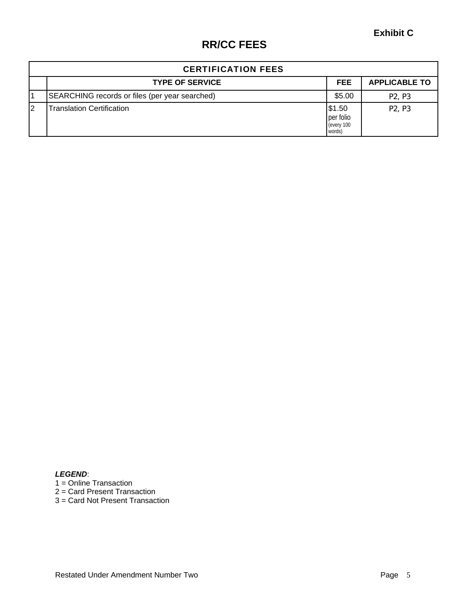|    | <b>CERTIFICATION FEES</b>                      |                                             |                                 |
|----|------------------------------------------------|---------------------------------------------|---------------------------------|
|    | <b>TYPE OF SERVICE</b>                         | <b>FEE</b>                                  | <b>APPLICABLE TO</b>            |
|    | SEARCHING records or files (per year searched) | \$5.00                                      | P <sub>2</sub> , P <sub>3</sub> |
| l2 | <b>Translation Certification</b>               | \$1.50<br>per folio<br>(every 100<br>words) | P <sub>2</sub> , P <sub>3</sub> |

*LEGEND*: 1 = Online Transaction 2 = Card Present Transaction 3 = Card Not Present Transaction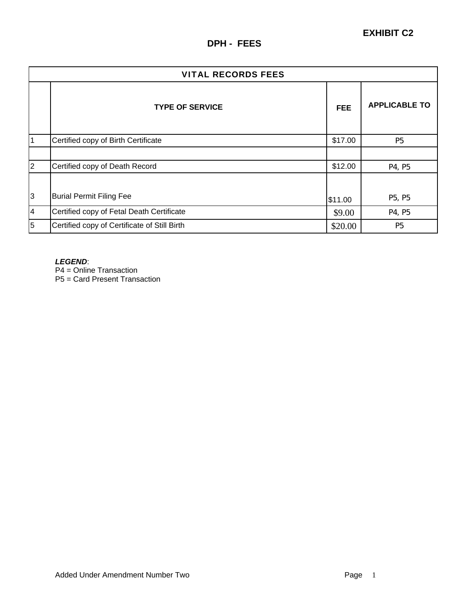|                | <b>VITAL RECORDS FEES</b>                    |            |                      |
|----------------|----------------------------------------------|------------|----------------------|
|                | <b>TYPE OF SERVICE</b>                       | <b>FEE</b> | <b>APPLICABLE TO</b> |
|                | Certified copy of Birth Certificate          | \$17.00    | P <sub>5</sub>       |
|                |                                              |            |                      |
| $\overline{2}$ | Certified copy of Death Record               | \$12.00    | P4, P5               |
| 3              | <b>Burial Permit Filing Fee</b>              | \$11.00    | P5, P5               |
| $\overline{4}$ | Certified copy of Fetal Death Certificate    | \$9.00     | P4, P5               |
| 5              | Certified copy of Certificate of Still Birth | \$20.00    | <b>P5</b>            |

#### *LEGEND*:

P4 = Online Transaction

P5 = Card Present Transaction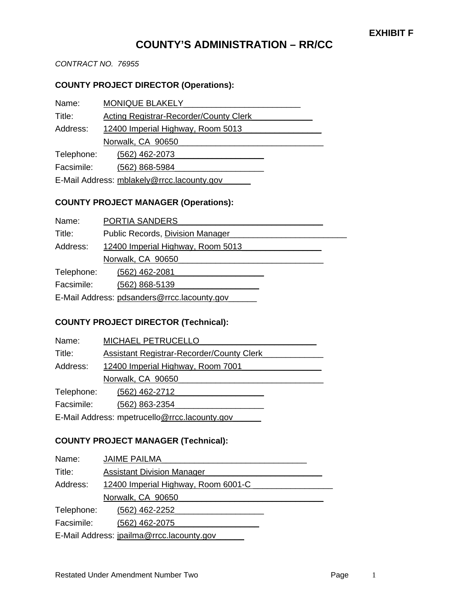# **COUNTY'S ADMINISTRATION – RR/CC**

*CONTRACT NO. 76955* 

#### **COUNTY PROJECT DIRECTOR (Operations):**

| Name:                                      | <b>MONIQUE BLAKELY</b>                 |  |
|--------------------------------------------|----------------------------------------|--|
| Title:                                     | Acting Registrar-Recorder/County Clerk |  |
| Address:                                   | 12400 Imperial Highway, Room 5013      |  |
|                                            | Norwalk, CA 90650                      |  |
| Telephone:                                 | (562) 462-2073                         |  |
| Facsimile:                                 | (562) 868-5984                         |  |
| E-Mail Address: mblakely@rrcc.lacounty.gov |                                        |  |

# **COUNTY PROJECT MANAGER (Operations):**

| Name:                                       | PORTIA SANDERS                    |  |  |
|---------------------------------------------|-----------------------------------|--|--|
| Title:                                      | Public Records, Division Manager  |  |  |
| Address:                                    | 12400 Imperial Highway, Room 5013 |  |  |
|                                             | Norwalk, CA 90650                 |  |  |
| Telephone:                                  | (562) 462-2081                    |  |  |
| Facsimile:                                  | (562) 868-5139                    |  |  |
| E-Mail Address: pdsanders@rrcc.lacounty.gov |                                   |  |  |

#### **COUNTY PROJECT DIRECTOR (Technical):**

| Name:                                         | MICHAEL PETRUCELLO                        |  |  |  |
|-----------------------------------------------|-------------------------------------------|--|--|--|
| Title:                                        | Assistant Registrar-Recorder/County Clerk |  |  |  |
| Address:                                      | 12400 Imperial Highway, Room 7001         |  |  |  |
|                                               | Norwalk, CA 90650                         |  |  |  |
| Telephone:                                    | (562) 462-2712                            |  |  |  |
| Facsimile:                                    | (562) 863-2354                            |  |  |  |
| E-Mail Address: mpetrucello@rrcc.lacounty.gov |                                           |  |  |  |

## **COUNTY PROJECT MANAGER (Technical):**

| Name:                                     | <b>JAIME PAILMA</b>                 |  |  |  |
|-------------------------------------------|-------------------------------------|--|--|--|
| Title:                                    | <b>Assistant Division Manager</b>   |  |  |  |
| Address:                                  | 12400 Imperial Highway, Room 6001-C |  |  |  |
|                                           | Norwalk, CA 90650                   |  |  |  |
| Telephone:                                | (562) 462-2252                      |  |  |  |
| Facsimile:                                | (562) 462-2075                      |  |  |  |
| E-Mail Address: jpailma@rrcc.lacounty.gov |                                     |  |  |  |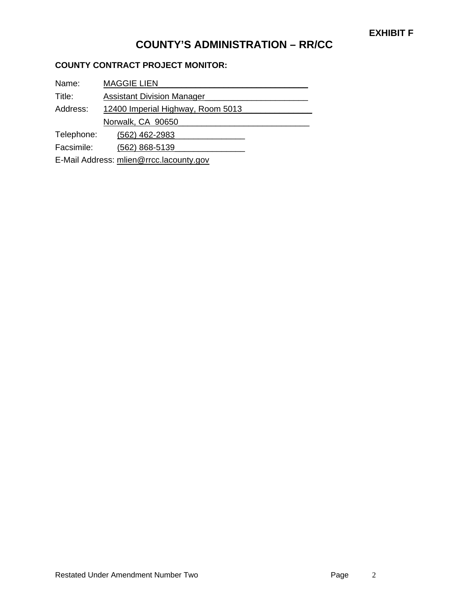# **COUNTY'S ADMINISTRATION – RR/CC**

## **COUNTY CONTRACT PROJECT MONITOR:**

| Name:      | <b>MAGGIE LIEN</b>                |  |  |  |
|------------|-----------------------------------|--|--|--|
| Title:     | <b>Assistant Division Manager</b> |  |  |  |
| Address:   | 12400 Imperial Highway, Room 5013 |  |  |  |
|            | Norwalk, CA 90650                 |  |  |  |
| Telephone: | (562) 462-2983                    |  |  |  |
| Facsimile: | (562) 868-5139                    |  |  |  |

E-Mail Address: mlien@rrcc.lacounty.gov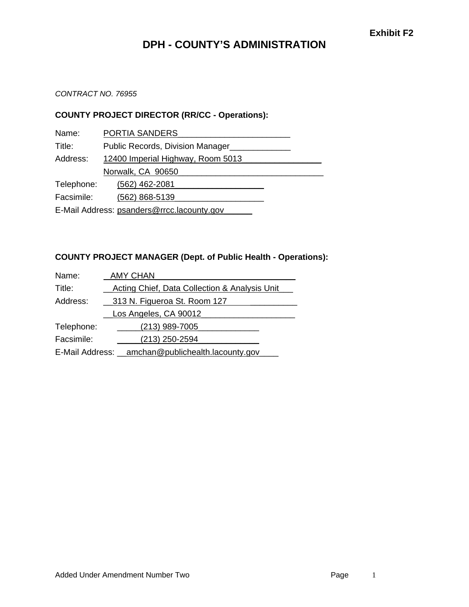# **DPH - COUNTY'S ADMINISTRATION**

#### *CONTRACT NO. 76955*

#### **COUNTY PROJECT DIRECTOR (RR/CC - Operations):**

| Name:                                      | PORTIA SANDERS                    |  |  |  |
|--------------------------------------------|-----------------------------------|--|--|--|
| Title:                                     | Public Records, Division Manager  |  |  |  |
| Address:                                   | 12400 Imperial Highway, Room 5013 |  |  |  |
|                                            | Norwalk, CA 90650                 |  |  |  |
| Telephone:                                 | (562) 462-2081                    |  |  |  |
| Facsimile:                                 | (562) 868-5139                    |  |  |  |
| E-Mail Address: psanders@rrcc.lacounty.gov |                                   |  |  |  |

#### **COUNTY PROJECT MANAGER (Dept. of Public Health - Operations):**

| Name:                                             | <b>AMY CHAN</b>                               |  |  |  |
|---------------------------------------------------|-----------------------------------------------|--|--|--|
| Title:                                            | Acting Chief, Data Collection & Analysis Unit |  |  |  |
| Address:                                          | 313 N. Figueroa St. Room 127                  |  |  |  |
|                                                   | Los Angeles, CA 90012                         |  |  |  |
| Telephone:                                        | $(213)$ 989-7005                              |  |  |  |
| Facsimile:                                        | $(213)$ 250-2594                              |  |  |  |
| E-Mail Address: _amchan@publichealth.lacounty.gov |                                               |  |  |  |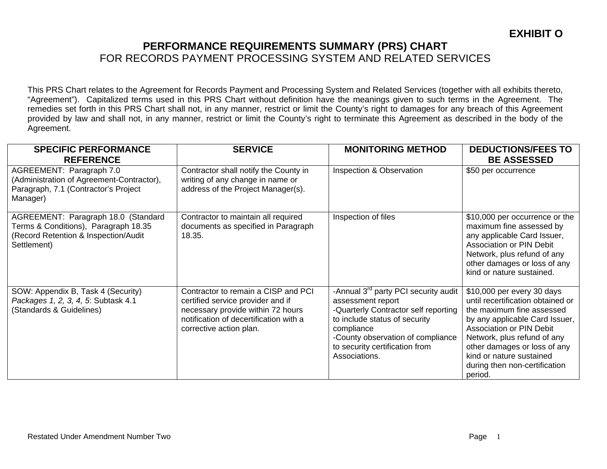This PRS Chart relates to the Agreement for Records Payment and Processing System and Related Services (together with all exhibits thereto, "Agreement"). Capitalized terms used in this PRS Chart without definition have the meanings given to such terms in the Agreement. The remedies set forth in this PRS Chart shall not, in any manner, restrict or limit the County's right to damages for any breach of this Agreement provided by law and shall not, in any manner, restrict or limit the County's right to terminate this Agreement as described in the body of the Agreement.

| <b>SPECIFIC PERFORMANCE</b>                                                                                                        | <b>SERVICE</b>                                                                                                                                                                     | <b>MONITORING METHOD</b>                                                                                                                                                                                                                             | <b>DEDUCTIONS/FEES TO</b>                                                                                                                                                                                                                                                                         |
|------------------------------------------------------------------------------------------------------------------------------------|------------------------------------------------------------------------------------------------------------------------------------------------------------------------------------|------------------------------------------------------------------------------------------------------------------------------------------------------------------------------------------------------------------------------------------------------|---------------------------------------------------------------------------------------------------------------------------------------------------------------------------------------------------------------------------------------------------------------------------------------------------|
| <b>REFERENCE</b>                                                                                                                   |                                                                                                                                                                                    |                                                                                                                                                                                                                                                      | <b>BE ASSESSED</b>                                                                                                                                                                                                                                                                                |
| AGREEMENT: Paragraph 7.0<br>(Administration of Agreement-Contractor),<br>Paragraph, 7.1 (Contractor's Project<br>Manager)          | Contractor shall notify the County in<br>writing of any change in name or<br>address of the Project Manager(s).                                                                    | Inspection & Observation                                                                                                                                                                                                                             | \$50 per occurrence                                                                                                                                                                                                                                                                               |
| AGREEMENT: Paragraph 18.0 (Standard<br>Terms & Conditions), Paragraph 18.35<br>(Record Retention & Inspection/Audit<br>Settlement) | Contractor to maintain all required<br>documents as specified in Paragraph<br>18.35.                                                                                               | Inspection of files                                                                                                                                                                                                                                  | \$10,000 per occurrence or the<br>maximum fine assessed by<br>any applicable Card Issuer,<br><b>Association or PIN Debit</b><br>Network, plus refund of any<br>other damages or loss of any<br>kind or nature sustained.                                                                          |
| SOW: Appendix B, Task 4 (Security)<br>Packages 1, 2, 3, 4, 5: Subtask 4.1<br>(Standards & Guidelines)                              | Contractor to remain a CISP and PCI<br>certified service provider and if<br>necessary provide within 72 hours<br>notification of decertification with a<br>corrective action plan. | -Annual 3 <sup>rd</sup> party PCI security audit<br>assessment report<br>-Quarterly Contractor self reporting<br>to include status of security<br>compliance<br>-County observation of compliance<br>to security certification from<br>Associations. | \$10,000 per every 30 days<br>until recertification obtained or<br>the maximum fine assessed<br>by any applicable Card Issuer,<br>Association or PIN Debit<br>Network, plus refund of any<br>other damages or loss of any<br>kind or nature sustained<br>during then non-certification<br>period. |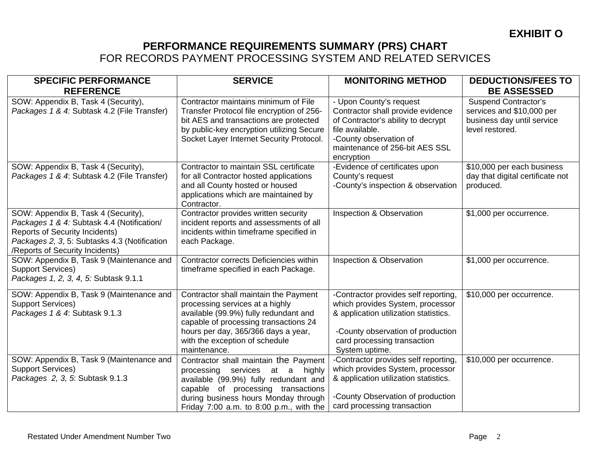| <b>SPECIFIC PERFORMANCE</b><br><b>REFERENCE</b>                                                                                                                                                               | <b>SERVICE</b>                                                                                                                                                                                                                                      | <b>MONITORING METHOD</b>                                                                                                                                                                                | <b>DEDUCTIONS/FEES TO</b><br><b>BE ASSESSED</b>                                                           |
|---------------------------------------------------------------------------------------------------------------------------------------------------------------------------------------------------------------|-----------------------------------------------------------------------------------------------------------------------------------------------------------------------------------------------------------------------------------------------------|---------------------------------------------------------------------------------------------------------------------------------------------------------------------------------------------------------|-----------------------------------------------------------------------------------------------------------|
| SOW: Appendix B, Task 4 (Security),<br>Packages 1 & 4: Subtask 4.2 (File Transfer)                                                                                                                            | Contractor maintains minimum of File<br>Transfer Protocol file encryption of 256-<br>bit AES and transactions are protected<br>by public-key encryption utilizing Secure<br>Socket Layer Internet Security Protocol.                                | - Upon County's request<br>Contractor shall provide evidence<br>of Contractor's ability to decrypt<br>file available.<br>-County observation of<br>maintenance of 256-bit AES SSL<br>encryption         | <b>Suspend Contractor's</b><br>services and \$10,000 per<br>business day until service<br>level restored. |
| SOW: Appendix B, Task 4 (Security),<br>Packages 1 & 4: Subtask 4.2 (File Transfer)                                                                                                                            | Contractor to maintain SSL certificate<br>for all Contractor hosted applications<br>and all County hosted or housed<br>applications which are maintained by<br>Contractor.                                                                          | -Evidence of certificates upon<br>County's request<br>-County's inspection & observation                                                                                                                | \$10,000 per each business<br>day that digital certificate not<br>produced.                               |
| SOW: Appendix B, Task 4 (Security),<br>Packages 1 & 4: Subtask 4.4 (Notification/<br><b>Reports of Security Incidents)</b><br>Packages 2, 3, 5: Subtasks 4.3 (Notification<br>/Reports of Security Incidents) | Contractor provides written security<br>incident reports and assessments of all<br>incidents within timeframe specified in<br>each Package.                                                                                                         | Inspection & Observation                                                                                                                                                                                | \$1,000 per occurrence.                                                                                   |
| SOW: Appendix B, Task 9 (Maintenance and<br><b>Support Services)</b><br>Packages 1, 2, 3, 4, 5: Subtask 9.1.1                                                                                                 | Contractor corrects Deficiencies within<br>timeframe specified in each Package.                                                                                                                                                                     | Inspection & Observation                                                                                                                                                                                | \$1,000 per occurrence.                                                                                   |
| SOW: Appendix B, Task 9 (Maintenance and<br><b>Support Services)</b><br>Packages 1 & 4: Subtask 9.1.3                                                                                                         | Contractor shall maintain the Payment<br>processing services at a highly<br>available (99.9%) fully redundant and<br>capable of processing transactions 24<br>hours per day, 365/366 days a year,<br>with the exception of schedule<br>maintenance. | -Contractor provides self reporting,<br>which provides System, processor<br>& application utilization statistics.<br>-County observation of production<br>card processing transaction<br>System uptime. | \$10,000 per occurrence.                                                                                  |
| SOW: Appendix B, Task 9 (Maintenance and<br><b>Support Services)</b><br>Packages 2, 3, 5: Subtask 9.1.3                                                                                                       | Contractor shall maintain the Payment<br>processing services at a highly<br>available (99.9%) fully redundant and<br>capable of processing transactions<br>during business hours Monday through<br>Friday 7:00 a.m. to 8:00 p.m., with the          | -Contractor provides self reporting,<br>which provides System, processor<br>& application utilization statistics.<br>-County Observation of production<br>card processing transaction                   | \$10,000 per occurrence.                                                                                  |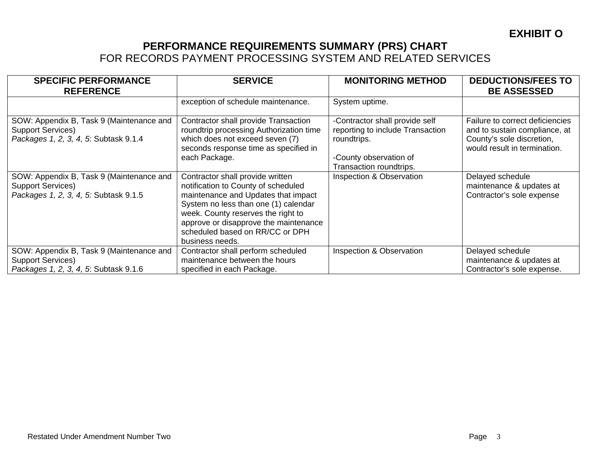| <b>SPECIFIC PERFORMANCE</b><br><b>REFERENCE</b>                                                               | <b>SERVICE</b>                                                                                                                                                                                                                                                                              | <b>MONITORING METHOD</b>                                                                                                               | <b>DEDUCTIONS/FEES TO</b><br><b>BE ASSESSED</b>                                                                               |
|---------------------------------------------------------------------------------------------------------------|---------------------------------------------------------------------------------------------------------------------------------------------------------------------------------------------------------------------------------------------------------------------------------------------|----------------------------------------------------------------------------------------------------------------------------------------|-------------------------------------------------------------------------------------------------------------------------------|
|                                                                                                               | exception of schedule maintenance.                                                                                                                                                                                                                                                          | System uptime.                                                                                                                         |                                                                                                                               |
| SOW: Appendix B, Task 9 (Maintenance and<br><b>Support Services)</b><br>Packages 1, 2, 3, 4, 5: Subtask 9.1.4 | Contractor shall provide Transaction<br>roundtrip processing Authorization time<br>which does not exceed seven (7)<br>seconds response time as specified in<br>each Package.                                                                                                                | -Contractor shall provide self<br>reporting to include Transaction<br>roundtrips.<br>-County observation of<br>Transaction roundtrips. | Failure to correct deficiencies<br>and to sustain compliance, at<br>County's sole discretion,<br>would result in termination. |
| SOW: Appendix B, Task 9 (Maintenance and<br><b>Support Services)</b><br>Packages 1, 2, 3, 4, 5: Subtask 9.1.5 | Contractor shall provide written<br>notification to County of scheduled<br>maintenance and Updates that impact<br>System no less than one (1) calendar<br>week. County reserves the right to<br>approve or disapprove the maintenance<br>scheduled based on RR/CC or DPH<br>business needs. | <b>Inspection &amp; Observation</b>                                                                                                    | Delayed schedule<br>maintenance & updates at<br>Contractor's sole expense                                                     |
| SOW: Appendix B, Task 9 (Maintenance and                                                                      | Contractor shall perform scheduled                                                                                                                                                                                                                                                          | Inspection & Observation                                                                                                               | Delayed schedule                                                                                                              |
| <b>Support Services)</b>                                                                                      | maintenance between the hours                                                                                                                                                                                                                                                               |                                                                                                                                        | maintenance & updates at                                                                                                      |
| Packages 1, 2, 3, 4, 5: Subtask 9.1.6                                                                         | specified in each Package.                                                                                                                                                                                                                                                                  |                                                                                                                                        | Contractor's sole expense.                                                                                                    |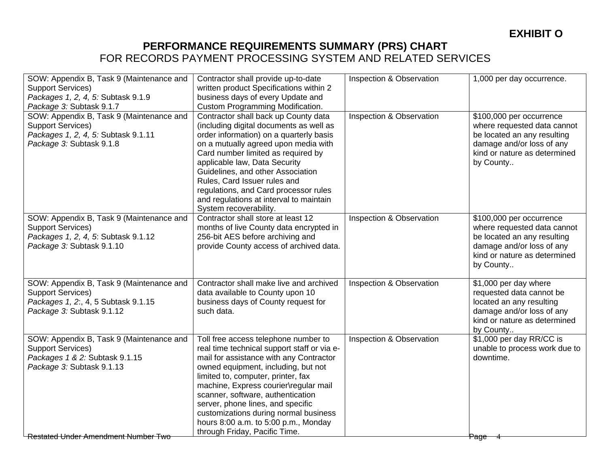| SOW: Appendix B, Task 9 (Maintenance and   | Contractor shall provide up-to-date         | Inspection & Observation | 1,000 per day occurrence.     |
|--------------------------------------------|---------------------------------------------|--------------------------|-------------------------------|
| <b>Support Services)</b>                   | written product Specifications within 2     |                          |                               |
| Packages 1, 2, 4, 5: Subtask 9.1.9         | business days of every Update and           |                          |                               |
| Package 3: Subtask 9.1.7                   | Custom Programming Modification.            |                          |                               |
| SOW: Appendix B, Task 9 (Maintenance and   | Contractor shall back up County data        | Inspection & Observation | \$100,000 per occurrence      |
| <b>Support Services)</b>                   | (including digital documents as well as     |                          | where requested data cannot   |
| Packages 1, 2, 4, 5: Subtask 9.1.11        | order information) on a quarterly basis     |                          | be located an any resulting   |
| Package 3: Subtask 9.1.8                   | on a mutually agreed upon media with        |                          | damage and/or loss of any     |
|                                            | Card number limited as required by          |                          | kind or nature as determined  |
|                                            | applicable law, Data Security               |                          | by County                     |
|                                            | Guidelines, and other Association           |                          |                               |
|                                            | Rules, Card Issuer rules and                |                          |                               |
|                                            | regulations, and Card processor rules       |                          |                               |
|                                            | and regulations at interval to maintain     |                          |                               |
|                                            | System recoverability.                      |                          |                               |
| SOW: Appendix B, Task 9 (Maintenance and   | Contractor shall store at least 12          | Inspection & Observation | \$100,000 per occurrence      |
| <b>Support Services)</b>                   | months of live County data encrypted in     |                          | where requested data cannot   |
| Packages 1, 2, 4, 5: Subtask 9.1.12        | 256-bit AES before archiving and            |                          | be located an any resulting   |
| Package 3: Subtask 9.1.10                  | provide County access of archived data.     |                          | damage and/or loss of any     |
|                                            |                                             |                          | kind or nature as determined  |
|                                            |                                             |                          | by County                     |
|                                            |                                             |                          |                               |
| SOW: Appendix B, Task 9 (Maintenance and   | Contractor shall make live and archived     | Inspection & Observation | \$1,000 per day where         |
| <b>Support Services)</b>                   | data available to County upon 10            |                          | requested data cannot be      |
| Packages 1, 2:, 4, 5 Subtask 9.1.15        | business days of County request for         |                          | located an any resulting      |
| Package 3: Subtask 9.1.12                  | such data.                                  |                          | damage and/or loss of any     |
|                                            |                                             |                          | kind or nature as determined  |
|                                            |                                             |                          | by County                     |
| SOW: Appendix B, Task 9 (Maintenance and   | Toll free access telephone number to        | Inspection & Observation | \$1,000 per day RR/CC is      |
| <b>Support Services)</b>                   | real time technical support staff or via e- |                          | unable to process work due to |
| Packages 1 & 2: Subtask 9.1.15             | mail for assistance with any Contractor     |                          | downtime.                     |
| Package 3: Subtask 9.1.13                  | owned equipment, including, but not         |                          |                               |
|                                            | limited to, computer, printer, fax          |                          |                               |
|                                            | machine, Express courier\regular mail       |                          |                               |
|                                            | scanner, software, authentication           |                          |                               |
|                                            | server, phone lines, and specific           |                          |                               |
|                                            | customizations during normal business       |                          |                               |
|                                            | hours 8:00 a.m. to 5:00 p.m., Monday        |                          |                               |
| <b>Restated Under Amendment Number Two</b> | through Friday, Pacific Time.               |                          | Page                          |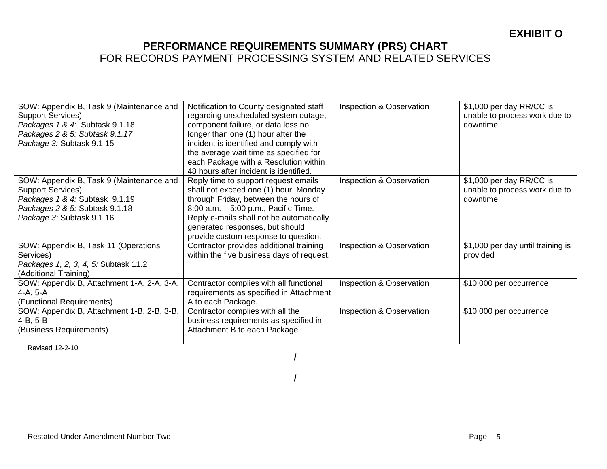| SOW: Appendix B, Task 9 (Maintenance and<br><b>Support Services)</b><br>Packages 1 & 4: Subtask 9.1.18<br>Packages 2 & 5: Subtask 9.1.17<br>Package 3: Subtask 9.1.15 | Notification to County designated staff<br>regarding unscheduled system outage,<br>component failure, or data loss no<br>longer than one (1) hour after the<br>incident is identified and comply with<br>the average wait time as specified for<br>each Package with a Resolution within<br>48 hours after incident is identified. | Inspection & Observation | \$1,000 per day RR/CC is<br>unable to process work due to<br>downtime. |
|-----------------------------------------------------------------------------------------------------------------------------------------------------------------------|------------------------------------------------------------------------------------------------------------------------------------------------------------------------------------------------------------------------------------------------------------------------------------------------------------------------------------|--------------------------|------------------------------------------------------------------------|
| SOW: Appendix B, Task 9 (Maintenance and<br>Support Services)<br>Packages 1 & 4: Subtask 9.1.19<br>Packages 2 & 5: Subtask 9.1.18<br>Package 3: Subtask 9.1.16        | Reply time to support request emails<br>shall not exceed one (1) hour, Monday<br>through Friday, between the hours of<br>8:00 a.m. - 5:00 p.m., Pacific Time.<br>Reply e-mails shall not be automatically<br>generated responses, but should<br>provide custom response to question.                                               | Inspection & Observation | \$1,000 per day RR/CC is<br>unable to process work due to<br>downtime. |
| SOW: Appendix B, Task 11 (Operations<br>Services)<br>Packages 1, 2, 3, 4, 5: Subtask 11.2<br>(Additional Training)                                                    | Contractor provides additional training<br>within the five business days of request.                                                                                                                                                                                                                                               | Inspection & Observation | \$1,000 per day until training is<br>provided                          |
| SOW: Appendix B, Attachment 1-A, 2-A, 3-A,<br>4-A, 5-A<br>(Functional Requirements)                                                                                   | Contractor complies with all functional<br>requirements as specified in Attachment<br>A to each Package.                                                                                                                                                                                                                           | Inspection & Observation | \$10,000 per occurrence                                                |
| SOW: Appendix B, Attachment 1-B, 2-B, 3-B,<br>$4-B, 5-B$<br>(Business Requirements)                                                                                   | Contractor complies with all the<br>business requirements as specified in<br>Attachment B to each Package.                                                                                                                                                                                                                         | Inspection & Observation | \$10,000 per occurrence                                                |

Revised 12-2-10

**/** 

**/**